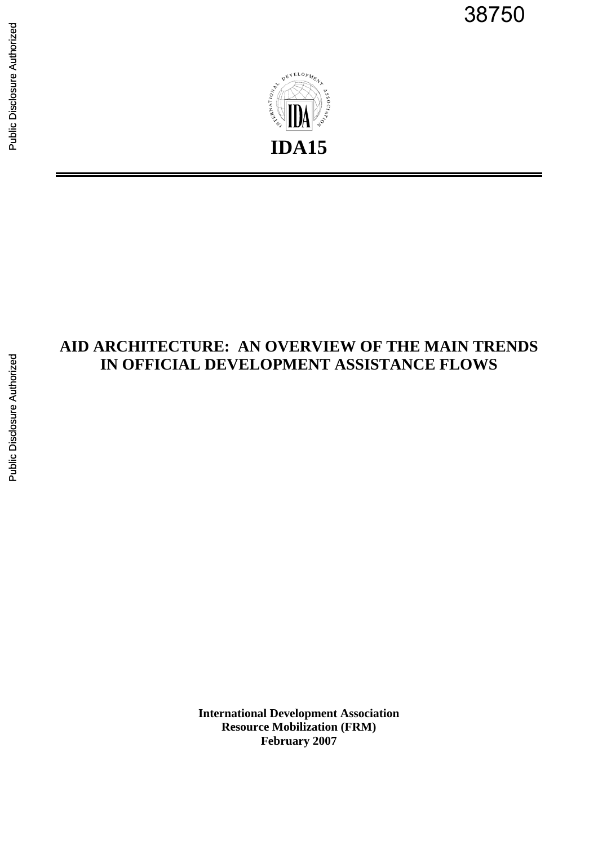38750



# **AID ARCHITECTURE: AN OVERVIEW OF THE MAIN TRENDS IN OFFICIAL DEVELOPMENT ASSISTANCE FLOWS**

**International Development Association Resource Mobilization (FRM) February 2007**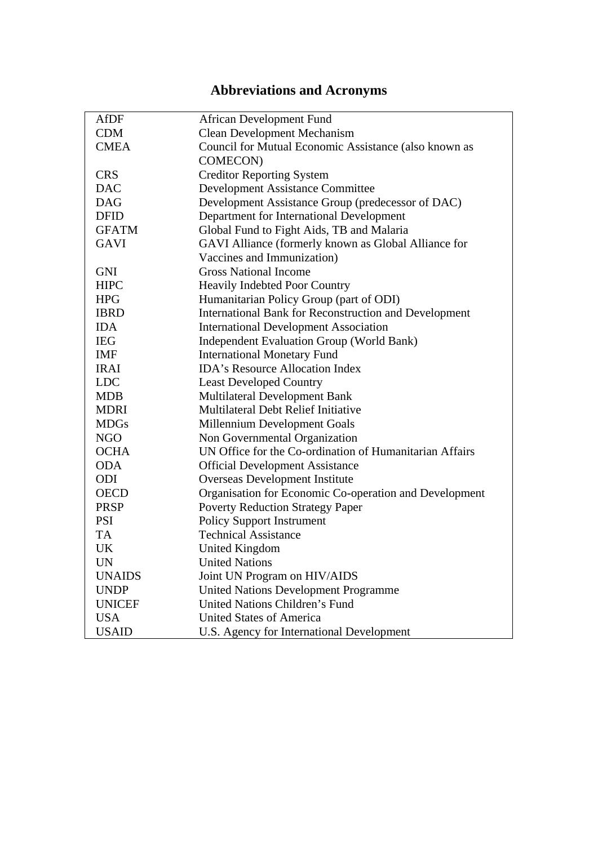# **Abbreviations and Acronyms**

| AfDF          | <b>African Development Fund</b>                         |
|---------------|---------------------------------------------------------|
| <b>CDM</b>    | <b>Clean Development Mechanism</b>                      |
| <b>CMEA</b>   | Council for Mutual Economic Assistance (also known as   |
|               | COMECON)                                                |
| <b>CRS</b>    | <b>Creditor Reporting System</b>                        |
| <b>DAC</b>    | <b>Development Assistance Committee</b>                 |
| <b>DAG</b>    | Development Assistance Group (predecessor of DAC)       |
| <b>DFID</b>   | Department for International Development                |
| <b>GFATM</b>  | Global Fund to Fight Aids, TB and Malaria               |
| <b>GAVI</b>   | GAVI Alliance (formerly known as Global Alliance for    |
|               | Vaccines and Immunization)                              |
| <b>GNI</b>    | <b>Gross National Income</b>                            |
| <b>HIPC</b>   | <b>Heavily Indebted Poor Country</b>                    |
| <b>HPG</b>    | Humanitarian Policy Group (part of ODI)                 |
| <b>IBRD</b>   | International Bank for Reconstruction and Development   |
| <b>IDA</b>    | <b>International Development Association</b>            |
| <b>IEG</b>    | <b>Independent Evaluation Group (World Bank)</b>        |
| IMF           | <b>International Monetary Fund</b>                      |
| <b>IRAI</b>   | <b>IDA's Resource Allocation Index</b>                  |
| <b>LDC</b>    | <b>Least Developed Country</b>                          |
| <b>MDB</b>    | Multilateral Development Bank                           |
| <b>MDRI</b>   | <b>Multilateral Debt Relief Initiative</b>              |
| <b>MDGs</b>   | Millennium Development Goals                            |
| <b>NGO</b>    | Non Governmental Organization                           |
| <b>OCHA</b>   | UN Office for the Co-ordination of Humanitarian Affairs |
| <b>ODA</b>    | <b>Official Development Assistance</b>                  |
| ODI           | <b>Overseas Development Institute</b>                   |
| <b>OECD</b>   | Organisation for Economic Co-operation and Development  |
| <b>PRSP</b>   | <b>Poverty Reduction Strategy Paper</b>                 |
| <b>PSI</b>    | <b>Policy Support Instrument</b>                        |
| TA            | <b>Technical Assistance</b>                             |
| <b>UK</b>     | <b>United Kingdom</b>                                   |
| UN            | <b>United Nations</b>                                   |
| <b>UNAIDS</b> | Joint UN Program on HIV/AIDS                            |
| <b>UNDP</b>   | <b>United Nations Development Programme</b>             |
| <b>UNICEF</b> | United Nations Children's Fund                          |
| <b>USA</b>    | <b>United States of America</b>                         |
| <b>USAID</b>  | U.S. Agency for International Development               |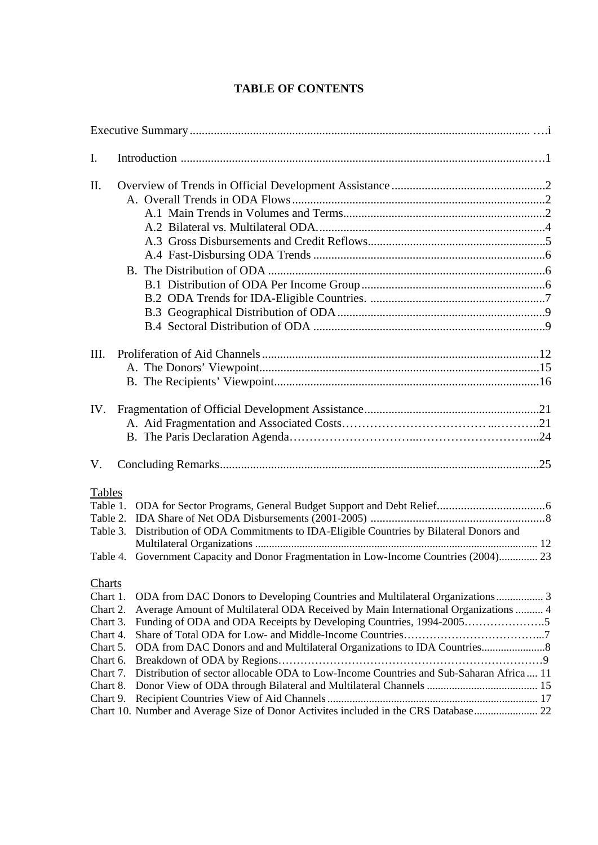## **TABLE OF CONTENTS**

| I.                                                                                                                 |                                                                                                                                                                                                                                                                                                                                                                                                                             |  |
|--------------------------------------------------------------------------------------------------------------------|-----------------------------------------------------------------------------------------------------------------------------------------------------------------------------------------------------------------------------------------------------------------------------------------------------------------------------------------------------------------------------------------------------------------------------|--|
| II.                                                                                                                |                                                                                                                                                                                                                                                                                                                                                                                                                             |  |
|                                                                                                                    |                                                                                                                                                                                                                                                                                                                                                                                                                             |  |
| III.                                                                                                               |                                                                                                                                                                                                                                                                                                                                                                                                                             |  |
| IV.                                                                                                                |                                                                                                                                                                                                                                                                                                                                                                                                                             |  |
| V.                                                                                                                 |                                                                                                                                                                                                                                                                                                                                                                                                                             |  |
| <b>Tables</b><br>Table 1.<br>Table 2.<br>Table 4.                                                                  | Table 3. Distribution of ODA Commitments to IDA-Eligible Countries by Bilateral Donors and<br>Government Capacity and Donor Fragmentation in Low-Income Countries (2004) 23                                                                                                                                                                                                                                                 |  |
| Charts<br>Chart 1.<br>Chart 2.<br>Chart 3.<br>Chart 4.<br>Chart 5.<br>Chart 6.<br>Chart 7.<br>Chart 8.<br>Chart 9. | ODA from DAC Donors to Developing Countries and Multilateral Organizations 3<br>Average Amount of Multilateral ODA Received by Main International Organizations  4<br>Funding of ODA and ODA Receipts by Developing Countries, 1994-20055<br>Distribution of sector allocable ODA to Low-Income Countries and Sub-Saharan Africa 11<br>Chart 10. Number and Average Size of Donor Activites included in the CRS Database 22 |  |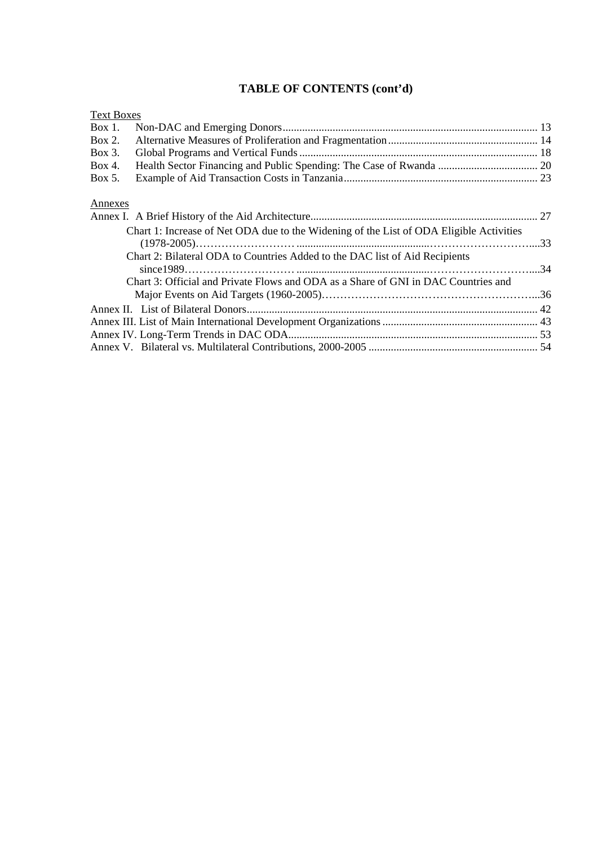## **TABLE OF CONTENTS (cont'd)**

| ext Boxes |
|-----------|
|           |

| $Box 1$ . |                                                                                         |  |
|-----------|-----------------------------------------------------------------------------------------|--|
| Box 2.    |                                                                                         |  |
| Box 3.    |                                                                                         |  |
| Box 4.    |                                                                                         |  |
| Box 5.    |                                                                                         |  |
| Annexes   |                                                                                         |  |
|           |                                                                                         |  |
|           | Chart 1: Increase of Net ODA due to the Widening of the List of ODA Eligible Activities |  |
|           | Chart 2: Bilateral ODA to Countries Added to the DAC list of Aid Recipients             |  |
|           |                                                                                         |  |
|           | Chart 3: Official and Private Flows and ODA as a Share of GNI in DAC Countries and      |  |
|           |                                                                                         |  |
|           |                                                                                         |  |
|           |                                                                                         |  |
|           |                                                                                         |  |
|           |                                                                                         |  |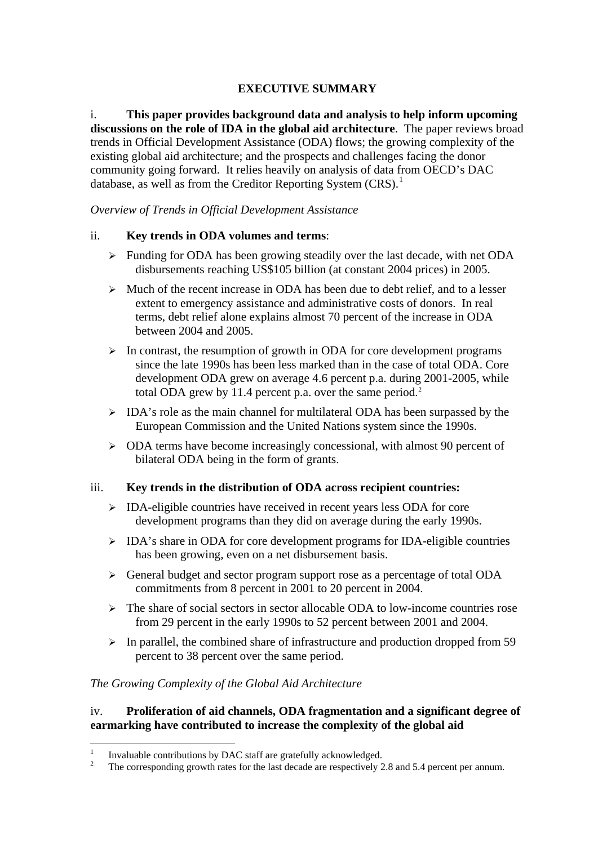## **EXECUTIVE SUMMARY**

i. **This paper provides background data and analysis to help inform upcoming discussions on the role of IDA in the global aid architecture**. The paper reviews broad trends in Official Development Assistance (ODA) flows; the growing complexity of the existing global aid architecture; and the prospects and challenges facing the donor community going forward. It relies heavily on analysis of data from OECD's DAC database, as well as from the Creditor Reporting System (CRS).<sup>[1](#page-4-0)</sup>

*Overview of Trends in Official Development Assistance* 

### ii. **Key trends in ODA volumes and terms**:

- $\triangleright$  Funding for ODA has been growing steadily over the last decade, with net ODA disbursements reaching US\$105 billion (at constant 2004 prices) in 2005.
- $\triangleright$  Much of the recent increase in ODA has been due to debt relief, and to a lesser extent to emergency assistance and administrative costs of donors. In real terms, debt relief alone explains almost 70 percent of the increase in ODA between 2004 and 2005.
- $\triangleright$  In contrast, the resumption of growth in ODA for core development programs since the late 1990s has been less marked than in the case of total ODA. Core development ODA grew on average 4.6 percent p.a. during 2001-2005, while total ODA grew by 11.4 percent p.a. over the same period.<sup>[2](#page-4-1)</sup>
- $\triangleright$  IDA's role as the main channel for multilateral ODA has been surpassed by the European Commission and the United Nations system since the 1990s.
- ¾ ODA terms have become increasingly concessional, with almost 90 percent of bilateral ODA being in the form of grants.

## iii. **Key trends in the distribution of ODA across recipient countries:**

- $\triangleright$  IDA-eligible countries have received in recent years less ODA for core development programs than they did on average during the early 1990s.
- ¾ IDA's share in ODA for core development programs for IDA-eligible countries has been growing, even on a net disbursement basis.
- ¾ General budget and sector program support rose as a percentage of total ODA commitments from 8 percent in 2001 to 20 percent in 2004.
- $\triangleright$  The share of social sectors in sector allocable ODA to low-income countries rose from 29 percent in the early 1990s to 52 percent between 2001 and 2004.
- $\triangleright$  In parallel, the combined share of infrastructure and production dropped from 59 percent to 38 percent over the same period.

## *The Growing Complexity of the Global Aid Architecture*

### iv. **Proliferation of aid channels, ODA fragmentation and a significant degree of earmarking have contributed to increase the complexity of the global aid**

 $\frac{1}{1}$ Invaluable contributions by DAC staff are gratefully acknowledged.

<span id="page-4-1"></span><span id="page-4-0"></span><sup>2</sup> The corresponding growth rates for the last decade are respectively 2.8 and 5.4 percent per annum.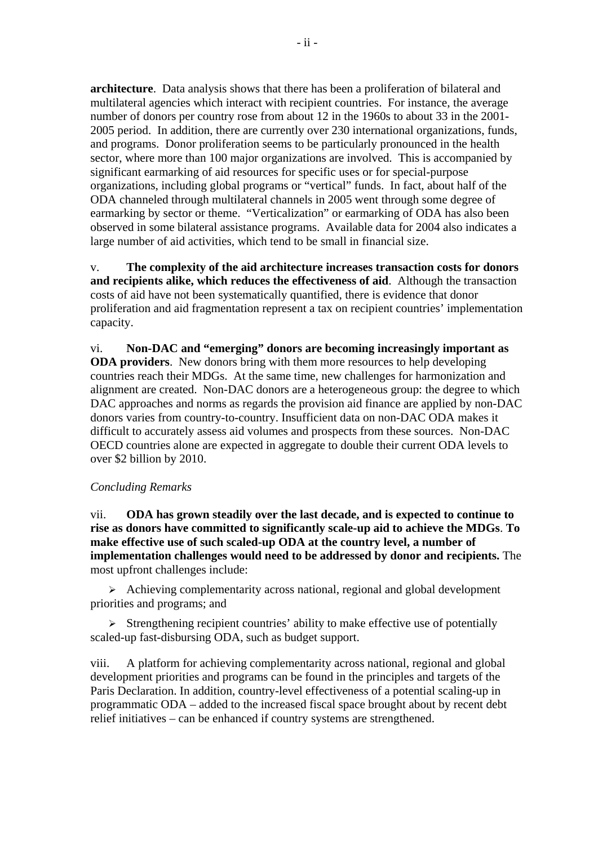**architecture**. Data analysis shows that there has been a proliferation of bilateral and multilateral agencies which interact with recipient countries. For instance, the average number of donors per country rose from about 12 in the 1960s to about 33 in the 2001- 2005 period. In addition, there are currently over 230 international organizations, funds, and programs. Donor proliferation seems to be particularly pronounced in the health sector, where more than 100 major organizations are involved. This is accompanied by significant earmarking of aid resources for specific uses or for special-purpose organizations, including global programs or "vertical" funds. In fact, about half of the ODA channeled through multilateral channels in 2005 went through some degree of earmarking by sector or theme. "Verticalization" or earmarking of ODA has also been observed in some bilateral assistance programs. Available data for 2004 also indicates a large number of aid activities, which tend to be small in financial size.

v. **The complexity of the aid architecture increases transaction costs for donors and recipients alike, which reduces the effectiveness of aid**. Although the transaction costs of aid have not been systematically quantified, there is evidence that donor proliferation and aid fragmentation represent a tax on recipient countries' implementation capacity.

vi. **Non-DAC and "emerging" donors are becoming increasingly important as ODA providers**.New donors bring with them more resources to help developing countries reach their MDGs. At the same time, new challenges for harmonization and alignment are created. Non-DAC donors are a heterogeneous group: the degree to which DAC approaches and norms as regards the provision aid finance are applied by non-DAC donors varies from country-to-country. Insufficient data on non-DAC ODA makes it difficult to accurately assess aid volumes and prospects from these sources. Non-DAC OECD countries alone are expected in aggregate to double their current ODA levels to over \$2 billion by 2010.

#### *Concluding Remarks*

vii. **ODA has grown steadily over the last decade, and is expected to continue to rise as donors have committed to significantly scale-up aid to achieve the MDGs**. **To make effective use of such scaled-up ODA at the country level, a number of implementation challenges would need to be addressed by donor and recipients.** The most upfront challenges include:

 $\triangleright$  Achieving complementarity across national, regional and global development priorities and programs; and

 $\triangleright$  Strengthening recipient countries' ability to make effective use of potentially scaled-up fast-disbursing ODA, such as budget support.

viii. A platform for achieving complementarity across national, regional and global development priorities and programs can be found in the principles and targets of the Paris Declaration. In addition, country-level effectiveness of a potential scaling-up in programmatic ODA – added to the increased fiscal space brought about by recent debt relief initiatives – can be enhanced if country systems are strengthened.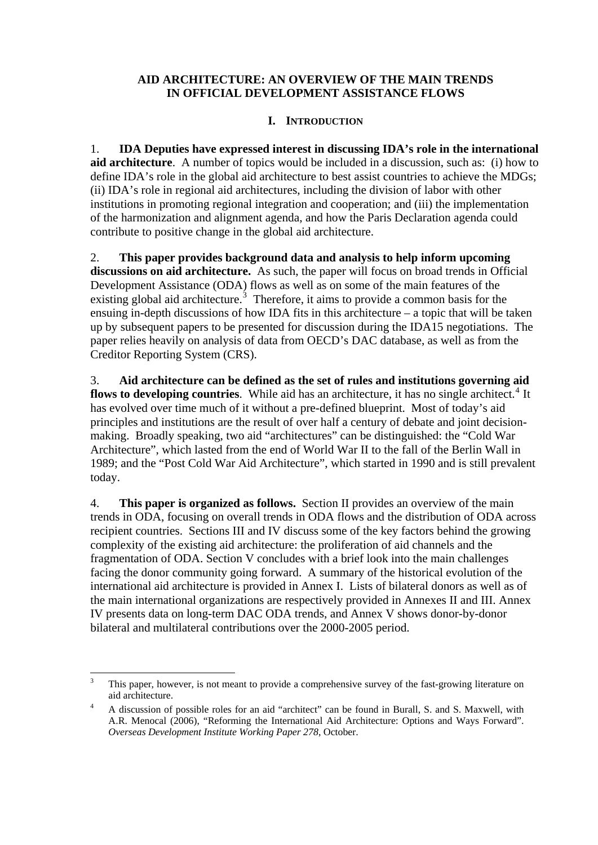## **AID ARCHITECTURE: AN OVERVIEW OF THE MAIN TRENDS IN OFFICIAL DEVELOPMENT ASSISTANCE FLOWS**

## **I. INTRODUCTION**

1. **IDA Deputies have expressed interest in discussing IDA's role in the international aid architecture**. A number of topics would be included in a discussion, such as: (i) how to define IDA's role in the global aid architecture to best assist countries to achieve the MDGs; (ii) IDA's role in regional aid architectures, including the division of labor with other institutions in promoting regional integration and cooperation; and (iii) the implementation of the harmonization and alignment agenda, and how the Paris Declaration agenda could contribute to positive change in the global aid architecture.

2. **This paper provides background data and analysis to help inform upcoming discussions on aid architecture.** As such, the paper will focus on broad trends in Official Development Assistance (ODA) flows as well as on some of the main features of the existing global aid architecture.<sup>[3](#page-6-0)</sup> Therefore, it aims to provide a common basis for the ensuing in-depth discussions of how IDA fits in this architecture – a topic that will be taken up by subsequent papers to be presented for discussion during the IDA15 negotiations. The paper relies heavily on analysis of data from OECD's DAC database, as well as from the Creditor Reporting System (CRS).

3. **Aid architecture can be defined as the set of rules and institutions governing aid**  flows to developing countries. While aid has an architecture, it has no single architect.<sup>[4](#page-6-1)</sup> It has evolved over time much of it without a pre-defined blueprint. Most of today's aid principles and institutions are the result of over half a century of debate and joint decisionmaking. Broadly speaking, two aid "architectures" can be distinguished: the "Cold War Architecture", which lasted from the end of World War II to the fall of the Berlin Wall in 1989; and the "Post Cold War Aid Architecture", which started in 1990 and is still prevalent today.

4. **This paper is organized as follows.** Section II provides an overview of the main trends in ODA, focusing on overall trends in ODA flows and the distribution of ODA across recipient countries. Sections III and IV discuss some of the key factors behind the growing complexity of the existing aid architecture: the proliferation of aid channels and the fragmentation of ODA. Section V concludes with a brief look into the main challenges facing the donor community going forward. A summary of the historical evolution of the international aid architecture is provided in Annex I.Lists of bilateral donors as well as of the main international organizations are respectively provided in Annexes II and III. Annex IV presents data on long-term DAC ODA trends, and Annex V shows donor-by-donor bilateral and multilateral contributions over the 2000-2005 period.

<span id="page-6-0"></span> $\frac{1}{3}$  This paper, however, is not meant to provide a comprehensive survey of the fast-growing literature on aid architecture.

<span id="page-6-1"></span>A discussion of possible roles for an aid "architect" can be found in Burall, S. and S. Maxwell, with A.R. Menocal (2006), "Reforming the International Aid Architecture: Options and Ways Forward". *Overseas Development Institute Working Paper 278*, October.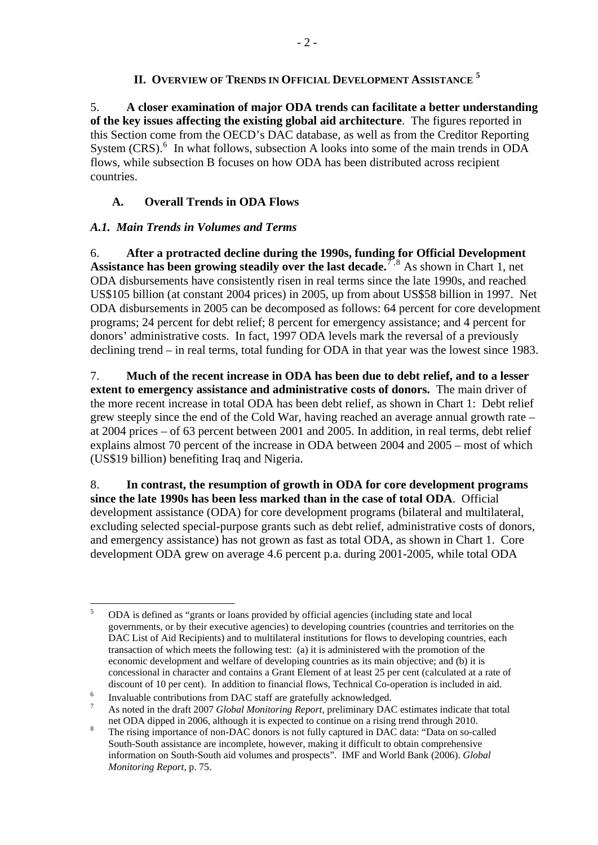## **II. OVERVIEW OF TRENDS IN OFFICIAL DEVELOPMENT ASSISTANCE [5](#page-7-0)**

5. **A closer examination of major ODA trends can facilitate a better understanding of the key issues affecting the existing global aid architecture**.The figures reported in this Section come from the OECD's DAC database, as well as from the Creditor Reporting System  $(CRS)$ <sup>[6](#page-7-1)</sup>. In what follows, subsection A looks into some of the main trends in ODA flows, while subsection B focuses on how ODA has been distributed across recipient countries.

## **A. Overall Trends in ODA Flows**

## *A.1. Main Trends in Volumes and Terms*

6. **After a protracted decline during the 1990s, funding for Official Development Assistance has been growing steadily over the last decade.**  $\bar{7}$  $\bar{7}$  $\bar{7}$ ,  $\bar{8}$  $\bar{8}$  $\bar{8}$  As shown in Chart 1, net ODA disbursements have consistently risen in real terms since the late 1990s, and reached US\$105 billion (at constant 2004 prices) in 2005, up from about US\$58 billion in 1997. Net ODA disbursements in 2005 can be decomposed as follows: 64 percent for core development programs; 24 percent for debt relief; 8 percent for emergency assistance; and 4 percent for donors' administrative costs. In fact, 1997 ODA levels mark the reversal of a previously declining trend – in real terms, total funding for ODA in that year was the lowest since 1983.

7. **Much of the recent increase in ODA has been due to debt relief, and to a lesser extent to emergency assistance and administrative costs of donors.** The main driver of the more recent increase in total ODA has been debt relief, as shown in Chart 1: Debt relief grew steeply since the end of the Cold War, having reached an average annual growth rate – at 2004 prices – of 63 percent between 2001 and 2005. In addition, in real terms, debt relief explains almost 70 percent of the increase in ODA between 2004 and 2005 – most of which (US\$19 billion) benefiting Iraq and Nigeria.

8. **In contrast, the resumption of growth in ODA for core development programs since the late 1990s has been less marked than in the case of total ODA**. Official development assistance (ODA) for core development programs (bilateral and multilateral, excluding selected special-purpose grants such as debt relief, administrative costs of donors, and emergency assistance) has not grown as fast as total ODA, as shown in Chart 1. Core development ODA grew on average 4.6 percent p.a. during 2001-2005, while total ODA

<span id="page-7-0"></span> $\frac{1}{5}$  ODA is defined as "grants or loans provided by official agencies (including state and local governments, or by their executive agencies) to developing countries (countries and territories on the DAC List of Aid Recipients) and to multilateral institutions for flows to developing countries, each transaction of which meets the following test: (a) it is administered with the promotion of the economic development and welfare of developing countries as its main objective; and (b) it is concessional in character and contains a Grant Element of at least 25 per cent (calculated at a rate of discount of 10 per cent). In addition to financial flows, Technical Co-operation is included in aid.<br>
<sup>6</sup> Lavaluable contributions from DAC staff are gratefully selmoyed and

Invaluable contributions from DAC staff are gratefully acknowledged.

<span id="page-7-2"></span><span id="page-7-1"></span><sup>7</sup> As noted in the draft 2007 *Global Monitoring Report*, preliminary DAC estimates indicate that total net ODA dipped in 2006, although it is expected to continue on a rising trend through 2010.

<span id="page-7-3"></span>The rising importance of non-DAC donors is not fully captured in DAC data: "Data on so-called South-South assistance are incomplete, however, making it difficult to obtain comprehensive information on South-South aid volumes and prospects". IMF and World Bank (2006). *Global Monitoring Report*, p. 75.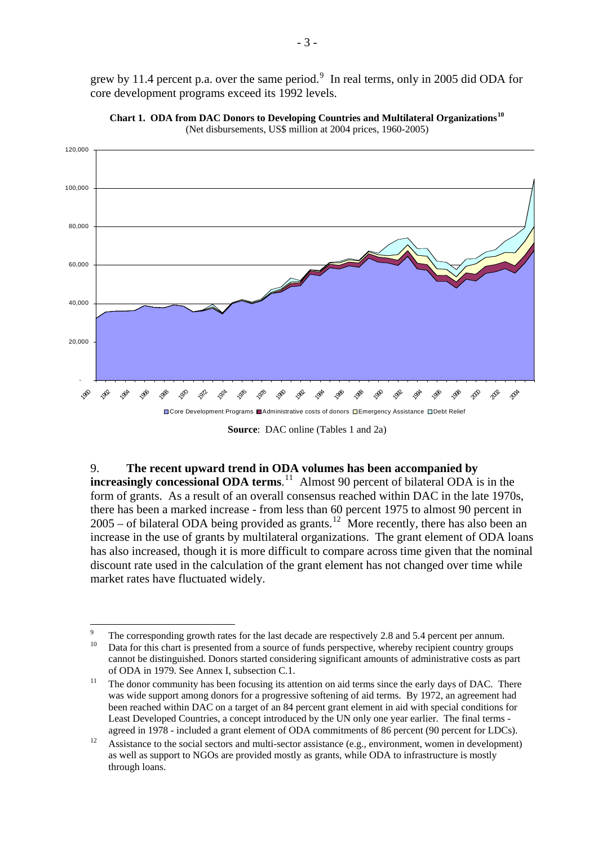grew by 11.4 percent p.a. over the same period. $\frac{9}{10}$  $\frac{9}{10}$  $\frac{9}{10}$  In real terms, only in 2005 did ODA for core development programs exceed its 1992 levels.





**Source**: DAC online (Tables 1 and 2a)

9. **The recent upward trend in ODA volumes has been accompanied by increasingly concessional ODA terms.**<sup>[11](#page-8-2)</sup> Almost 90 percent of bilateral ODA is in the form of grants. As a result of an overall consensus reached within DAC in the late 1970s, there has been a marked increase - from less than 60 percent 1975 to almost 90 percent in  $2005 -$  of bilateral ODA being provided as grants.<sup>[12](#page-8-3)</sup> More recently, there has also been an increase in the use of grants by multilateral organizations. The grant element of ODA loans has also increased, though it is more difficult to compare across time given that the nominal discount rate used in the calculation of the grant element has not changed over time while market rates have fluctuated widely.

<sup>-&</sup>lt;br>9 The corresponding growth rates for the last decade are respectively 2.8 and 5.4 percent per annum.<br><sup>10</sup> Data for this chart is presented from a source of funds perspective, whereby recipient country groups cannot be distinguished. Donors started considering significant amounts of administrative costs as part

of ODA in 1979. See Annex I, subsection C.1.<br><sup>11</sup> The donor community has been focusing its attention on aid terms since the early days of DAC. There was wide support among donors for a progressive softening of aid terms. By 1972, an agreement had been reached within DAC on a target of an 84 percent grant element in aid with special conditions for Least Developed Countries, a concept introduced by the UN only one year earlier. The final terms -

<span id="page-8-3"></span><span id="page-8-2"></span><span id="page-8-1"></span><span id="page-8-0"></span>agreed in 1978 - included a grant element of ODA commitments of 86 percent (90 percent for LDCs).<br><sup>12</sup> Assistance to the social sectors and multi-sector assistance (e.g., environment, women in development) as well as support to NGOs are provided mostly as grants, while ODA to infrastructure is mostly through loans.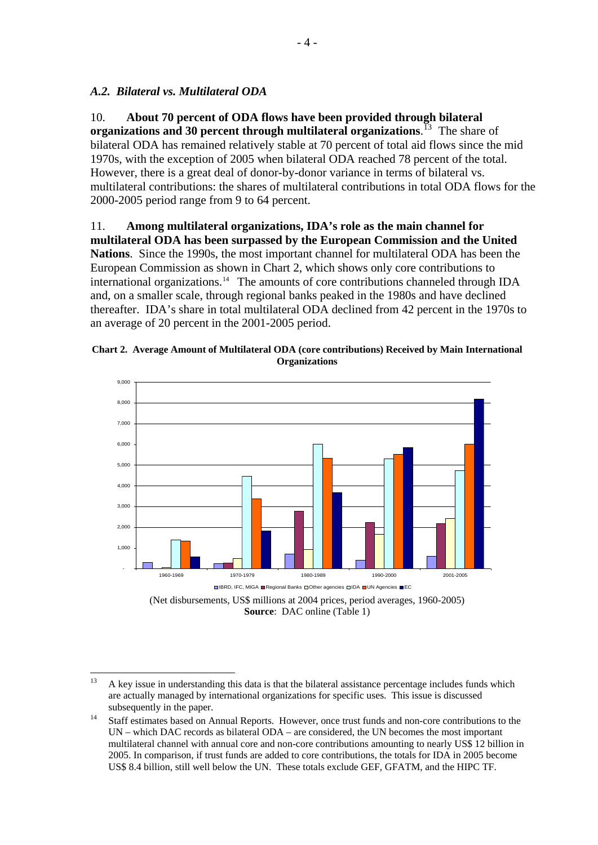## *A.2. Bilateral vs. Multilateral ODA*

10. **About 70 percent of ODA flows have been provided through bilateral organizations and 30 percent through multilateral organizations**. [13](#page-9-0) The share of bilateral ODA has remained relatively stable at 70 percent of total aid flows since the mid 1970s, with the exception of 2005 when bilateral ODA reached 78 percent of the total. However, there is a great deal of donor-by-donor variance in terms of bilateral vs. multilateral contributions: the shares of multilateral contributions in total ODA flows for the 2000-2005 period range from 9 to 64 percent.

#### 11. **Among multilateral organizations, IDA's role as the main channel for**

**multilateral ODA has been surpassed by the European Commission and the United Nations**. Since the 1990s, the most important channel for multilateral ODA has been the European Commission as shown in Chart 2, which shows only core contributions to international organizations.<sup>14</sup> The amounts of core contributions channeled through IDA and, on a smaller scale, through regional banks peaked in the 1980s and have declined thereafter. IDA's share in total multilateral ODA declined from 42 percent in the 1970s to an average of 20 percent in the 2001-2005 period.





(Net disbursements, US\$ millions at 2004 prices, period averages, 1960-2005) **Source**: DAC online (Table 1)

 $13$ 13 A key issue in understanding this data is that the bilateral assistance percentage includes funds which are actually managed by international organizations for specific uses. This issue is discussed

<span id="page-9-1"></span><span id="page-9-0"></span>subsequently in the paper.<br><sup>14</sup> Staff estimates based on Annual Reports. However, once trust funds and non-core contributions to the UN – which DAC records as bilateral ODA – are considered, the UN becomes the most important multilateral channel with annual core and non-core contributions amounting to nearly US\$ 12 billion in 2005. In comparison, if trust funds are added to core contributions, the totals for IDA in 2005 become US\$ 8.4 billion, still well below the UN. These totals exclude GEF, GFATM, and the HIPC TF.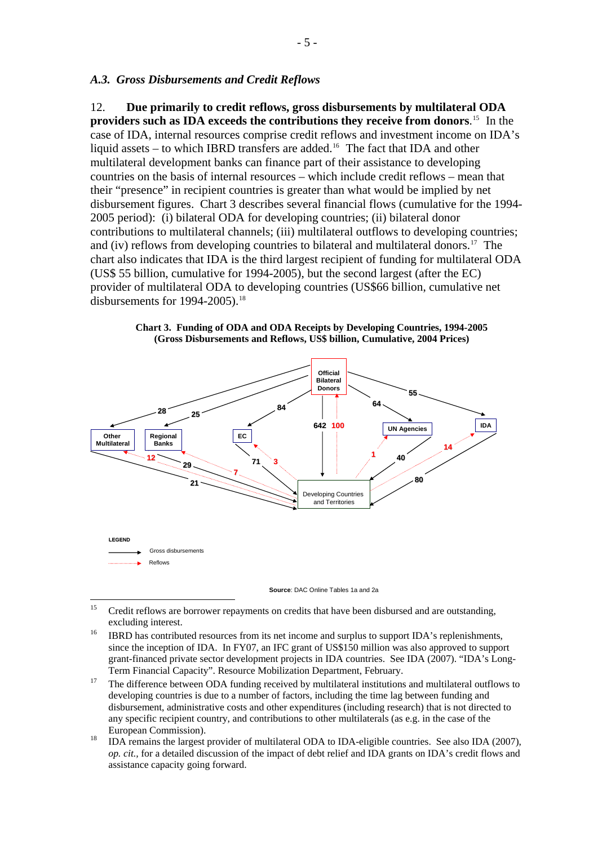#### *A.3. Gross Disbursements and Credit Reflows*

12. **Due primarily to credit reflows, gross disbursements by multilateral ODA providers such as IDA exceeds the contributions they receive from donors**. [15](#page-10-0)In the case of IDA, internal resources comprise credit reflows and investment income on IDA's liquid assets – to which IBRD transfers are added.<sup>[16](#page-10-1)</sup> The fact that IDA and other multilateral development banks can finance part of their assistance to developing countries on the basis of internal resources – which include credit reflows – mean that their "presence" in recipient countries is greater than what would be implied by net disbursement figures. Chart 3 describes several financial flows (cumulative for the 1994- 2005 period): (i) bilateral ODA for developing countries; (ii) bilateral donor contributions to multilateral channels; (iii) multilateral outflows to developing countries; and (iv) reflows from developing countries to bilateral and multilateral donors.<sup>[17](#page-10-2)</sup> The chart also indicates that IDA is the third largest recipient of funding for multilateral ODA (US\$ 55 billion, cumulative for 1994-2005), but the second largest (after the EC) provider of multilateral ODA to developing countries (US\$66 billion, cumulative net disbursements for  $1994-2005$ ).<sup>[18](#page-10-3)</sup>



**Chart 3. Funding of ODA and ODA Receipts by Developing Countries, 1994-2005 (Gross Disbursements and Reflows, US\$ billion, Cumulative, 2004 Prices)** 

**Source**: DAC Online Tables 1a and 2a

- <span id="page-10-1"></span>developing countries is due to a number of factors, including the time lag between funding and disbursement, administrative costs and other expenditures (including research) that is not directed to any specific recipient country, and contributions to other multilaterals (as e.g. in the case of the European Commission).<br><sup>18</sup> IDA remains the largest provider of multilateral ODA to IDA-eligible countries. See also IDA (2007),
- <span id="page-10-3"></span><span id="page-10-2"></span>*op. cit.,* for a detailed discussion of the impact of debt relief and IDA grants on IDA's credit flows and assistance capacity going forward.

 $15$ 15 Credit reflows are borrower repayments on credits that have been disbursed and are outstanding, excluding interest.<br><sup>16</sup> IBRD has contributed resources from its net income and surplus to support IDA's replenishments,

<span id="page-10-0"></span>since the inception of IDA. In FY07, an IFC grant of US\$150 million was also approved to support grant-financed private sector development projects in IDA countries. See IDA (2007). "IDA's Long-Term Financial Capacity". Resource Mobilization Department, February.<br><sup>17</sup> The difference between ODA funding received by multilateral institutions and multilateral outflows to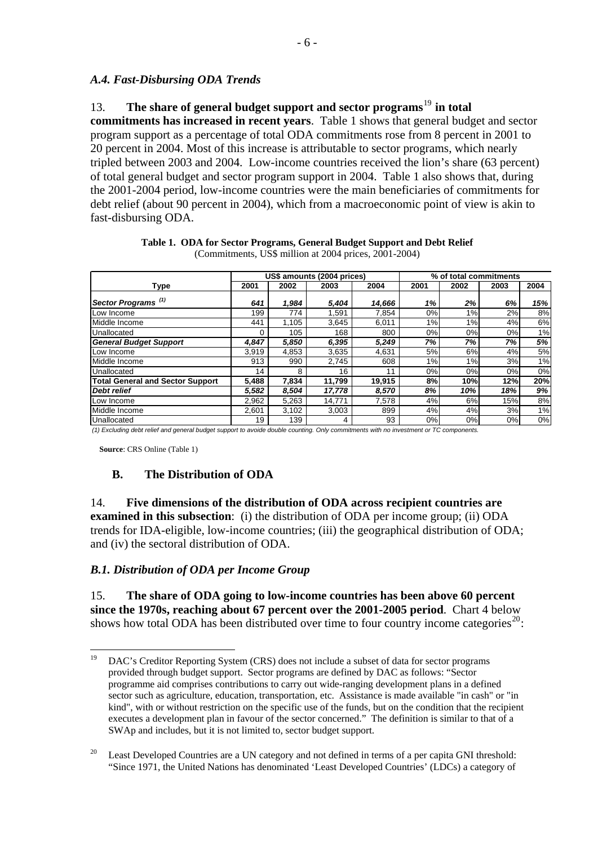### *A.4. Fast-Disbursing ODA Trends*

13. **The share of general budget support and sector programs**[19](#page-11-0) **in total commitments has increased in recent years**. Table 1 shows that general budget and sector program support as a percentage of total ODA commitments rose from 8 percent in 2001 to 20 percent in 2004. Most of this increase is attributable to sector programs, which nearly tripled between 2003 and 2004. Low-income countries received the lion's share (63 percent) of total general budget and sector program support in 2004. Table 1 also shows that, during the 2001-2004 period, low-income countries were the main beneficiaries of commitments for debt relief (about 90 percent in 2004), which from a macroeconomic point of view is akin to fast-disbursing ODA.

|                                         |       |       | US\$ amounts (2004 prices) | % of total commitments |      |      |      |      |
|-----------------------------------------|-------|-------|----------------------------|------------------------|------|------|------|------|
| <b>Type</b>                             | 2001  | 2002  | 2003                       | 2004                   | 2001 | 2002 | 2003 | 2004 |
| Sector Programs <sup>(1)</sup>          | 641   | 1,984 | 5,404                      | 14,666                 | 1%   | 2%   | 6%   | 15%  |
| Low Income                              | 199   | 774   | 1.591                      | 7.854                  | 0%   | 1%   | 2%   | 8%   |
| Middle Income                           | 441   | 1,105 | 3,645                      | 6,011                  | 1%   | 1%   | 4%   | 6%   |
| Unallocated                             | 0     | 105   | 168                        | 800                    | 0%   | 0%   | 0%   | 1%   |
| <b>General Budget Support</b>           | 4.847 | 5,850 | 6,395                      | 5,249                  | 7%   | 7%   | 7%   | 5%   |
| Low Income                              | 3.919 | 4,853 | 3.635                      | 4,631                  | 5%   | 6%   | 4%   | 5%   |
| Middle Income                           | 913   | 990   | 2.745                      | 608                    | 1%   | 1%   | 3%   | 1%   |
| Unallocated                             | 14    | 8     | 16                         | 11                     | 0%   | 0%   | 0%   | 0%   |
| <b>Total General and Sector Support</b> | 5,488 | 7,834 | 11,799                     | 19,915                 | 8%   | 10%  | 12%  | 20%  |
| <b>Debt relief</b>                      | 5,582 | 8,504 | 17,778                     | 8,570                  | 8%   | 10%  | 18%  | 9%   |
| Low Income                              | 2.962 | 5,263 | 14,771                     | 7.578                  | 4%   | 6%   | 15%  | 8%   |
| Middle Income                           | 2,601 | 3,102 | 3,003                      | 899                    | 4%   | 4%   | 3%   | 1%   |
| Unallocated                             | 19    | 139   | 4                          | 93                     | 0%   | 0%   | 0%   | 0%   |

**Table 1. ODA for Sector Programs, General Budget Support and Debt Relief**  (Commitments, US\$ million at 2004 prices, 2001-2004)

*(1) Excluding debt relief and general budget support to avoide double counting. Only commitments with no investment or TC components.*

**Source**: CRS Online (Table 1)

#### **B. The Distribution of ODA**

14. **Five dimensions of the distribution of ODA across recipient countries are examined in this subsection**: (i) the distribution of ODA per income group; (ii) ODA trends for IDA-eligible, low-income countries; (iii) the geographical distribution of ODA; and (iv) the sectoral distribution of ODA.

#### *B.1. Distribution of ODA per Income Group*

15. **The share of ODA going to low-income countries has been above 60 percent since the 1970s, reaching about 67 percent over the 2001-2005 period**. Chart 4 below shows how total ODA has been distributed over time to four country income categories<sup>[20](#page-11-1)</sup>:

 $19$ 19 DAC's Creditor Reporting System (CRS) does not include a subset of data for sector programs provided through budget support. Sector programs are defined by DAC as follows: "Sector programme aid comprises contributions to carry out wide-ranging development plans in a defined sector such as agriculture, education, transportation, etc. Assistance is made available "in cash" or "in kind", with or without restriction on the specific use of the funds, but on the condition that the recipient executes a development plan in favour of the sector concerned." The definition is similar to that of a SWAp and includes, but it is not limited to, sector budget support.

<span id="page-11-1"></span><span id="page-11-0"></span><sup>&</sup>lt;sup>20</sup> Least Developed Countries are a UN category and not defined in terms of a per capita GNI threshold: "Since 1971, the United Nations has denominated 'Least Developed Countries' (LDCs) a category of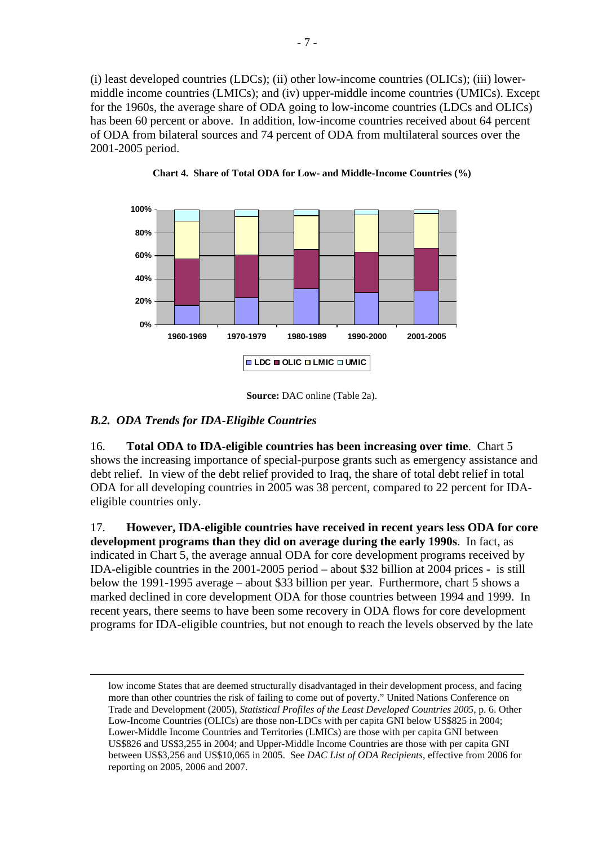(i) least developed countries (LDCs); (ii) other low-income countries (OLICs); (iii) lowermiddle income countries (LMICs); and (iv) upper-middle income countries (UMICs). Except for the 1960s, the average share of ODA going to low-income countries (LDCs and OLICs) has been 60 percent or above. In addition, low-income countries received about 64 percent of ODA from bilateral sources and 74 percent of ODA from multilateral sources over the 2001-2005 period.



**Chart 4. Share of Total ODA for Low- and Middle-Income Countries (%)** 

## *B.2. ODA Trends for IDA-Eligible Countries*

16. **Total ODA to IDA-eligible countries has been increasing over time**.Chart 5 shows the increasing importance of special-purpose grants such as emergency assistance and debt relief. In view of the debt relief provided to Iraq, the share of total debt relief in total ODA for all developing countries in 2005 was 38 percent, compared to 22 percent for IDAeligible countries only.

17. **However, IDA-eligible countries have received in recent years less ODA for core development programs than they did on average during the early 1990s**. In fact, as indicated in Chart 5, the average annual ODA for core development programs received by IDA-eligible countries in the 2001-2005 period – about \$32 billion at 2004 prices - is still below the 1991-1995 average – about \$33 billion per year. Furthermore, chart 5 shows a marked declined in core development ODA for those countries between 1994 and 1999. In recent years, there seems to have been some recovery in ODA flows for core development programs for IDA-eligible countries, but not enough to reach the levels observed by the late

**Source:** DAC online (Table 2a).

low income States that are deemed structurally disadvantaged in their development process, and facing more than other countries the risk of failing to come out of poverty." United Nations Conference on Trade and Development (2005), *Statistical Profiles of the Least Developed Countries 2005*, p. 6. Other Low-Income Countries (OLICs) are those non-LDCs with per capita GNI below US\$825 in 2004; Lower-Middle Income Countries and Territories (LMICs) are those with per capita GNI between US\$826 and US\$3,255 in 2004; and Upper-Middle Income Countries are those with per capita GNI between US\$3,256 and US\$10,065 in 2005. See *DAC List of ODA Recipients*, effective from 2006 for reporting on 2005, 2006 and 2007.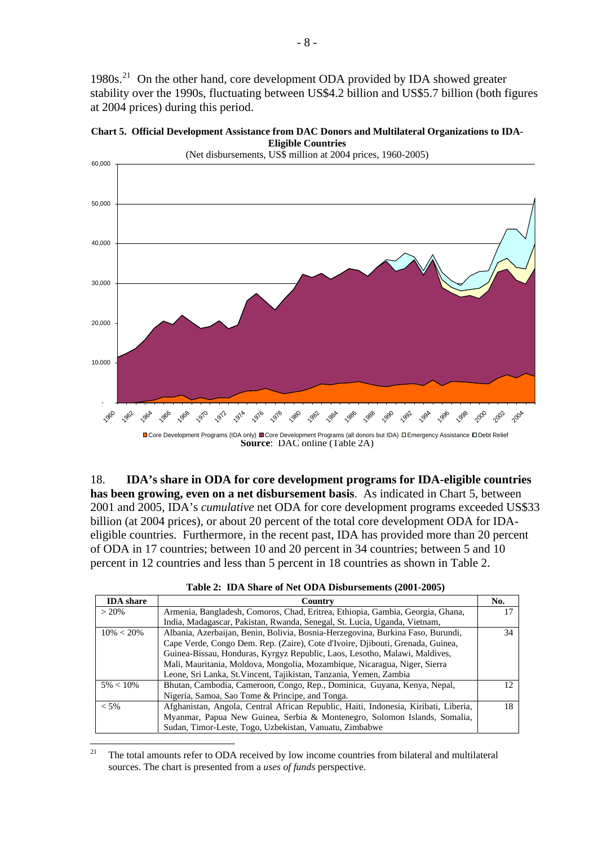<span id="page-13-0"></span>1980s.<sup>[21](#page-13-0)</sup> On the other hand, core development ODA provided by IDA showed greater stability over the 1990s, fluctuating between US\$4.2 billion and US\$5.7 billion (both figures at 2004 prices) during this period.





18. **IDA's share in ODA for core development programs for IDA-eligible countries has been growing, even on a net disbursement basis**. As indicated in Chart 5, between 2001 and 2005, IDA's *cumulative* net ODA for core development programs exceeded US\$33 billion (at 2004 prices), or about 20 percent of the total core development ODA for IDAeligible countries. Furthermore, in the recent past, IDA has provided more than 20 percent of ODA in 17 countries; between 10 and 20 percent in 34 countries; between 5 and 10 percent in 12 countries and less than 5 percent in 18 countries as shown in Table 2.

| <b>IDA</b> share | Country                                                                             | No.             |
|------------------|-------------------------------------------------------------------------------------|-----------------|
| $> 20\%$         | Armenia, Bangladesh, Comoros, Chad, Eritrea, Ethiopia, Gambia, Georgia, Ghana,      | 17              |
|                  | India, Madagascar, Pakistan, Rwanda, Senegal, St. Lucia, Uganda, Vietnam,           |                 |
| $10\% < 20\%$    | Albania, Azerbaijan, Benin, Bolivia, Bosnia-Herzegovina, Burkina Faso, Burundi,     | 34              |
|                  | Cape Verde, Congo Dem. Rep. (Zaire), Cote d'Ivoire, Djibouti, Grenada, Guinea,      |                 |
|                  | Guinea-Bissau, Honduras, Kyrgyz Republic, Laos, Lesotho, Malawi, Maldives,          |                 |
|                  | Mali, Mauritania, Moldova, Mongolia, Mozambique, Nicaragua, Niger, Sierra           |                 |
|                  | Leone, Sri Lanka, St. Vincent, Tajikistan, Tanzania, Yemen, Zambia                  |                 |
| $5\% < 10\%$     | Bhutan, Cambodia, Cameroon, Congo, Rep., Dominica, Guyana, Kenya, Nepal,            | 12 <sub>1</sub> |
|                  | Nigeria, Samoa, Sao Tome & Principe, and Tonga.                                     |                 |
| $< 5\%$          | Afghanistan, Angola, Central African Republic, Haiti, Indonesia, Kiribati, Liberia, | 18              |
|                  | Myanmar, Papua New Guinea, Serbia & Montenegro, Solomon Islands, Somalia,           |                 |
|                  | Sudan, Timor-Leste, Togo, Uzbekistan, Vanuatu, Zimbabwe                             |                 |

**Table 2: IDA Share of Net ODA Disbursements (2001-2005)** 

**Source**: DAC online (Table 2A) Core Development Programs (IDA only) ■Core Development Programs (all donors but IDA) □Emergency Assistance □Debt Relief

 $\overline{21}$ 21 The total amounts refer to ODA received by low income countries from bilateral and multilateral sources. The chart is presented from a *uses of funds* perspective.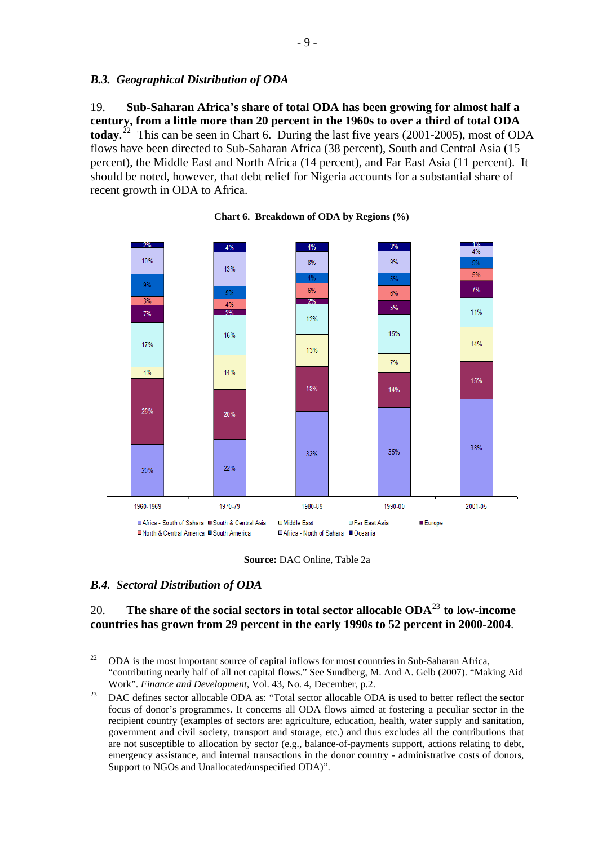#### <span id="page-14-0"></span>*B.3. Geographical Distribution of ODA*

19. **Sub-Saharan Africa's share of total ODA has been growing for almost half a century, from a little more than 20 percent in the 1960s to over a third of total ODA today.**<sup>[22](#page-14-0)</sup> This can be seen in Chart 6. During the last five years (2001-2005), most of ODA flows have been directed to Sub-Saharan Africa (38 percent), South and Central Asia (15 percent), the Middle East and North Africa (14 percent), and Far East Asia (11 percent). It should be noted, however, that debt relief for Nigeria accounts for a substantial share of recent growth in ODA to Africa.



**Chart 6. Breakdown of ODA by Regions (%)** 

**Source:** DAC Online, Table 2a

#### *B.4. Sectoral Distribution of ODA*

20. **The share of the social sectors in total sector allocable ODA**[23](#page-14-0) **to low-income countries has grown from 29 percent in the early 1990s to 52 percent in 2000-2004**.

 $22$ 22 ODA is the most important source of capital inflows for most countries in Sub-Saharan Africa, "contributing nearly half of all net capital flows." See Sundberg, M. And A. Gelb (2007). "Making Aid

Work". *Finance and Development*, Vol. 43, No. 4, December, p.2.<br><sup>23</sup> DAC defines sector allocable ODA as: "Total sector allocable ODA is used to better reflect the sector focus of donor's programmes. It concerns all ODA flows aimed at fostering a peculiar sector in the recipient country (examples of sectors are: agriculture, education, health, water supply and sanitation, government and civil society, transport and storage, etc.) and thus excludes all the contributions that are not susceptible to allocation by sector (e.g., balance-of-payments support, actions relating to debt, emergency assistance, and internal transactions in the donor country - administrative costs of donors, Support to NGOs and Unallocated/unspecified ODA)".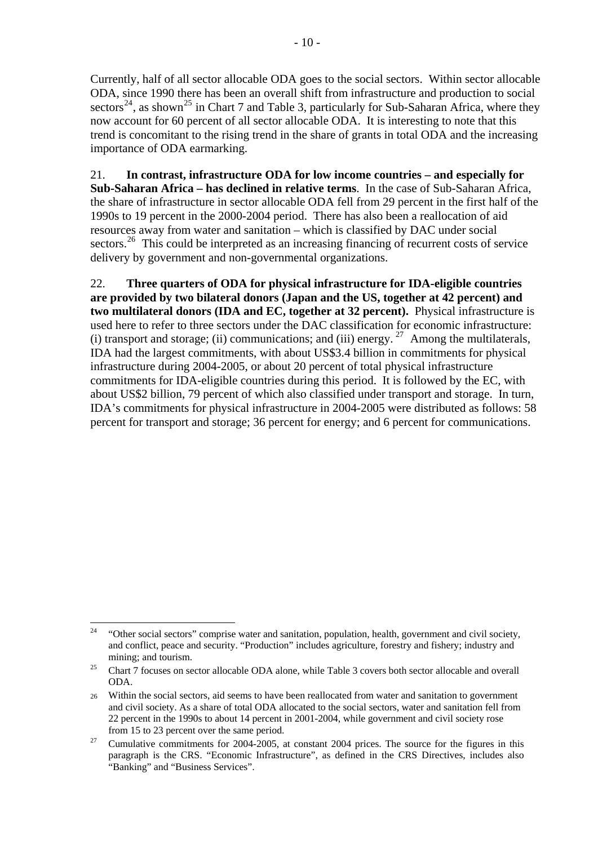<span id="page-15-0"></span>Currently, half of all sector allocable ODA goes to the social sectors. Within sector allocable ODA, since 1990 there has been an overall shift from infrastructure and production to social sectors<sup>[24](#page-15-0)</sup>, as shown<sup>[25](#page-15-0)</sup> in Chart 7 and Table 3, particularly for Sub-Saharan Africa, where they now account for 60 percent of all sector allocable ODA. It is interesting to note that this trend is concomitant to the rising trend in the share of grants in total ODA and the increasing importance of ODA earmarking.

21. **In contrast, infrastructure ODA for low income countries – and especially for Sub-Saharan Africa – has declined in relative terms**. In the case of Sub-Saharan Africa, the share of infrastructure in sector allocable ODA fell from 29 percent in the first half of the 1990s to 19 percent in the 2000-2004 period. There has also been a reallocation of aid resources away from water and sanitation – which is classified by DAC under social sectors.<sup>[26](#page-15-0)</sup> This could be interpreted as an increasing financing of recurrent costs of service delivery by government and non-governmental organizations.

22. **Three quarters of ODA for physical infrastructure for IDA-eligible countries are provided by two bilateral donors (Japan and the US, together at 42 percent) and two multilateral donors (IDA and EC, together at 32 percent).** Physical infrastructure is used here to refer to three sectors under the DAC classification for economic infrastructure: (i) transport and storage; (ii) communications; and (iii) energy.  $27$  Among the multilaterals, IDA had the largest commitments, with about US\$3.4 billion in commitments for physical infrastructure during 2004-2005, or about 20 percent of total physical infrastructure commitments for IDA-eligible countries during this period.It is followed by the EC, with about US\$2 billion, 79 percent of which also classified under transport and storage. In turn, IDA's commitments for physical infrastructure in 2004-2005 were distributed as follows: 58 percent for transport and storage; 36 percent for energy; and 6 percent for communications.

<sup>24</sup> 24 "Other social sectors" comprise water and sanitation, population, health, government and civil society, and conflict, peace and security. "Production" includes agriculture, forestry and fishery; industry and mining; and tourism.<br><sup>25</sup> Chart 7 focuses on sector allocable ODA alone, while Table 3 covers both sector allocable and overall

ODA.

<sup>26</sup> Within the social sectors, aid seems to have been reallocated from water and sanitation to government and civil society. As a share of total ODA allocated to the social sectors, water and sanitation fell from 22 percent in the 1990s to about 14 percent in 2001-2004, while government and civil society rose

from 15 to 23 percent over the same period.<br><sup>27</sup> Cumulative commitments for 2004-2005, at constant 2004 prices. The source for the figures in this paragraph is the CRS. "Economic Infrastructure", as defined in the CRS Directives, includes also "Banking" and "Business Services".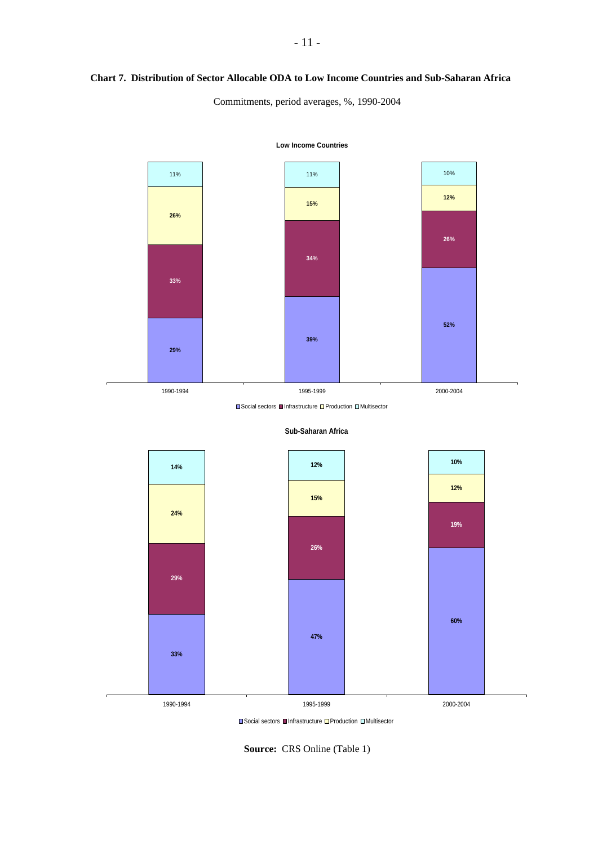#### **Chart 7. Distribution of Sector Allocable ODA to Low Income Countries and Sub-Saharan Africa**

Commitments, period averages, %, 1990-2004



**Low Income Countries**

**■Social sectors ■Infrastructure ■Production ■Multisector** 



**Sub-Saharan Africa**

**■Social sectors ■Infrastructure ■Production ■Multisector** 

**Source:** CRS Online (Table 1)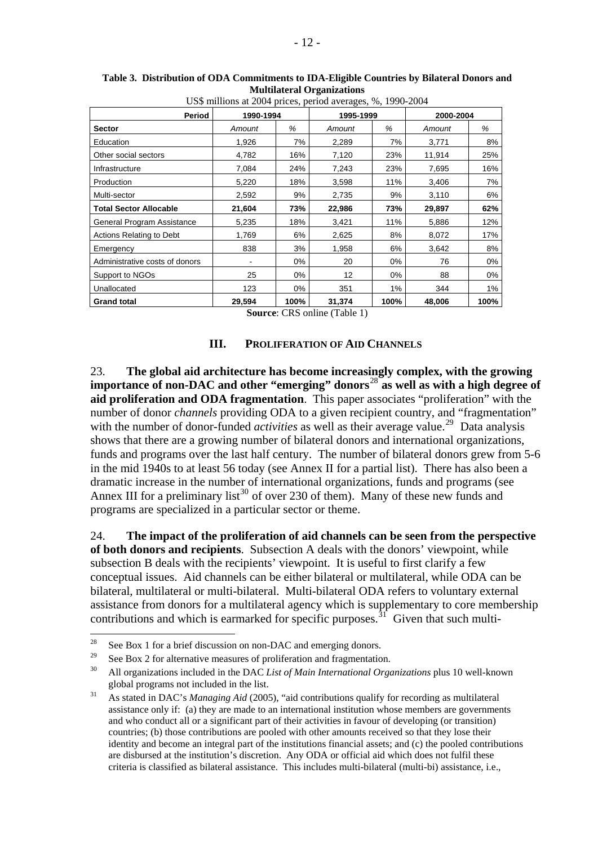|                                | US\$ millions at 2004 prices, period averages, %, 1990-2004 |      |           |       |           |       |
|--------------------------------|-------------------------------------------------------------|------|-----------|-------|-----------|-------|
| Period                         | 1990-1994                                                   |      | 1995-1999 |       | 2000-2004 |       |
| <b>Sector</b>                  | Amount                                                      | %    | Amount    | ℅     | Amount    | %     |
| Education                      | 1,926                                                       | 7%   | 2,289     | 7%    | 3,771     | 8%    |
| Other social sectors           | 4,782                                                       | 16%  | 7,120     | 23%   | 11,914    | 25%   |
| Infrastructure                 | 7,084                                                       | 24%  | 7,243     | 23%   | 7,695     | 16%   |
| Production                     | 5,220                                                       | 18%  | 3,598     | 11%   | 3,406     | 7%    |
| Multi-sector                   | 2,592                                                       | 9%   | 2,735     | 9%    | 3,110     | 6%    |
| <b>Total Sector Allocable</b>  | 21,604                                                      | 73%  | 22,986    | 73%   | 29,897    | 62%   |
| General Program Assistance     | 5,235                                                       | 18%  | 3,421     | 11%   | 5,886     | 12%   |
| Actions Relating to Debt       | 1,769                                                       | 6%   | 2,625     | 8%    | 8,072     | 17%   |
| Emergency                      | 838                                                         | 3%   | 1,958     | 6%    | 3,642     | 8%    |
| Administrative costs of donors |                                                             | 0%   | 20        | 0%    | 76        | $0\%$ |
| Support to NGOs                | 25                                                          | 0%   | 12        | $0\%$ | 88        | $0\%$ |
| Unallocated                    | 123                                                         | 0%   | 351       | 1%    | 344       | 1%    |
| <b>Grand total</b>             | 29,594                                                      | 100% | 31,374    | 100%  | 48,006    | 100%  |

<span id="page-17-0"></span>**Table 3. Distribution of ODA Commitments to IDA-Eligible Countries by Bilateral Donors and Multilateral Organizations** 

**Source**: CRS online (Table 1)

#### **III. PROLIFERATION OF AID CHANNELS**

23. **The global aid architecture has become increasingly complex, with the growing importance of non-DAC and other "emerging" donors**[28](#page-17-0) **as well as with a high degree of aid proliferation and ODA fragmentation**. This paper associates "proliferation" with the number of donor *channels* providing ODA to a given recipient country, and "fragmentation" with the number of donor-funded *activities* as well as their average value.<sup>[29](#page-17-0)</sup> Data analysis shows that there are a growing number of bilateral donors and international organizations, funds and programs over the last half century. The number of bilateral donors grew from 5-6 in the mid 1940s to at least 56 today (see Annex II for a partial list). There has also been a dramatic increase in the number of international organizations, funds and programs (see Annex III for a preliminary list<sup>[30](#page-17-0)</sup> of over 230 of them). Many of these new funds and programs are specialized in a particular sector or theme.

24. **The impact of the proliferation of aid channels can be seen from the perspective of both donors and recipients**.Subsection A deals with the donors' viewpoint, while subsection B deals with the recipients' viewpoint. It is useful to first clarify a few conceptual issues. Aid channels can be either bilateral or multilateral, while ODA can be bilateral, multilateral or multi-bilateral. Multi-bilateral ODA refers to voluntary external assistance from donors for a multilateral agency which is supplementary to core membership contributions and which is earmarked for specific purposes.<sup>[31](#page-17-0)</sup> Given that such multi-

<sup>28</sup> <sup>28</sup> See Box 1 for a brief discussion on non-DAC and emerging donors.

<sup>29</sup> See Box 2 for alternative measures of proliferation and fragmentation. 30 All organizations included in the DAC *List of Main International Organizations* plus 10 well-known

global programs not included in the list.<br><sup>31</sup> As stated in DAC's *Managing Aid* (2005), "aid contributions qualify for recording as multilateral assistance only if: (a) they are made to an international institution whose members are governments and who conduct all or a significant part of their activities in favour of developing (or transition) countries; (b) those contributions are pooled with other amounts received so that they lose their identity and become an integral part of the institutions financial assets; and (c) the pooled contributions are disbursed at the institution's discretion. Any ODA or official aid which does not fulfil these criteria is classified as bilateral assistance. This includes multi-bilateral (multi-bi) assistance, i.e.,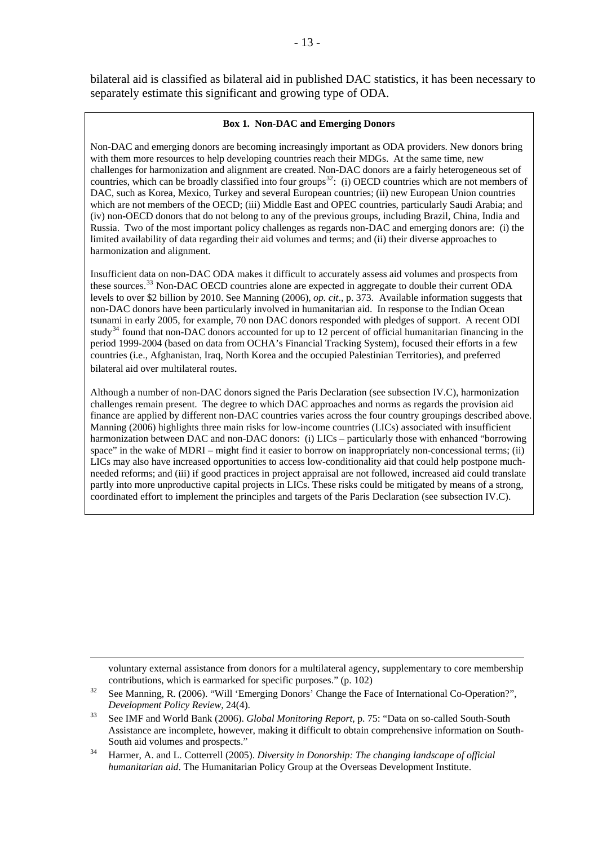#### **Box 1. Non-DAC and Emerging Donors**

<span id="page-18-0"></span>Non-DAC and emerging donors are becoming increasingly important as ODA providers. New donors bring with them more resources to help developing countries reach their MDGs. At the same time, new challenges for harmonization and alignment are created. Non-DAC donors are a fairly heterogeneous set of countries, which can be broadly classified into four groups<sup>[32](#page-18-0)</sup>: (i) OECD countries which are not members of DAC, such as Korea, Mexico, Turkey and several European countries; (ii) new European Union countries which are not members of the OECD; (iii) Middle East and OPEC countries, particularly Saudi Arabia; and (iv) non-OECD donors that do not belong to any of the previous groups, including Brazil, China, India and Russia. Two of the most important policy challenges as regards non-DAC and emerging donors are: (i) the limited availability of data regarding their aid volumes and terms; and (ii) their diverse approaches to harmonization and alignment.

Insufficient data on non-DAC ODA makes it difficult to accurately assess aid volumes and prospects from these sources.<sup>[33](#page-18-0)</sup> Non-DAC OECD countries alone are expected in aggregate to double their current ODA levels to over \$2 billion by 2010. See Manning (2006), *op. cit*., p. 373. Available information suggests that non-DAC donors have been particularly involved in humanitarian aid. In response to the Indian Ocean tsunami in early 2005, for example, 70 non DAC donors responded with pledges of support. A recent ODI study<sup>[34](#page-18-0)</sup> found that non-DAC donors accounted for up to 12 percent of official humanitarian financing in the period 1999-2004 (based on data from OCHA's Financial Tracking System), focused their efforts in a few countries (i.e., Afghanistan, Iraq, North Korea and the occupied Palestinian Territories), and preferred bilateral aid over multilateral routes.

Although a number of non-DAC donors signed the Paris Declaration (see subsection IV.C), harmonization challenges remain present. The degree to which DAC approaches and norms as regards the provision aid finance are applied by different non-DAC countries varies across the four country groupings described above. Manning (2006) highlights three main risks for low-income countries (LICs) associated with insufficient harmonization between DAC and non-DAC donors: (i) LICs – particularly those with enhanced "borrowing space" in the wake of MDRI – might find it easier to borrow on inappropriately non-concessional terms; (ii) LICs may also have increased opportunities to access low-conditionality aid that could help postpone muchneeded reforms; and (iii) if good practices in project appraisal are not followed, increased aid could translate partly into more unproductive capital projects in LICs. These risks could be mitigated by means of a strong, coordinated effort to implement the principles and targets of the Paris Declaration (see subsection IV.C).

voluntary external assistance from donors for a multilateral agency, supplementary to core membership contributions, which is earmarked for specific purposes." (p. 102)<br>32 See Manning, R. (2006). "Will 'Emerging Donors' Change the Face of International Co-Operation?",

*Development Policy Review, 24(4).*<br><sup>33</sup> See IMF and World Bank (2006). *Global Monitoring Report*, p. 75: "Data on so-called South-South Assistance are incomplete, however, making it difficult to obtain comprehensive information on South-South aid volumes and prospects." 34 Harmer, A. and L. Cotterrell (2005). *Diversity in Donorship: The changing landscape of official* 

*humanitarian aid*. The Humanitarian Policy Group at the Overseas Development Institute.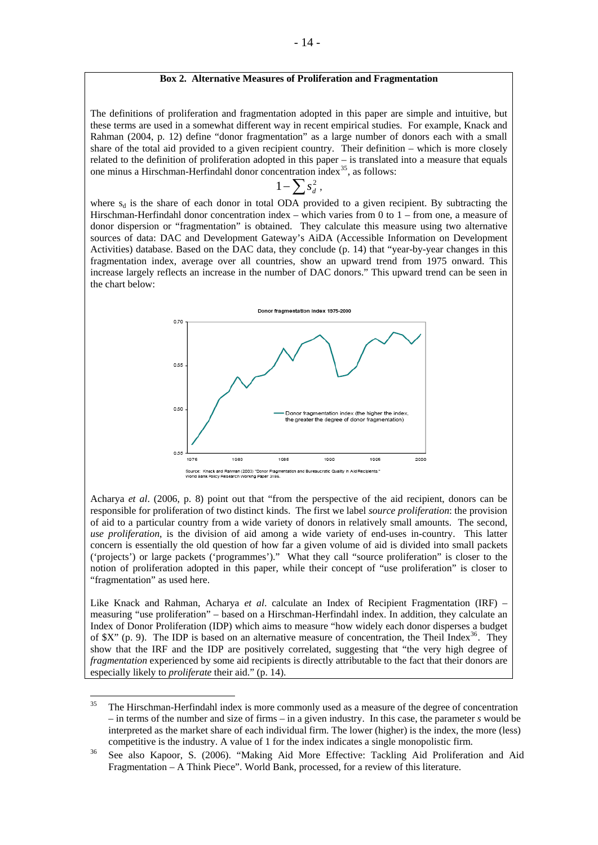#### **Box 2. Alternative Measures of Proliferation and Fragmentation**

<span id="page-19-0"></span>The definitions of proliferation and fragmentation adopted in this paper are simple and intuitive, but these terms are used in a somewhat different way in recent empirical studies. For example, Knack and Rahman (2004, p. 12) define "donor fragmentation" as a large number of donors each with a small share of the total aid provided to a given recipient country. Their definition – which is more closely related to the definition of proliferation adopted in this paper – is translated into a measure that equals one minus a Hirschman-Herfindahl donor concentration index[35](#page-19-0), as follows:

$$
1-\sum s_d^2\,,
$$

where  $s_d$  is the share of each donor in total ODA provided to a given recipient. By subtracting the Hirschman-Herfindahl donor concentration index – which varies from 0 to 1 – from one, a measure of donor dispersion or "fragmentation" is obtained. They calculate this measure using two alternative sources of data: DAC and Development Gateway's AiDA (Accessible Information on Development Activities) database. Based on the DAC data, they conclude (p. 14) that "year-by-year changes in this fragmentation index, average over all countries, show an upward trend from 1975 onward. This increase largely reflects an increase in the number of DAC donors." This upward trend can be seen in the chart below:



Acharya *et al*. (2006, p. 8) point out that "from the perspective of the aid recipient, donors can be responsible for proliferation of two distinct kinds. The first we label *source proliferation*: the provision of aid to a particular country from a wide variety of donors in relatively small amounts. The second, *use proliferation*, is the division of aid among a wide variety of end-uses in-country. This latter concern is essentially the old question of how far a given volume of aid is divided into small packets ('projects') or large packets ('programmes')." What they call "source proliferation" is closer to the notion of proliferation adopted in this paper, while their concept of "use proliferation" is closer to "fragmentation" as used here.

Like Knack and Rahman, Acharya *et al*. calculate an Index of Recipient Fragmentation (IRF) – measuring "use proliferation" – based on a Hirschman-Herfindahl index. In addition, they calculate an Index of Donor Proliferation (IDP) which aims to measure "how widely each donor disperses a budget of  $X''$  (p. 9). The IDP is based on an alternative measure of concentration, the Theil Index<sup>[36](#page-19-0)</sup>. They show that the IRF and the IDP are positively correlated, suggesting that "the very high degree of *fragmentation* experienced by some aid recipients is directly attributable to the fact that their donors are especially likely to *proliferate* their aid." (p. 14).

 $35$ 35 The Hirschman-Herfindahl index is more commonly used as a measure of the degree of concentration – in terms of the number and size of firms – in a given industry. In this case, the parameter *s* would be interpreted as the market share of each individual firm. The lower (higher) is the index, the more (less) competitive is the industry. A value of 1 for the index indicates a single monopolistic firm.<br><sup>36</sup> See also Kapoor, S. (2006). "Making Aid More Effective: Tackling Aid Proliferation and Aid

Fragmentation – A Think Piece". World Bank, processed, for a review of this literature.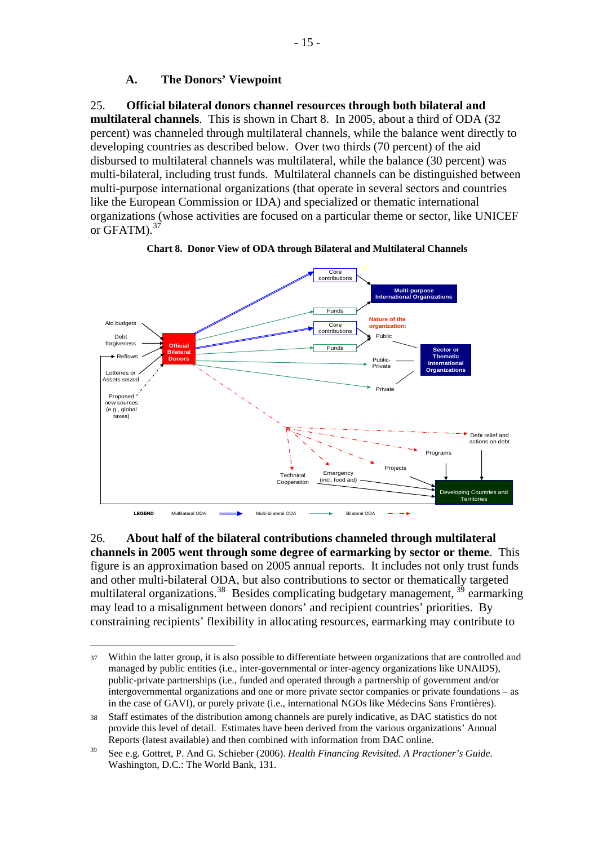## **A. The Donors' Viewpoint**

#### <span id="page-20-0"></span>25. **Official bilateral donors channel resources through both bilateral and**

**multilateral channels**. This is shown in Chart 8. In 2005, about a third of ODA (32 percent) was channeled through multilateral channels, while the balance went directly to developing countries as described below. Over two thirds (70 percent) of the aid disbursed to multilateral channels was multilateral, while the balance (30 percent) was multi-bilateral, including trust funds. Multilateral channels can be distinguished between multi-purpose international organizations (that operate in several sectors and countries like the European Commission or IDA) and specialized or thematic international organizations (whose activities are focused on a particular theme or sector, like UNICEF or GFATM).<sup>[37](#page-20-0)</sup>



**Chart 8. Donor View of ODA through Bilateral and Multilateral Channels** 

26. **About half of the bilateral contributions channeled through multilateral channels in 2005 went through some degree of earmarking by sector or theme**. This figure is an approximation based on 2005 annual reports. It includes not only trust funds and other multi-bilateral ODA, but also contributions to sector or thematically targeted multilateral organizations.<sup>[38](#page-20-0)</sup> Besides complicating budgetary management,  $3<sup>5</sup>$  earmarking may lead to a misalignment between donors' and recipient countries' priorities. By constraining recipients' flexibility in allocating resources, earmarking may contribute to

<sup>1</sup> 37 Within the latter group, it is also possible to differentiate between organizations that are controlled and managed by public entities (i.e., inter-governmental or inter-agency organizations like UNAIDS), public-private partnerships (i.e., funded and operated through a partnership of government and/or intergovernmental organizations and one or more private sector companies or private foundations – as in the case of GAVI), or purely private (i.e., international NGOs like Médecins Sans Frontières).

<sup>38</sup> Staff estimates of the distribution among channels are purely indicative, as DAC statistics do not provide this level of detail. Estimates have been derived from the various organizations' Annual Reports (latest available) and then combined with information from DAC online.

<sup>39</sup> See e.g. Gottret, P. And G. Schieber (2006). *Health Financing Revisited. A Practioner's Guide*. Washington, D.C.: The World Bank, 131.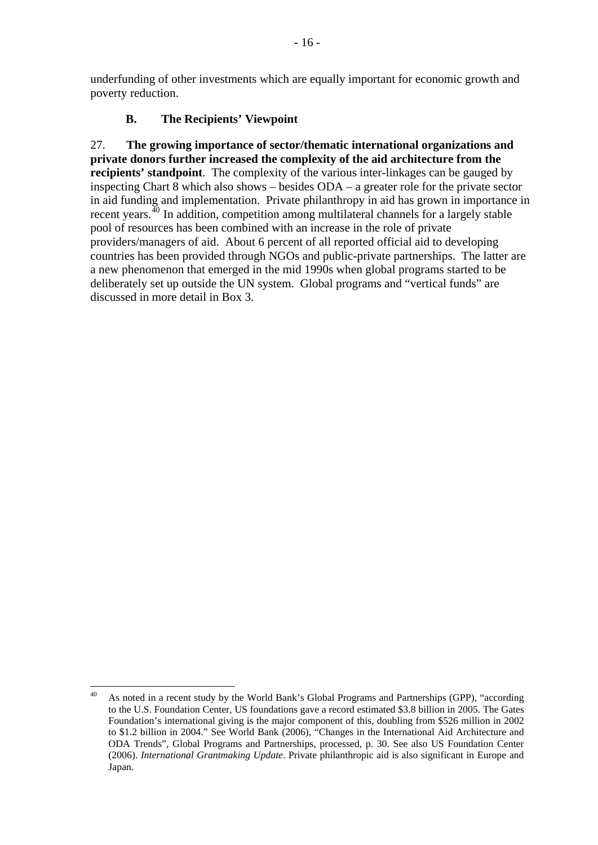<span id="page-21-0"></span>underfunding of other investments which are equally important for economic growth and poverty reduction.

## **B. The Recipients' Viewpoint**

27. **The growing importance of sector/thematic international organizations and private donors further increased the complexity of the aid architecture from the recipients' standpoint**. The complexity of the various inter-linkages can be gauged by inspecting Chart 8 which also shows – besides ODA – a greater role for the private sector in aid funding and implementation. Private philanthropy in aid has grown in importance in recent years.[40](#page-21-0) In addition, competition among multilateral channels for a largely stable pool of resources has been combined with an increase in the role of private providers/managers of aid. About 6 percent of all reported official aid to developing countries has been provided through NGOs and public-private partnerships. The latter are a new phenomenon that emerged in the mid 1990s when global programs started to be deliberately set up outside the UN system. Global programs and "vertical funds" are discussed in more detail in Box 3.

<sup>40</sup> 40 As noted in a recent study by the World Bank's Global Programs and Partnerships (GPP), "according to the U.S. Foundation Center, US foundations gave a record estimated \$3.8 billion in 2005. The Gates Foundation's international giving is the major component of this, doubling from \$526 million in 2002 to \$1.2 billion in 2004." See World Bank (2006), "Changes in the International Aid Architecture and ODA Trends", Global Programs and Partnerships, processed, p. 30. See also US Foundation Center (2006). *International Grantmaking Update*. Private philanthropic aid is also significant in Europe and Japan.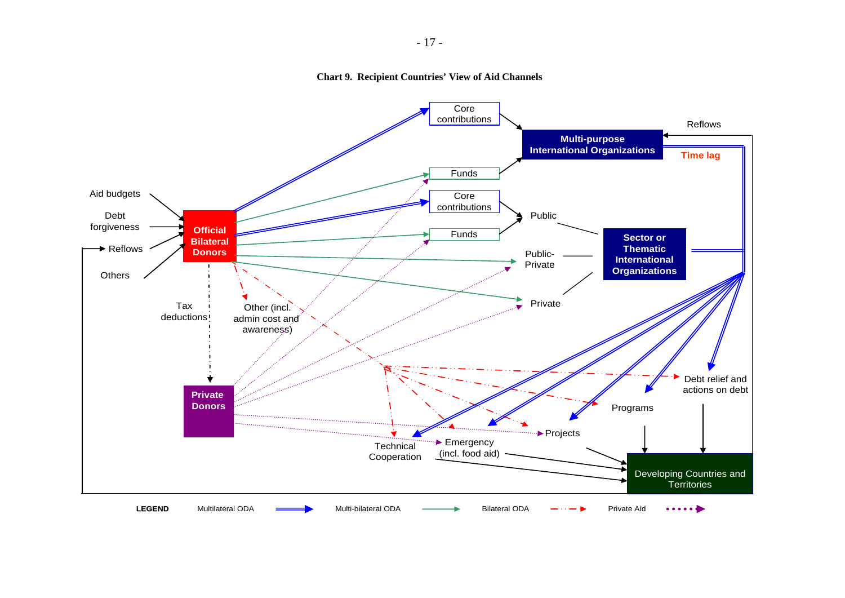

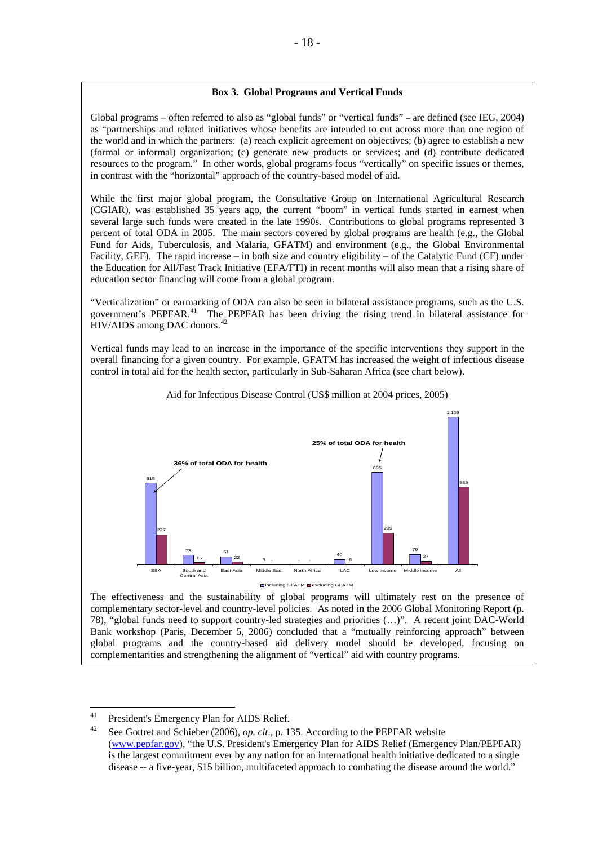#### **Box 3. Global Programs and Vertical Funds**

<span id="page-23-0"></span>Global programs – often referred to also as "global funds" or "vertical funds" – are defined (see IEG, 2004) as "partnerships and related initiatives whose benefits are intended to cut across more than one region of the world and in which the partners: (a) reach explicit agreement on objectives; (b) agree to establish a new (formal or informal) organization; (c) generate new products or services; and (d) contribute dedicated resources to the program." In other words, global programs focus "vertically" on specific issues or themes, in contrast with the "horizontal" approach of the country-based model of aid.

While the first major global program, the Consultative Group on International Agricultural Research (CGIAR), was established 35 years ago, the current "boom" in vertical funds started in earnest when several large such funds were created in the late 1990s. Contributions to global programs represented 3 percent of total ODA in 2005. The main sectors covered by global programs are health (e.g., the Global Fund for Aids, Tuberculosis, and Malaria, GFATM) and environment (e.g., the Global Environmental Facility, GEF). The rapid increase – in both size and country eligibility – of the Catalytic Fund (CF) under the Education for All/Fast Track Initiative (EFA/FTI) in recent months will also mean that a rising share of education sector financing will come from a global program.

"Verticalization" or earmarking of ODA can also be seen in bilateral assistance programs, such as the U.S. government's PEPFAR.[41](#page-23-0) The PEPFAR has been driving the rising trend in bilateral assistance for HIV/AIDS among DAC donors.<sup>[42](#page-23-0)</sup>

Vertical funds may lead to an increase in the importance of the specific interventions they support in the overall financing for a given country. For example, GFATM has increased the weight of infectious disease control in total aid for the health sector, particularly in Sub-Saharan Africa (see chart below).



#### Aid for Infectious Disease Control (US\$ million at 2004 prices, 2005)

The effectiveness and the sustainability of global programs will ultimately rest on the presence of complementary sector-level and country-level policies. As noted in the 2006 Global Monitoring Report (p. 78), "global funds need to support country-led strategies and priorities (…)". A recent joint DAC-World Bank workshop (Paris, December 5, 2006) concluded that a "mutually reinforcing approach" between global programs and the country-based aid delivery model should be developed, focusing on complementarities and strengthening the alignment of "vertical" aid with country programs.

<sup>41</sup> 

<sup>&</sup>lt;sup>41</sup> President's Emergency Plan for AIDS Relief.<br><sup>42</sup> See Gottret and Schieber (2006), *op. cit.*, p. 135. According to the PEPFAR website [\(www.pepfar.gov\)](http://www.pepfar.gov/), "the U.S. President's Emergency Plan for AIDS Relief (Emergency Plan/PEPFAR) is the largest commitment ever by any nation for an international health initiative dedicated to a single disease -- a five-year, \$15 billion, multifaceted approach to combating the disease around the world."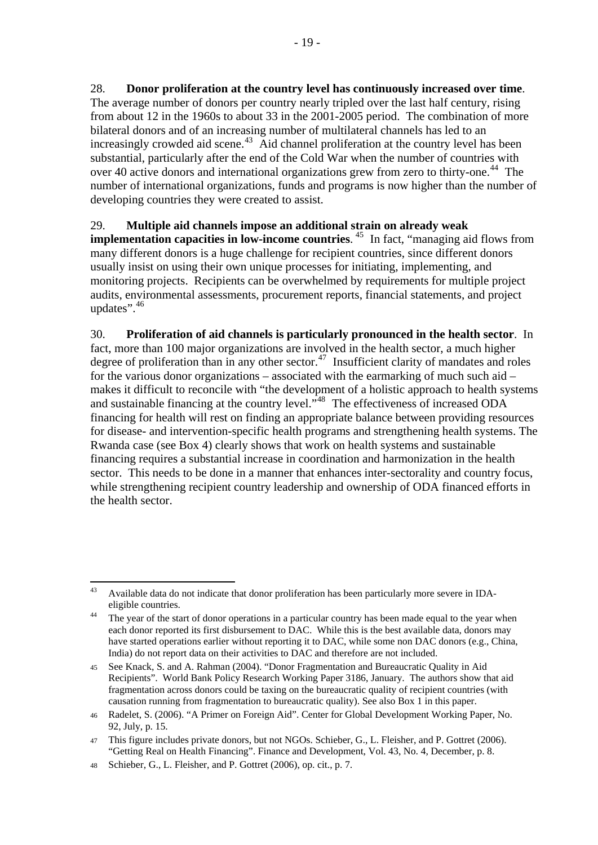<span id="page-24-0"></span>28. **Donor proliferation at the country level has continuously increased over time**. The average number of donors per country nearly tripled over the last half century, rising from about 12 in the 1960s to about 33 in the 2001-2005 period. The combination of more bilateral donors and of an increasing number of multilateral channels has led to an increasingly crowded aid scene.<sup>[43](#page-24-0)</sup> Aid channel proliferation at the country level has been substantial, particularly after the end of the Cold War when the number of countries with over 40 active donors and international organizations grew from zero to thirty-one.<sup>[44](#page-24-0)</sup> The number of international organizations, funds and programs is now higher than the number of developing countries they were created to assist.

## 29. **Multiple aid channels impose an additional strain on already weak**

**implementation capacities in low-income countries.** <sup>[45](#page-24-0)</sup> In fact, "managing aid flows from many different donors is a huge challenge for recipient countries, since different donors usually insist on using their own unique processes for initiating, implementing, and monitoring projects. Recipients can be overwhelmed by requirements for multiple project audits, environmental assessments, procurement reports, financial statements, and project updates".<sup>[46](#page-24-0)</sup>

30. **Proliferation of aid channels is particularly pronounced in the health sector**. In fact, more than 100 major organizations are involved in the health sector, a much higher degree of proliferation than in any other sector.<sup>[47](#page-24-0)</sup> Insufficient clarity of mandates and roles for the various donor organizations – associated with the earmarking of much such aid – makes it difficult to reconcile with "the development of a holistic approach to health systems and sustainable financing at the country level.<sup>1[48](#page-24-0)</sup> The effectiveness of increased ODA financing for health will rest on finding an appropriate balance between providing resources for disease- and intervention-specific health programs and strengthening health systems. The Rwanda case (see Box 4) clearly shows that work on health systems and sustainable financing requires a substantial increase in coordination and harmonization in the health sector. This needs to be done in a manner that enhances inter-sectorality and country focus, while strengthening recipient country leadership and ownership of ODA financed efforts in the health sector.

 $43$ 43 Available data do not indicate that donor proliferation has been particularly more severe in IDA-

eligible countries.<br><sup>44</sup> The year of the start of donor operations in a particular country has been made equal to the year when each donor reported its first disbursement to DAC. While this is the best available data, donors may have started operations earlier without reporting it to DAC, while some non DAC donors (e.g., China, India) do not report data on their activities to DAC and therefore are not included.

<sup>45</sup> See Knack, S. and A. Rahman (2004). "Donor Fragmentation and Bureaucratic Quality in Aid Recipients". World Bank Policy Research Working Paper 3186, January. The authors show that aid fragmentation across donors could be taxing on the bureaucratic quality of recipient countries (with causation running from fragmentation to bureaucratic quality). See also Box 1 in this paper.

<sup>46</sup> Radelet, S. (2006). "A Primer on Foreign Aid". Center for Global Development Working Paper, No. 92, July, p. 15.

<sup>47</sup> This figure includes private donors, but not NGOs. Schieber, G., L. Fleisher, and P. Gottret (2006). "Getting Real on Health Financing". Finance and Development, Vol. 43, No. 4, December, p. 8.

<sup>48</sup> Schieber, G., L. Fleisher, and P. Gottret (2006), op. cit., p. 7.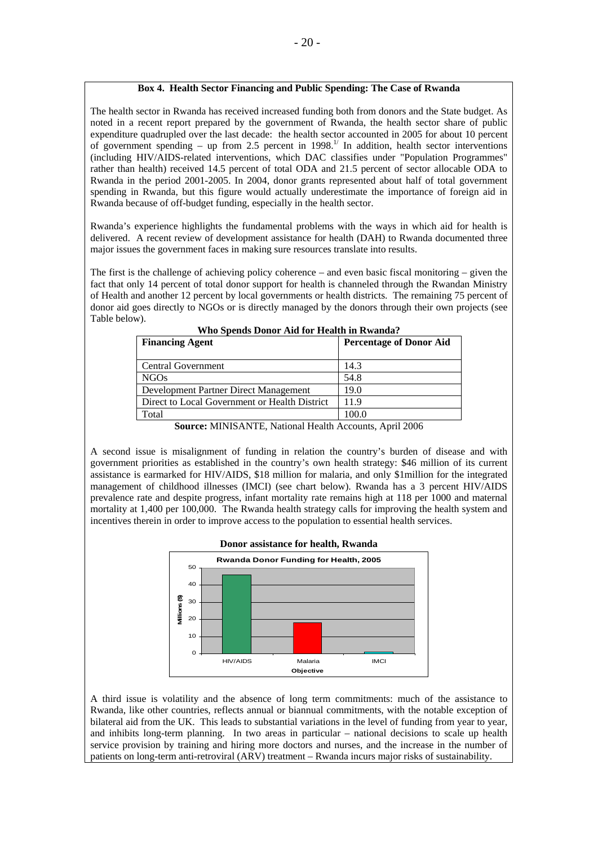#### **Box 4. Health Sector Financing and Public Spending: The Case of Rwanda**

The health sector in Rwanda has received increased funding both from donors and the State budget. As noted in a recent report prepared by the government of Rwanda, the health sector share of public expenditure quadrupled over the last decade: the health sector accounted in 2005 for about 10 percent of government spending – up from 2.5 percent in  $1998$ .<sup>1/</sup> In addition, health sector interventions (including HIV/AIDS-related interventions, which DAC classifies under "Population Programmes" rather than health) received 14.5 percent of total ODA and 21.5 percent of sector allocable ODA to Rwanda in the period 2001-2005. In 2004, donor grants represented about half of total government spending in Rwanda, but this figure would actually underestimate the importance of foreign aid in Rwanda because of off-budget funding, especially in the health sector.

Rwanda's experience highlights the fundamental problems with the ways in which aid for health is delivered. A recent review of development assistance for health (DAH) to Rwanda documented three major issues the government faces in making sure resources translate into results.

The first is the challenge of achieving policy coherence – and even basic fiscal monitoring – given the fact that only 14 percent of total donor support for health is channeled through the Rwandan Ministry of Health and another 12 percent by local governments or health districts. The remaining 75 percent of donor aid goes directly to NGOs or is directly managed by the donors through their own projects (see Table below).

| WHO Spends Donor Ald for Health In Kwanda.    |                                |
|-----------------------------------------------|--------------------------------|
| <b>Financing Agent</b>                        | <b>Percentage of Donor Aid</b> |
| <b>Central Government</b>                     | 14.3                           |
| NGO <sub>s</sub>                              | 54.8                           |
| Development Partner Direct Management         | 19.0                           |
| Direct to Local Government or Health District | 11.9                           |
| Total                                         | 100.0                          |
|                                               |                                |

**Who Spends Donor Aid for Health in Rwanda?**

**Source:** MINISANTE, National Health Accounts, April 2006

A second issue is misalignment of funding in relation the country's burden of disease and with government priorities as established in the country's own health strategy: \$46 million of its current assistance is earmarked for HIV/AIDS, \$18 million for malaria, and only \$1million for the integrated management of childhood illnesses (IMCI) (see chart below). Rwanda has a 3 percent HIV/AIDS prevalence rate and despite progress, infant mortality rate remains high at 118 per 1000 and maternal mortality at 1,400 per 100,000. The Rwanda health strategy calls for improving the health system and incentives therein in order to improve access to the population to essential health services.



A third issue is volatility and the absence of long term commitments: much of the assistance to Rwanda, like other countries, reflects annual or biannual commitments, with the notable exception of bilateral aid from the UK. This leads to substantial variations in the level of funding from year to year, and inhibits long-term planning. In two areas in particular – national decisions to scale up health service provision by training and hiring more doctors and nurses, and the increase in the number of patients on long-term anti-retroviral (ARV) treatment – Rwanda incurs major risks of sustainability.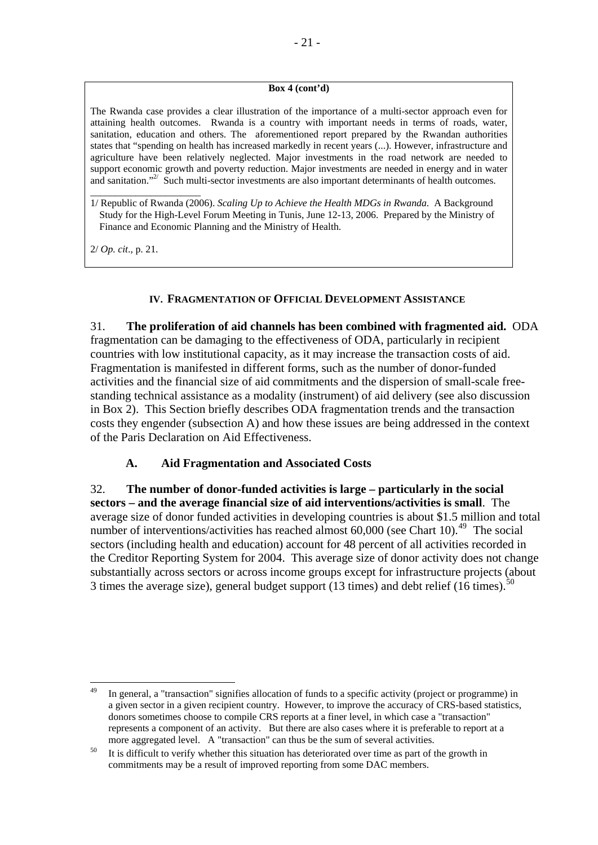## **Box 4 (cont'd)**

<span id="page-26-0"></span>The Rwanda case provides a clear illustration of the importance of a multi-sector approach even for attaining health outcomes. Rwanda is a country with important needs in terms of roads, water, sanitation, education and others. The aforementioned report prepared by the Rwandan authorities states that "spending on health has increased markedly in recent years (...). However, infrastructure and agriculture have been relatively neglected. Major investments in the road network are needed to support economic growth and poverty reduction. Major investments are needed in energy and in water and sanitation."<sup>2/</sup> Such multi-sector investments are also important determinants of health outcomes.

\_\_\_\_\_\_\_\_\_\_\_\_\_\_\_\_\_\_\_\_\_\_ 1/ Republic of Rwanda (2006). *Scaling Up to Achieve the Health MDGs in Rwanda*. A Background Study for the High-Level Forum Meeting in Tunis, June 12-13, 2006. Prepared by the Ministry of Finance and Economic Planning and the Ministry of Health.

2/ *Op. cit*., p. 21.

#### **IV. FRAGMENTATION OF OFFICIAL DEVELOPMENT ASSISTANCE**

31. **The proliferation of aid channels has been combined with fragmented aid.** ODA fragmentation can be damaging to the effectiveness of ODA, particularly in recipient countries with low institutional capacity, as it may increase the transaction costs of aid. Fragmentation is manifested in different forms, such as the number of donor-funded activities and the financial size of aid commitments and the dispersion of small-scale freestanding technical assistance as a modality (instrument) of aid delivery (see also discussion in Box 2). This Section briefly describes ODA fragmentation trends and the transaction costs they engender (subsection A) and how these issues are being addressed in the context of the Paris Declaration on Aid Effectiveness.

## **A. Aid Fragmentation and Associated Costs**

32. **The number of donor-funded activities is large – particularly in the social sectors – and the average financial size of aid interventions/activities is small**. The average size of donor funded activities in developing countries is about \$1.5 million and total number of interventions/activities has reached almost  $60,000$  (see Chart 10).<sup>[49](#page-26-0)</sup> The social sectors (including health and education) account for 48 percent of all activities recorded in the Creditor Reporting System for 2004. This average size of donor activity does not change substantially across sectors or across income groups except for infrastructure projects (about 3 times the average size), general budget support (13 times) and debt relief (16 times).<sup>[50](#page-26-0)</sup>

<sup>&</sup>lt;u>.</u> In general, a "transaction" signifies allocation of funds to a specific activity (project or programme) in a given sector in a given recipient country. However, to improve the accuracy of CRS-based statistics, donors sometimes choose to compile CRS reports at a finer level, in which case a "transaction" represents a component of an activity. But there are also cases where it is preferable to report at a more aggregated level. A "transaction" can thus be the sum of several activities.<br><sup>50</sup> It is difficult to verify whether this situation has deteriorated over time as part of the growth in

commitments may be a result of improved reporting from some DAC members.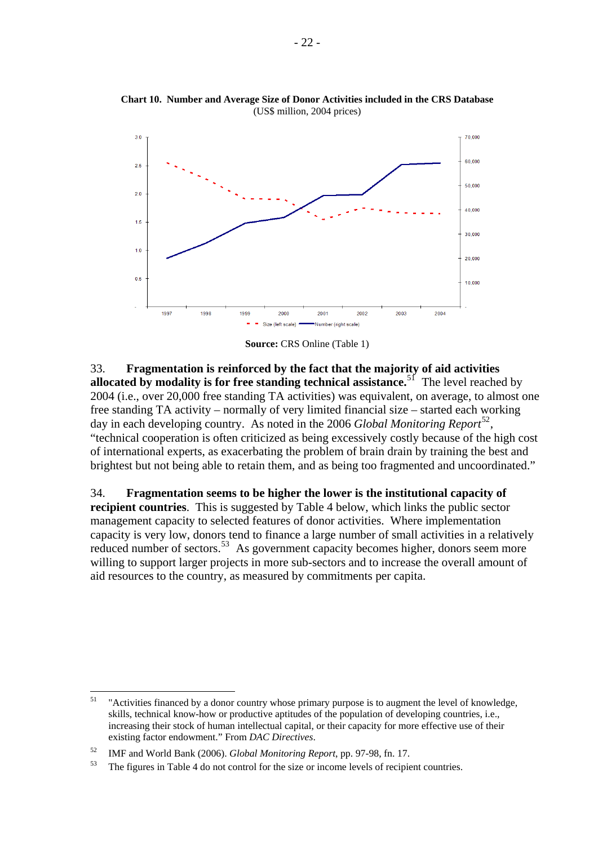

<span id="page-27-0"></span>**Chart 10. Number and Average Size of Donor Activities included in the CRS Database**  (US\$ million, 2004 prices)

**Source:** CRS Online (Table 1)

33. **Fragmentation is reinforced by the fact that the majority of aid activities allocated by modality is for free standing technical assistance.**[51](#page-27-0) The level reached by 2004 (i.e., over 20,000 free standing TA activities) was equivalent, on average, to almost one free standing TA activity – normally of very limited financial size – started each working day in each developing country. As noted in the 2006 *Global Monitoring Report*[52](#page-27-0), "technical cooperation is often criticized as being excessively costly because of the high cost of international experts, as exacerbating the problem of brain drain by training the best and brightest but not being able to retain them, and as being too fragmented and uncoordinated."

34. **Fragmentation seems to be higher the lower is the institutional capacity of recipient countries**. This is suggested by Table 4 below, which links the public sector management capacity to selected features of donor activities. Where implementation capacity is very low, donors tend to finance a large number of small activities in a relatively reduced number of sectors.<sup>[53](#page-27-0)</sup> As government capacity becomes higher, donors seem more willing to support larger projects in more sub-sectors and to increase the overall amount of aid resources to the country, as measured by commitments per capita.

 $51$ <sup>51</sup> "Activities financed by a donor country whose primary purpose is to augment the level of knowledge, skills, technical know-how or productive aptitudes of the population of developing countries, i.e., increasing their stock of human intellectual capital, or their capacity for more effective use of their existing factor endowment." From *DAC Directives*.

<sup>52</sup> IMF and World Bank (2006). *Global Monitoring Report*, pp. 97-98, fn. 17. 53 The figures in Table 4 do not control for the size or income levels of recipient countries.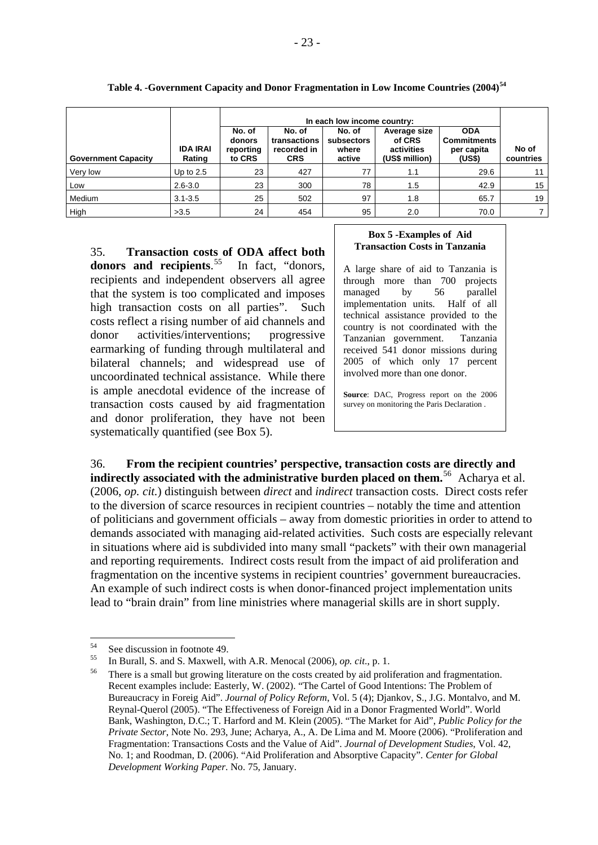<span id="page-28-0"></span>

|                            |                           |                                         | In each low income country:                         |                                         |                                                        |                                                          |                    |  |  |
|----------------------------|---------------------------|-----------------------------------------|-----------------------------------------------------|-----------------------------------------|--------------------------------------------------------|----------------------------------------------------------|--------------------|--|--|
| <b>Government Capacity</b> | <b>IDA IRAI</b><br>Rating | No. of<br>donors<br>reporting<br>to CRS | No. of<br>transactions<br>recorded in<br><b>CRS</b> | No. of<br>subsectors<br>where<br>active | Average size<br>of CRS<br>activities<br>(US\$ million) | <b>ODA</b><br><b>Commitments</b><br>per capita<br>(US\$) | No of<br>countries |  |  |
| Very low                   | Up to $2.5$               | 23                                      | 427                                                 | 77                                      | 1.1                                                    | 29.6                                                     | 11                 |  |  |
| Low                        | $2.6 - 3.0$               | 23                                      | 300                                                 | 78                                      | 1.5                                                    | 42.9                                                     | 15                 |  |  |
| Medium                     | $3.1 - 3.5$               | 25                                      | 502                                                 | 97                                      | 1.8                                                    | 65.7                                                     | 19                 |  |  |
| High                       | >3.5                      | 24                                      | 454                                                 | 95                                      | 2.0                                                    | 70.0                                                     |                    |  |  |

#### **Table 4. -Government Capacity and Donor Fragmentation in Low Income Countries (2004)[54](#page-28-0)**

35. **Transaction costs of ODA affect both donors and recipients**. [55](#page-28-0) In fact, "donors, recipients and independent observers all agree that the system is too complicated and imposes high transaction costs on all parties". Such costs reflect a rising number of aid channels and donor activities/interventions; progressive earmarking of funding through multilateral and bilateral channels; and widespread use of uncoordinated technical assistance. While there is ample anecdotal evidence of the increase of transaction costs caused by aid fragmentation and donor proliferation, they have not been systematically quantified (see Box 5).

#### **Box 5 -Examples of Aid Transaction Costs in Tanzania**

A large share of aid to Tanzania is through more than 700 projects managed by 56 parallel implementation units. Half of all technical assistance provided to the country is not coordinated with the Tanzanian government. Tanzania received 541 donor missions during 2005 of which only 17 percent involved more than one donor.

**Source**: DAC, Progress report on the 2006 survey on monitoring the Paris Declaration .

36. **From the recipient countries' perspective, transaction costs are directly and indirectly associated with the administrative burden placed on them.**[56](#page-28-0)Acharya et al. (2006, *op. cit.*) distinguish between *direct* and *indirect* transaction costs. Direct costs refer to the diversion of scarce resources in recipient countries – notably the time and attention of politicians and government officials – away from domestic priorities in order to attend to demands associated with managing aid-related activities. Such costs are especially relevant in situations where aid is subdivided into many small "packets" with their own managerial and reporting requirements. Indirect costs result from the impact of aid proliferation and fragmentation on the incentive systems in recipient countries' government bureaucracies. An example of such indirect costs is when donor-financed project implementation units lead to "brain drain" from line ministries where managerial skills are in short supply.

 $54$  $54$  See discussion in footnote 49.

<sup>&</sup>lt;sup>55</sup> In Burall, S. and S. Maxwell, with A.R. Menocal (2006), *op. cit.*, p. 1.<br><sup>56</sup> There is a small but growing literature on the costs created by aid proliferation and fragmentation. Recent examples include: Easterly, W. (2002). "The Cartel of Good Intentions: The Problem of Bureaucracy in Foreig Aid". *Journal of Policy Reform*, Vol. 5 (4); Djankov, S., J.G. Montalvo, and M. Reynal-Querol (2005). "The Effectiveness of Foreign Aid in a Donor Fragmented World". World Bank, Washington, D.C.; T. Harford and M. Klein (2005). "The Market for Aid", *Public Policy for the Private Sector*, Note No. 293, June; Acharya, A., A. De Lima and M. Moore (2006). "Proliferation and Fragmentation: Transactions Costs and the Value of Aid". *Journal of Development Studies*, Vol. 42, No. 1; and Roodman, D. (2006). "Aid Proliferation and Absorptive Capacity". *Center for Global Development Working Paper*. No. 75, January.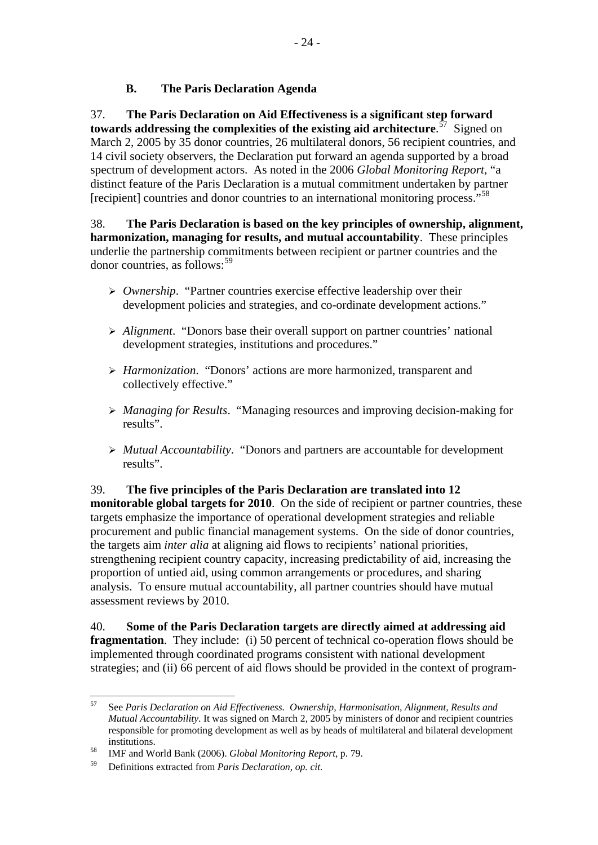## **B. The Paris Declaration Agenda**

<span id="page-29-0"></span>37. **The Paris Declaration on Aid Effectiveness is a significant step forward towards addressing the complexities of the existing aid architecture**. [57](#page-29-0)Signed on March 2, 2005 by 35 donor countries, 26 multilateral donors, 56 recipient countries, and 14 civil society observers, the Declaration put forward an agenda supported by a broad spectrum of development actors. As noted in the 2006 *Global Monitoring Report*, "a distinct feature of the Paris Declaration is a mutual commitment undertaken by partner [recipient] countries and donor countries to an international monitoring process."<sup>[58](#page-29-0)</sup>

38. **The Paris Declaration is based on the key principles of ownership, alignment, harmonization, managing for results, and mutual accountability**.These principles underlie the partnership commitments between recipient or partner countries and the donor countries, as follows:[59](#page-29-0)

- ¾ *Ownership*. "Partner countries exercise effective leadership over their development policies and strategies, and co-ordinate development actions."
- ¾ *Alignment*. "Donors base their overall support on partner countries' national development strategies, institutions and procedures."
- ¾ *Harmonization*. "Donors' actions are more harmonized, transparent and collectively effective."
- ¾ *Managing for Results*. "Managing resources and improving decision-making for results".
- ¾ *Mutual Accountability*. "Donors and partners are accountable for development results".

39. **The five principles of the Paris Declaration are translated into 12 monitorable global targets for 2010**. On the side of recipient or partner countries, these targets emphasize the importance of operational development strategies and reliable procurement and public financial management systems. On the side of donor countries, the targets aim *inter alia* at aligning aid flows to recipients' national priorities, strengthening recipient country capacity, increasing predictability of aid, increasing the proportion of untied aid, using common arrangements or procedures, and sharing analysis. To ensure mutual accountability, all partner countries should have mutual assessment reviews by 2010.

40. **Some of the Paris Declaration targets are directly aimed at addressing aid fragmentation**. They include: (i) 50 percent of technical co-operation flows should be implemented through coordinated programs consistent with national development strategies; and (ii) 66 percent of aid flows should be provided in the context of program-

<sup>57</sup> 57 See *Paris Declaration on Aid Effectiveness. Ownership, Harmonisation, Alignment, Results and Mutual Accountability*. It was signed on March 2, 2005 by ministers of donor and recipient countries responsible for promoting development as well as by heads of multilateral and bilateral development institutions. 58 IMF and World Bank (2006). *Global Monitoring Report*, p. 79.

<sup>59</sup> Definitions extracted from *Paris Declaration, op. cit.*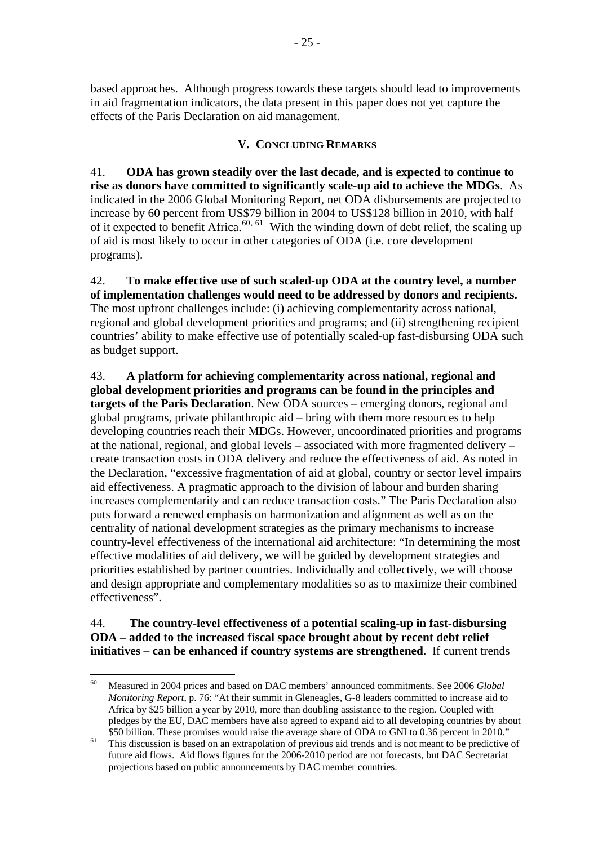<span id="page-30-0"></span>based approaches. Although progress towards these targets should lead to improvements in aid fragmentation indicators, the data present in this paper does not yet capture the effects of the Paris Declaration on aid management.

## **V. CONCLUDING REMARKS**

41. **ODA has grown steadily over the last decade, and is expected to continue to rise as donors have committed to significantly scale-up aid to achieve the MDGs**. As indicated in the 2006 Global Monitoring Report, net ODA disbursements are projected to increase by 60 percent from US\$79 billion in 2004 to US\$128 billion in 2010, with half of it expected to benefit Africa.<sup>[60](#page-30-0), [61](#page-30-0)</sup> With the winding down of debt relief, the scaling up of aid is most likely to occur in other categories of ODA (i.e. core development programs).

42. **To make effective use of such scaled-up ODA at the country level, a number of implementation challenges would need to be addressed by donors and recipients.**  The most upfront challenges include: (i) achieving complementarity across national, regional and global development priorities and programs; and (ii) strengthening recipient countries' ability to make effective use of potentially scaled-up fast-disbursing ODA such as budget support.

43. **A platform for achieving complementarity across national, regional and global development priorities and programs can be found in the principles and targets of the Paris Declaration**. New ODA sources – emerging donors, regional and global programs, private philanthropic aid – bring with them more resources to help developing countries reach their MDGs. However, uncoordinated priorities and programs at the national, regional, and global levels – associated with more fragmented delivery – create transaction costs in ODA delivery and reduce the effectiveness of aid. As noted in the Declaration, "excessive fragmentation of aid at global, country or sector level impairs aid effectiveness. A pragmatic approach to the division of labour and burden sharing increases complementarity and can reduce transaction costs." The Paris Declaration also puts forward a renewed emphasis on harmonization and alignment as well as on the centrality of national development strategies as the primary mechanisms to increase country-level effectiveness of the international aid architecture: "In determining the most effective modalities of aid delivery, we will be guided by development strategies and priorities established by partner countries. Individually and collectively, we will choose and design appropriate and complementary modalities so as to maximize their combined effectiveness".

44. **The country-level effectiveness of** a **potential scaling-up in fast-disbursing ODA – added to the increased fiscal space brought about by recent debt relief initiatives – can be enhanced if country systems are strengthened**. If current trends

<sup>60</sup> 60 Measured in 2004 prices and based on DAC members' announced commitments. See 2006 *Global Monitoring Report*, p. 76: "At their summit in Gleneagles, G-8 leaders committed to increase aid to Africa by \$25 billion a year by 2010, more than doubling assistance to the region. Coupled with pledges by the EU, DAC members have also agreed to expand aid to all developing countries by about

<sup>\$50</sup> billion. These promises would raise the average share of ODA to GNI to 0.36 percent in 2010."<br><sup>61</sup> This discussion is based on an extrapolation of previous aid trends and is not meant to be predictive of future aid flows. Aid flows figures for the 2006-2010 period are not forecasts, but DAC Secretariat projections based on public announcements by DAC member countries.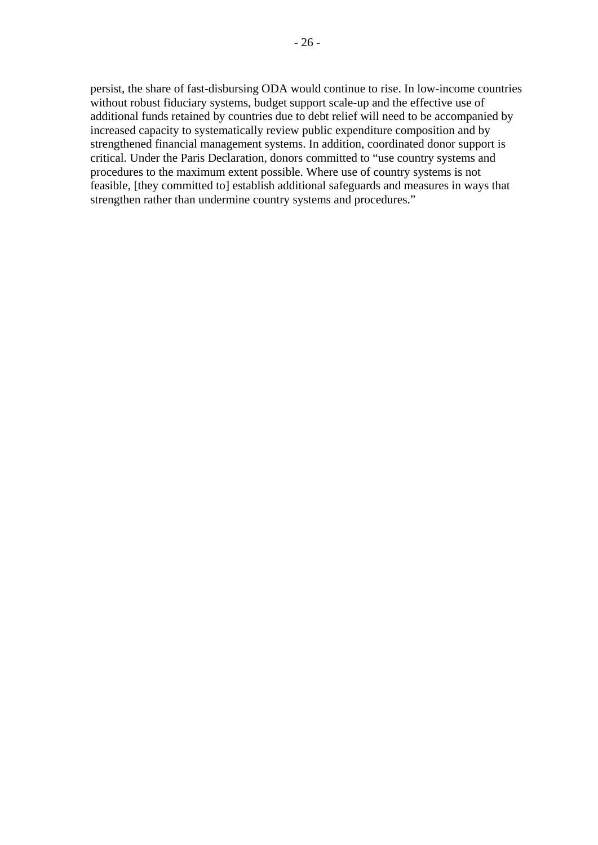persist, the share of fast-disbursing ODA would continue to rise. In low-income countries without robust fiduciary systems, budget support scale-up and the effective use of additional funds retained by countries due to debt relief will need to be accompanied by increased capacity to systematically review public expenditure composition and by strengthened financial management systems. In addition, coordinated donor support is critical. Under the Paris Declaration, donors committed to "use country systems and procedures to the maximum extent possible. Where use of country systems is not feasible, [they committed to] establish additional safeguards and measures in ways that strengthen rather than undermine country systems and procedures."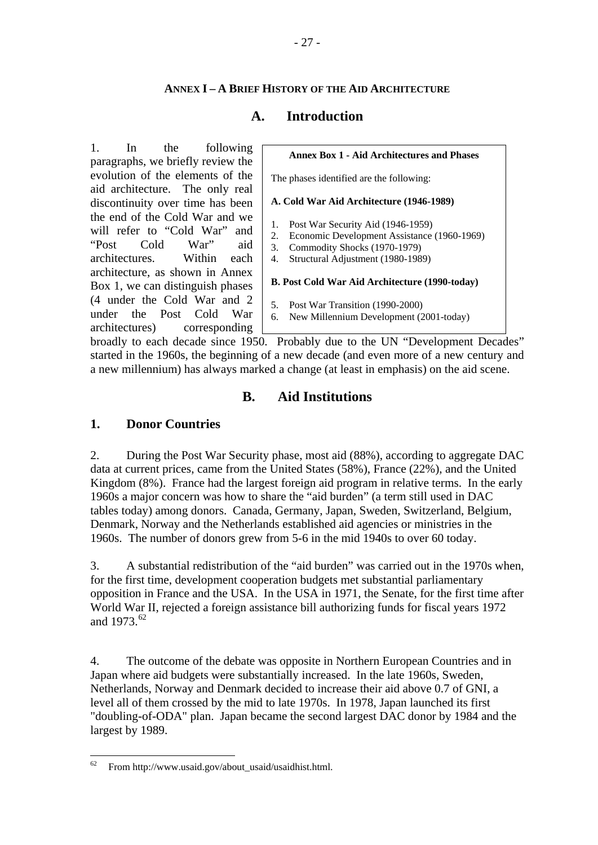## **ANNEX I – A BRIEF HISTORY OF THE AID ARCHITECTURE**

## **A. Introduction**

<span id="page-32-0"></span>1. In the following paragraphs, we briefly review the evolution of the elements of the aid architecture. The only real discontinuity over time has been the end of the Cold War and we will refer to "Cold War" and "Post Cold War" aid architectures. Within each architecture, as shown in Annex Box 1, we can distinguish phases (4 under the Cold War and 2 under the Post Cold War architectures) corresponding



broadly to each decade since 1950. Probably due to the UN "Development Decades" started in the 1960s, the beginning of a new decade (and even more of a new century and a new millennium) has always marked a change (at least in emphasis) on the aid scene.

## **B. Aid Institutions**

## **1. Donor Countries**

2. During the Post War Security phase, most aid (88%), according to aggregate DAC data at current prices, came from the United States (58%), France (22%), and the United Kingdom (8%). France had the largest foreign aid program in relative terms. In the early 1960s a major concern was how to share the "aid burden" (a term still used in DAC tables today) among donors. Canada, Germany, Japan, Sweden, Switzerland, Belgium, Denmark, Norway and the Netherlands established aid agencies or ministries in the 1960s. The number of donors grew from 5-6 in the mid 1940s to over 60 today.

3. A substantial redistribution of the "aid burden" was carried out in the 1970s when, for the first time, development cooperation budgets met substantial parliamentary opposition in France and the USA. In the USA in 1971, the Senate, for the first time after World War II, rejected a foreign assistance bill authorizing funds for fiscal years 1972 and 1973.<sup>[62](#page-32-0)</sup>

4. The outcome of the debate was opposite in Northern European Countries and in Japan where aid budgets were substantially increased. In the late 1960s, Sweden, Netherlands, Norway and Denmark decided to increase their aid above 0.7 of GNI, a level all of them crossed by the mid to late 1970s. In 1978, Japan launched its first "doubling-of-ODA" plan. Japan became the second largest DAC donor by 1984 and the largest by 1989.

<sup>62</sup> 62 From http://www.usaid.gov/about\_usaid/usaidhist.html.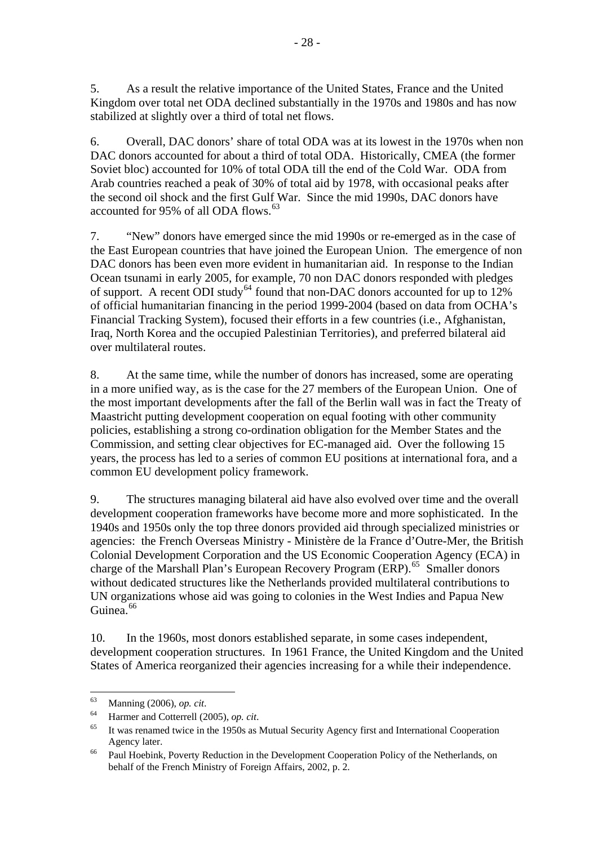<span id="page-33-0"></span>5. As a result the relative importance of the United States, France and the United Kingdom over total net ODA declined substantially in the 1970s and 1980s and has now stabilized at slightly over a third of total net flows.

6. Overall, DAC donors' share of total ODA was at its lowest in the 1970s when non DAC donors accounted for about a third of total ODA. Historically, CMEA (the former Soviet bloc) accounted for 10% of total ODA till the end of the Cold War. ODA from Arab countries reached a peak of 30% of total aid by 1978, with occasional peaks after the second oil shock and the first Gulf War. Since the mid 1990s, DAC donors have accounted for 95% of all ODA flows.<sup>[63](#page-33-0)</sup>

7. "New" donors have emerged since the mid 1990s or re-emerged as in the case of the East European countries that have joined the European Union. The emergence of non DAC donors has been even more evident in humanitarian aid. In response to the Indian Ocean tsunami in early 2005, for example, 70 non DAC donors responded with pledges of support. A recent ODI study<sup>[64](#page-33-0)</sup> found that non-DAC donors accounted for up to  $12\%$ of official humanitarian financing in the period 1999-2004 (based on data from OCHA's Financial Tracking System), focused their efforts in a few countries (i.e., Afghanistan, Iraq, North Korea and the occupied Palestinian Territories), and preferred bilateral aid over multilateral routes.

8. At the same time, while the number of donors has increased, some are operating in a more unified way, as is the case for the 27 members of the European Union. One of the most important developments after the fall of the Berlin wall was in fact the Treaty of Maastricht putting development cooperation on equal footing with other community policies, establishing a strong co-ordination obligation for the Member States and the Commission, and setting clear objectives for EC-managed aid. Over the following 15 years, the process has led to a series of common EU positions at international fora, and a common EU development policy framework.

9. The structures managing bilateral aid have also evolved over time and the overall development cooperation frameworks have become more and more sophisticated. In the 1940s and 1950s only the top three donors provided aid through specialized ministries or agencies: the French Overseas Ministry - Ministère de la France d'Outre-Mer, the British Colonial Development Corporation and the US Economic Cooperation Agency (ECA) in charge of the Marshall Plan's European Recovery Program (ERP).<sup>[65](#page-33-0)</sup> Smaller donors without dedicated structures like the Netherlands provided multilateral contributions to UN organizations whose aid was going to colonies in the West Indies and Papua New Guinea.<sup>[66](#page-33-0)</sup>

10. In the 1960s, most donors established separate, in some cases independent, development cooperation structures. In 1961 France, the United Kingdom and the United States of America reorganized their agencies increasing for a while their independence.

<sup>63</sup> 

<sup>63</sup> Manning (2006), *op. cit*. 64 Harmer and Cotterrell (2005), *op. cit*. 65 It was renamed twice in the 1950s as Mutual Security Agency first and International Cooperation Agency later.<br><sup>66</sup> Paul Hoebink, Poverty Reduction in the Development Cooperation Policy of the Netherlands, on

behalf of the French Ministry of Foreign Affairs, 2002, p. 2.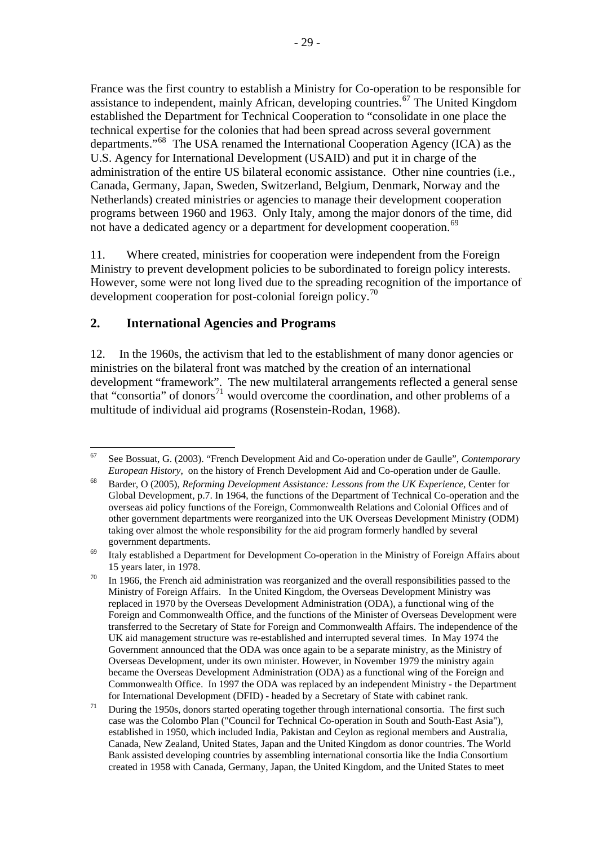<span id="page-34-0"></span>France was the first country to establish a Ministry for Co-operation to be responsible for assistance to independent, mainly African, developing countries.<sup>[67](#page-34-0)</sup> The United Kingdom established the Department for Technical Cooperation to "consolidate in one place the technical expertise for the colonies that had been spread across several government departments."[68](#page-34-0) The USA renamed the International Cooperation Agency (ICA) as the U.S. Agency for International Development (USAID) and put it in charge of the administration of the entire US bilateral economic assistance. Other nine countries (i.e., Canada, Germany, Japan, Sweden, Switzerland, Belgium, Denmark, Norway and the Netherlands) created ministries or agencies to manage their development cooperation programs between 1960 and 1963. Only Italy, among the major donors of the time, did not have a dedicated agency or a department for development cooperation.<sup>[69](#page-34-0)</sup>

11. Where created, ministries for cooperation were independent from the Foreign Ministry to prevent development policies to be subordinated to foreign policy interests. However, some were not long lived due to the spreading recognition of the importance of development cooperation for post-colonial foreign policy.<sup>[70](#page-34-0)</sup>

## **2. International Agencies and Programs**

12. In the 1960s, the activism that led to the establishment of many donor agencies or ministries on the bilateral front was matched by the creation of an international development "framework". The new multilateral arrangements reflected a general sense that "consortia" of donors<sup>[71](#page-34-0)</sup> would overcome the coordination, and other problems of a multitude of individual aid programs (Rosenstein-Rodan, 1968).

<sup>67</sup> 67 See Bossuat, G. (2003). "French Development Aid and Co-operation under de Gaulle", *Contemporary* 

*European History*, on the history of French Development Aid and Co-operation under de Gaulle.<br><sup>68</sup> Barder, O (2005), *Reforming Development Assistance: Lessons from the UK Experience*, Center for Global Development, p.7. In 1964, the functions of the Department of Technical Co-operation and the overseas aid policy functions of the Foreign, Commonwealth Relations and Colonial Offices and of other government departments were reorganized into the UK Overseas Development Ministry (ODM) taking over almost the whole responsibility for the aid program formerly handled by several

government departments.<br><sup>69</sup> Italy established a Department for Development Co-operation in the Ministry of Foreign Affairs about 15 years later, in 1978.<br><sup>70</sup> In 1966, the French aid administration was reorganized and the overall responsibilities passed to the

Ministry of Foreign Affairs. In the United Kingdom, the Overseas Development Ministry was replaced in 1970 by the Overseas Development Administration (ODA), a functional wing of the Foreign and Commonwealth Office, and the functions of the Minister of Overseas Development were transferred to the Secretary of State for Foreign and Commonwealth Affairs. The independence of the UK aid management structure was re-established and interrupted several times. In May 1974 the Government announced that the ODA was once again to be a separate ministry, as the Ministry of Overseas Development, under its own minister. However, in November 1979 the ministry again became the Overseas Development Administration (ODA) as a functional wing of the Foreign and Commonwealth Office. In 1997 the ODA was replaced by an independent Ministry - the Department for International Development (DFID) - headed by a Secretary of State with cabinet rank.<br><sup>71</sup> During the 1950s, donors started operating together through international consortia. The first such

case was the Colombo Plan ("Council for Technical Co-operation in South and South-East Asia"), established in 1950, which included India, Pakistan and Ceylon as regional members and Australia, Canada, New Zealand, United States, Japan and the United Kingdom as donor countries. The World Bank assisted developing countries by assembling international consortia like the India Consortium created in 1958 with Canada, Germany, Japan, the United Kingdom, and the United States to meet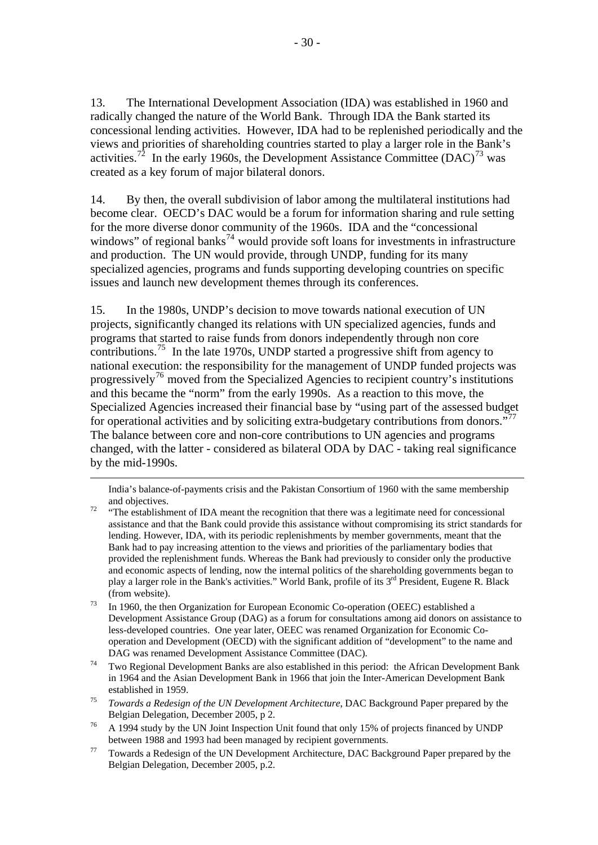<span id="page-35-0"></span>13. The International Development Association (IDA) was established in 1960 and radically changed the nature of the World Bank. Through IDA the Bank started its concessional lending activities. However, IDA had to be replenished periodically and the views and priorities of shareholding countries started to play a larger role in the Bank's activities.<sup>[72](#page-35-0)</sup> In the early 1960s, the Development Assistance Committee (DAC)<sup>[73](#page-35-0)</sup> was created as a key forum of major bilateral donors.

14. By then, the overall subdivision of labor among the multilateral institutions had become clear. OECD's DAC would be a forum for information sharing and rule setting for the more diverse donor community of the 1960s. IDA and the "concessional windows" of regional banks<sup>[74](#page-35-0)</sup> would provide soft loans for investments in infrastructure and production. The UN would provide, through UNDP, funding for its many specialized agencies, programs and funds supporting developing countries on specific issues and launch new development themes through its conferences.

15. In the 1980s, UNDP's decision to move towards national execution of UN projects, significantly changed its relations with UN specialized agencies, funds and programs that started to raise funds from donors independently through non core contributions.[75](#page-35-0) In the late 1970s, UNDP started a progressive shift from agency to national execution: the responsibility for the management of UNDP funded projects was progressively[76](#page-35-0) moved from the Specialized Agencies to recipient country's institutions and this became the "norm" from the early 1990s. As a reaction to this move, the Specialized Agencies increased their financial base by "using part of the assessed budget for operational activities and by soliciting extra-budgetary contributions from donors."<sup>[77](#page-35-0)</sup> The balance between core and non-core contributions to UN agencies and programs changed, with the latter - considered as bilateral ODA by DAC - taking real significance by the mid-1990s.

 India's balance-of-payments crisis and the Pakistan Consortium of 1960 with the same membership and objectives.<br><sup>72</sup> "The establishment of IDA meant the recognition that there was a legitimate need for concessional

- assistance and that the Bank could provide this assistance without compromising its strict standards for lending. However, IDA, with its periodic replenishments by member governments, meant that the Bank had to pay increasing attention to the views and priorities of the parliamentary bodies that provided the replenishment funds. Whereas the Bank had previously to consider only the productive and economic aspects of lending, now the internal politics of the shareholding governments began to play a larger role in the Bank's activities." World Bank, profile of its 3rd President, Eugene R. Black
- (from website).<br><sup>73</sup> In 1960, the then Organization for European Economic Co-operation (OEEC) established a Development Assistance Group (DAG) as a forum for consultations among aid donors on assistance to less-developed countries. One year later, OEEC was renamed Organization for Economic Cooperation and Development (OECD) with the significant addition of "development" to the name and
- DAG was renamed Development Assistance Committee (DAC).<br><sup>74</sup> Two Regional Development Banks are also established in this period: the African Development Bank in 1964 and the Asian Development Bank in 1966 that join the Inter-American Development Bank
- established in 1959. 75 *Towards a Redesign of the UN Development Architecture*, DAC Background Paper prepared by the Belgian Delegation, December 2005, p 2.<br>
<sup>76</sup> A 1994 study by the UN Joint Inspection Unit found that only 15% of projects financed by UNDP
- 
- between 1988 and 1993 had been managed by recipient governments.<br><sup>77</sup> Towards a Redesign of the UN Development Architecture, DAC Background Paper prepared by the Belgian Delegation, December 2005, p.2.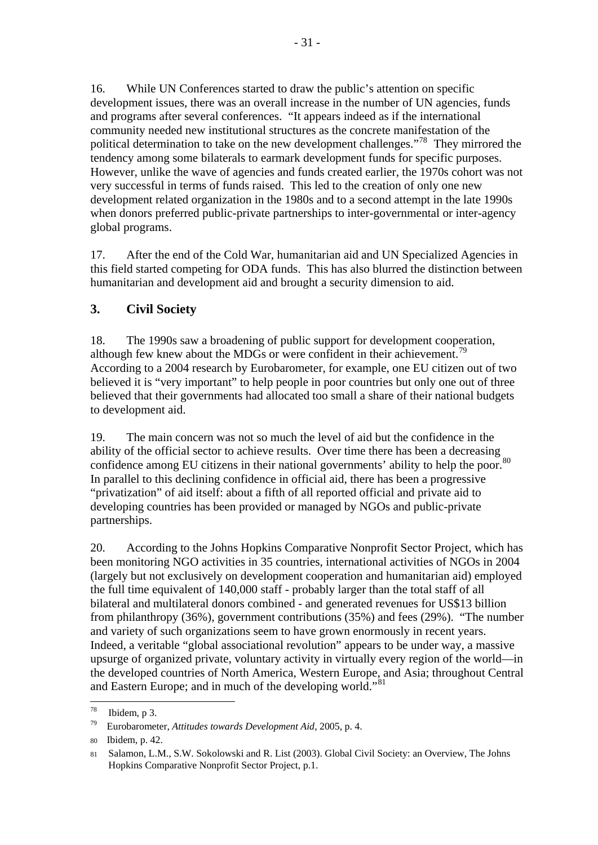<span id="page-36-0"></span>16. While UN Conferences started to draw the public's attention on specific development issues, there was an overall increase in the number of UN agencies, funds and programs after several conferences. "It appears indeed as if the international community needed new institutional structures as the concrete manifestation of the political determination to take on the new development challenges."[78](#page-36-0) They mirrored the tendency among some bilaterals to earmark development funds for specific purposes. However, unlike the wave of agencies and funds created earlier, the 1970s cohort was not very successful in terms of funds raised. This led to the creation of only one new development related organization in the 1980s and to a second attempt in the late 1990s when donors preferred public-private partnerships to inter-governmental or inter-agency global programs.

17. After the end of the Cold War, humanitarian aid and UN Specialized Agencies in this field started competing for ODA funds. This has also blurred the distinction between humanitarian and development aid and brought a security dimension to aid.

## **3. Civil Society**

18. The 1990s saw a broadening of public support for development cooperation, although few knew about the MDGs or were confident in their achievement.<sup> $\frac{79}{2}$  $\frac{79}{2}$  $\frac{79}{2}$ </sup> According to a 2004 research by Eurobarometer, for example, one EU citizen out of two believed it is "very important" to help people in poor countries but only one out of three believed that their governments had allocated too small a share of their national budgets to development aid.

19. The main concern was not so much the level of aid but the confidence in the ability of the official sector to achieve results. Over time there has been a decreasing confidence among EU citizens in their national governments' ability to help the poor.<sup>[80](#page-36-0)</sup> In parallel to this declining confidence in official aid, there has been a progressive "privatization" of aid itself: about a fifth of all reported official and private aid to developing countries has been provided or managed by NGOs and public-private partnerships.

20. According to the Johns Hopkins Comparative Nonprofit Sector Project, which has been monitoring NGO activities in 35 countries, international activities of NGOs in 2004 (largely but not exclusively on development cooperation and humanitarian aid) employed the full time equivalent of 140,000 staff - probably larger than the total staff of all bilateral and multilateral donors combined - and generated revenues for US\$13 billion from philanthropy (36%), government contributions (35%) and fees (29%). "The number and variety of such organizations seem to have grown enormously in recent years. Indeed, a veritable "global associational revolution" appears to be under way, a massive upsurge of organized private, voluntary activity in virtually every region of the world—in the developed countries of North America, Western Europe, and Asia; throughout Central and Eastern Europe; and in much of the developing world."<sup>[81](#page-36-0)</sup>

<sup>78</sup> Ibidem, p 3.

<sup>79</sup> Eurobarometer, *Attitudes towards Development Aid*, 2005, p. 4.

<sup>80</sup> Ibidem, p. 42.

<sup>81</sup> Salamon, L.M., S.W. Sokolowski and R. List (2003). Global Civil Society: an Overview, The Johns Hopkins Comparative Nonprofit Sector Project, p.1.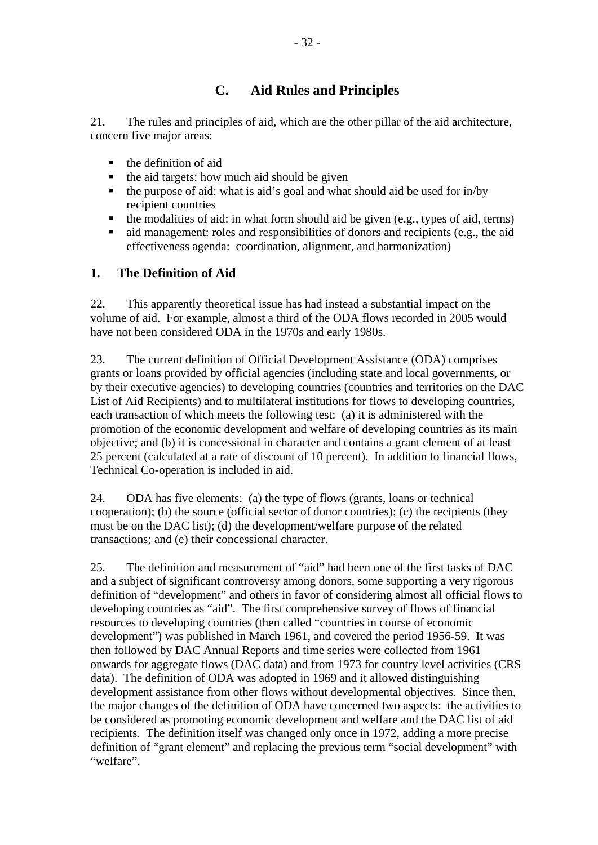## **C. Aid Rules and Principles**

21. The rules and principles of aid, which are the other pillar of the aid architecture, concern five major areas:

- $\blacksquare$  the definition of aid
- $\blacksquare$  the aid targets: how much aid should be given
- $\blacksquare$  the purpose of aid: what is aid's goal and what should aid be used for in/by recipient countries
- $\blacksquare$  the modalities of aid: in what form should aid be given (e.g., types of aid, terms)
- aid management: roles and responsibilities of donors and recipients (e.g., the aid effectiveness agenda: coordination, alignment, and harmonization)

## **1. The Definition of Aid**

22. This apparently theoretical issue has had instead a substantial impact on the volume of aid. For example, almost a third of the ODA flows recorded in 2005 would have not been considered ODA in the 1970s and early 1980s.

23. The current definition of Official Development Assistance (ODA) comprises grants or loans provided by official agencies (including state and local governments, or by their executive agencies) to developing countries (countries and territories on the DAC List of Aid Recipients) and to multilateral institutions for flows to developing countries, each transaction of which meets the following test: (a) it is administered with the promotion of the economic development and welfare of developing countries as its main objective; and (b) it is concessional in character and contains a grant element of at least 25 percent (calculated at a rate of discount of 10 percent). In addition to financial flows, Technical Co-operation is included in aid.

24. ODA has five elements: (a) the type of flows (grants, loans or technical cooperation); (b) the source (official sector of donor countries); (c) the recipients (they must be on the DAC list); (d) the development/welfare purpose of the related transactions; and (e) their concessional character.

25. The definition and measurement of "aid" had been one of the first tasks of DAC and a subject of significant controversy among donors, some supporting a very rigorous definition of "development" and others in favor of considering almost all official flows to developing countries as "aid". The first comprehensive survey of flows of financial resources to developing countries (then called "countries in course of economic development") was published in March 1961, and covered the period 1956-59. It was then followed by DAC Annual Reports and time series were collected from 1961 onwards for aggregate flows (DAC data) and from 1973 for country level activities (CRS data). The definition of ODA was adopted in 1969 and it allowed distinguishing development assistance from other flows without developmental objectives. Since then, the major changes of the definition of ODA have concerned two aspects: the activities to be considered as promoting economic development and welfare and the DAC list of aid recipients. The definition itself was changed only once in 1972, adding a more precise definition of "grant element" and replacing the previous term "social development" with "welfare".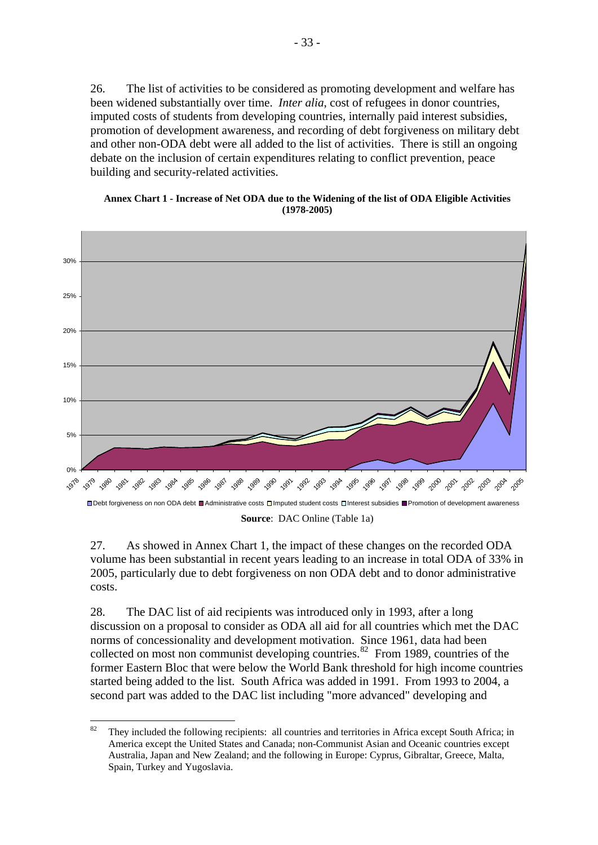<span id="page-38-1"></span>26. The list of activities to be considered as promoting development and welfare has been widened substantially over time. *Inter alia*, cost of refugees in donor countries, imputed costs of students from developing countries, internally paid interest subsidies, promotion of development awareness, and recording of debt forgiveness on military debt and other non-ODA debt were all added to the list of activities. There is still an ongoing debate on the inclusion of certain expenditures relating to conflict prevention, peace building and security-related activities.

#### **Annex Chart 1 - Increase of Net ODA due to the Widening of the list of ODA Eligible Activities (1978-2005)**

<span id="page-38-0"></span>

**Source**: DAC Online (Table 1a)

27. As showed in [Annex Chart 1](#page-38-0), the impact of these changes on the recorded ODA volume has been substantial in recent years leading to an increase in total ODA of 33% in 2005, particularly due to debt forgiveness on non ODA debt and to donor administrative costs.

28. The DAC list of aid recipients was introduced only in 1993, after a long discussion on a proposal to consider as ODA all aid for all countries which met the DAC norms of concessionality and development motivation. Since 1961, data had been collected on most non communist developing countries. $82$  From 1989, countries of the former Eastern Bloc that were below the World Bank threshold for high income countries started being added to the list. South Africa was added in 1991. From 1993 to 2004, a second part was added to the DAC list including "more advanced" developing and

<sup>82</sup> They included the following recipients: all countries and territories in Africa except South Africa; in America except the United States and Canada; non-Communist Asian and Oceanic countries except Australia, Japan and New Zealand; and the following in Europe: Cyprus, Gibraltar, Greece, Malta, Spain, Turkey and Yugoslavia.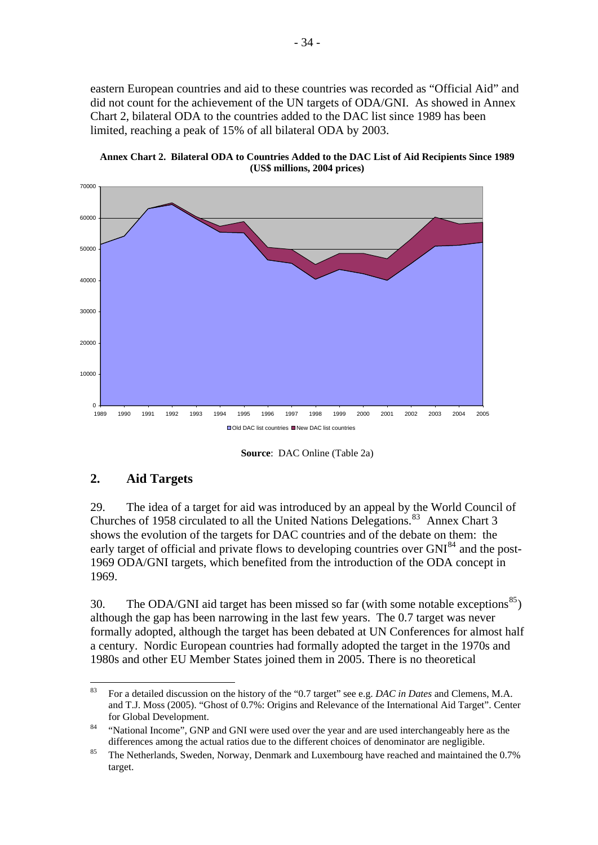<span id="page-39-1"></span>eastern European countries and aid to these countries was recorded as "Official Aid" and did not count for the achievement of the UN targets of ODA/GNI. As showed in [Annex](#page-39-0)  [Chart 2,](#page-39-0) bilateral ODA to the countries added to the DAC list since 1989 has been limited, reaching a peak of 15% of all bilateral ODA by 2003.

<span id="page-39-0"></span>

**Annex Chart 2. Bilateral ODA to Countries Added to the DAC List of Aid Recipients Since 1989 (US\$ millions, 2004 prices)** 

**Source**: DAC Online (Table 2a)

## **2. Aid Targets**

29. The idea of a target for aid was introduced by an appeal by the World Council of Churches of 1958 circulated to all the United Nations Delegations.<sup>[83](#page-39-1)</sup> [Annex Chart 3](#page-41-0) shows the evolution of the targets for DAC countries and of the debate on them: the early target of official and private flows to developing countries over GNI<sup>[84](#page-39-1)</sup> and the post-1969 ODA/GNI targets, which benefited from the introduction of the ODA concept in 1969.

30. The ODA/GNI aid target has been missed so far (with some notable exceptions<sup>[85](#page-39-1)</sup>) although the gap has been narrowing in the last few years. The 0.7 target was never formally adopted, although the target has been debated at UN Conferences for almost half a century. Nordic European countries had formally adopted the target in the 1970s and 1980s and other EU Member States joined them in 2005. There is no theoretical

 $83$ 83 For a detailed discussion on the history of the "0.7 target" see e.g. *DAC in Dates* and Clemens, M.A. and T.J. Moss (2005). "Ghost of 0.7%: Origins and Relevance of the International Aid Target". Center

for Global Development.<br><sup>84</sup> "National Income", GNP and GNI were used over the year and are used interchangeably here as the differences among the actual ratios due to the different choices of denominator are negligible.<br><sup>85</sup> The Netherlands, Sweden, Norway, Denmark and Luxembourg have reached and maintained the 0.7%

target.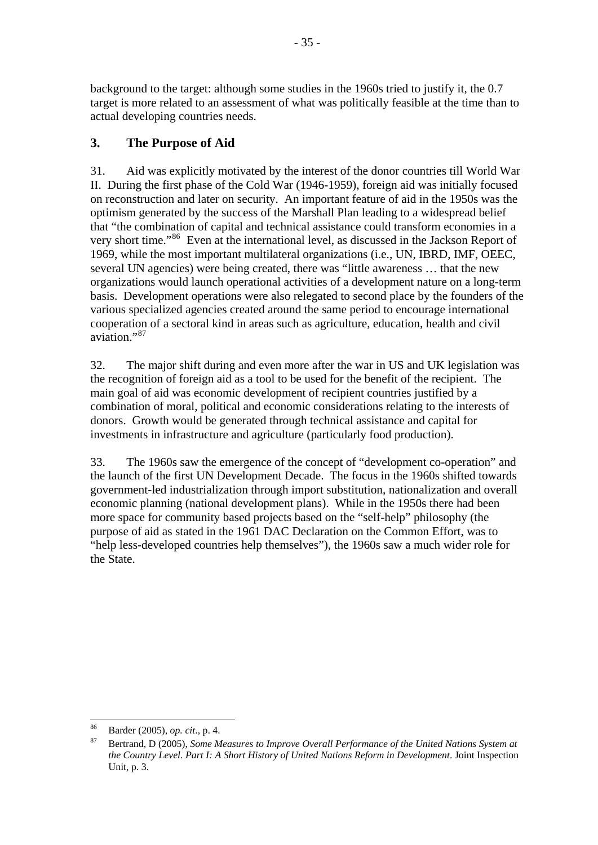<span id="page-40-0"></span>background to the target: although some studies in the 1960s tried to justify it, the 0.7 target is more related to an assessment of what was politically feasible at the time than to actual developing countries needs.

## **3. The Purpose of Aid**

31. Aid was explicitly motivated by the interest of the donor countries till World War II. During the first phase of the Cold War (1946-1959), foreign aid was initially focused on reconstruction and later on security. An important feature of aid in the 1950s was the optimism generated by the success of the Marshall Plan leading to a widespread belief that "the combination of capital and technical assistance could transform economies in a very short time."[86](#page-40-0) Even at the international level, as discussed in the Jackson Report of 1969, while the most important multilateral organizations (i.e., UN, IBRD, IMF, OEEC, several UN agencies) were being created, there was "little awareness … that the new organizations would launch operational activities of a development nature on a long-term basis. Development operations were also relegated to second place by the founders of the various specialized agencies created around the same period to encourage international cooperation of a sectoral kind in areas such as agriculture, education, health and civil aviation."<sup>[87](#page-40-0)</sup>

32. The major shift during and even more after the war in US and UK legislation was the recognition of foreign aid as a tool to be used for the benefit of the recipient. The main goal of aid was economic development of recipient countries justified by a combination of moral, political and economic considerations relating to the interests of donors. Growth would be generated through technical assistance and capital for investments in infrastructure and agriculture (particularly food production).

33. The 1960s saw the emergence of the concept of "development co-operation" and the launch of the first UN Development Decade. The focus in the 1960s shifted towards government-led industrialization through import substitution, nationalization and overall economic planning (national development plans). While in the 1950s there had been more space for community based projects based on the "self-help" philosophy (the purpose of aid as stated in the 1961 DAC Declaration on the Common Effort, was to "help less-developed countries help themselves"), the 1960s saw a much wider role for the State.

<sup>86</sup> 

Barder (2005), *op. cit.*, p. 4.<br>Bertrand, D (2005), *Some Measures to Improve Overall Performance of the United Nations System at the Country Level. Part I: A Short History of United Nations Reform in Development*. Joint Inspection Unit, p. 3.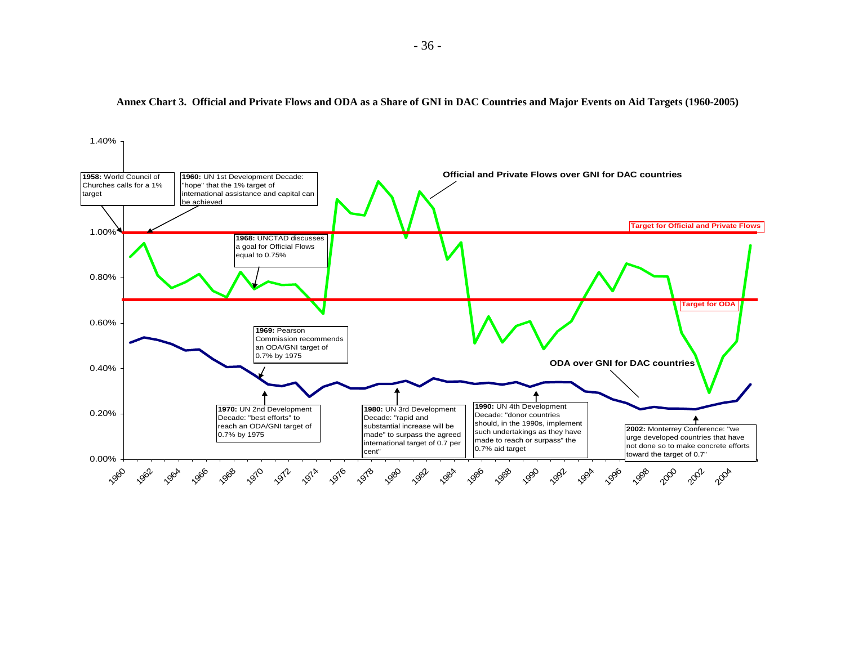<span id="page-41-0"></span>

#### **Annex Chart 3. Official and Private Flows and ODA as a Share of GNI in DAC Countries and Major Events on Aid Targets (1960-2005)**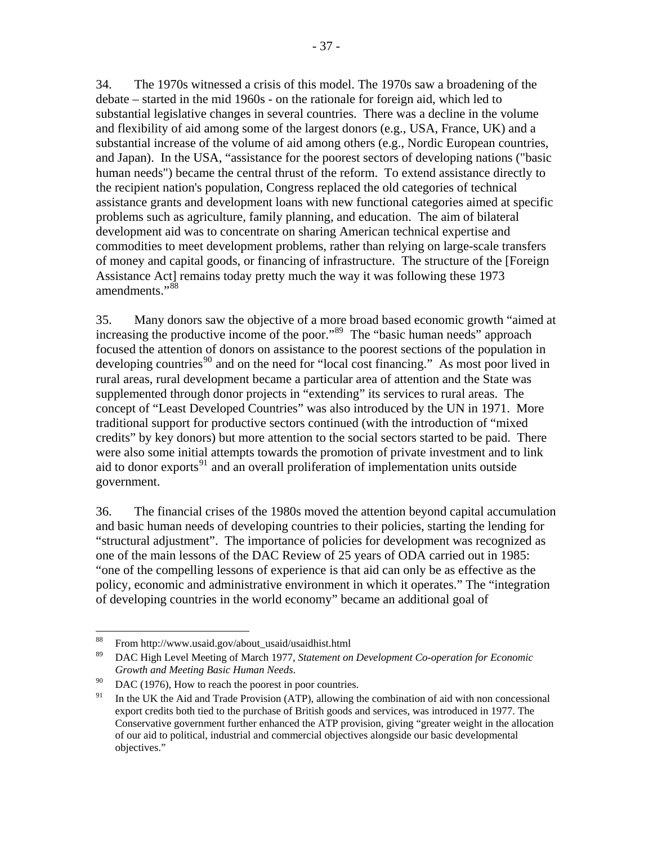<span id="page-42-0"></span>34. The 1970s witnessed a crisis of this model. The 1970s saw a broadening of the debate – started in the mid 1960s - on the rationale for foreign aid, which led to substantial legislative changes in several countries. There was a decline in the volume and flexibility of aid among some of the largest donors (e.g., USA, France, UK) and a substantial increase of the volume of aid among others (e.g., Nordic European countries, and Japan). In the USA, "assistance for the poorest sectors of developing nations ("basic human needs") became the central thrust of the reform. To extend assistance directly to the recipient nation's population, Congress replaced the old categories of technical assistance grants and development loans with new functional categories aimed at specific problems such as agriculture, family planning, and education. The aim of bilateral development aid was to concentrate on sharing American technical expertise and commodities to meet development problems, rather than relying on large-scale transfers of money and capital goods, or financing of infrastructure. The structure of the [Foreign Assistance Act] remains today pretty much the way it was following these 1973 amendments."[88](#page-42-0)

35. Many donors saw the objective of a more broad based economic growth "aimed at increasing the productive income of the poor."<sup>[89](#page-42-0)</sup> The "basic human needs" approach focused the attention of donors on assistance to the poorest sections of the population in developing countries<sup>[90](#page-42-0)</sup> and on the need for "local cost financing." As most poor lived in rural areas, rural development became a particular area of attention and the State was supplemented through donor projects in "extending" its services to rural areas. The concept of "Least Developed Countries" was also introduced by the UN in 1971. More traditional support for productive sectors continued (with the introduction of "mixed credits" by key donors) but more attention to the social sectors started to be paid. There were also some initial attempts towards the promotion of private investment and to link aid to donor exports $91$  and an overall proliferation of implementation units outside government.

36. The financial crises of the 1980s moved the attention beyond capital accumulation and basic human needs of developing countries to their policies, starting the lending for "structural adjustment". The importance of policies for development was recognized as one of the main lessons of the DAC Review of 25 years of ODA carried out in 1985: "one of the compelling lessons of experience is that aid can only be as effective as the policy, economic and administrative environment in which it operates." The "integration of developing countries in the world economy" became an additional goal of

<sup>88</sup> 88 From http://www.usaid.gov/about\_usaid/usaidhist.html

<sup>89</sup> DAC High Level Meeting of March 1977, *Statement on Development Co-operation for Economic Growth and Meeting Basic Human Needs.* 90 DAC (1976), How to reach the poorest in poor countries.

<sup>&</sup>lt;sup>91</sup> In the UK the Aid and Trade Provision (ATP), allowing the combination of aid with non concessional export credits both tied to the purchase of British goods and services, was introduced in 1977. The Conservative government further enhanced the ATP provision, giving "greater weight in the allocation of our aid to political, industrial and commercial objectives alongside our basic developmental objectives."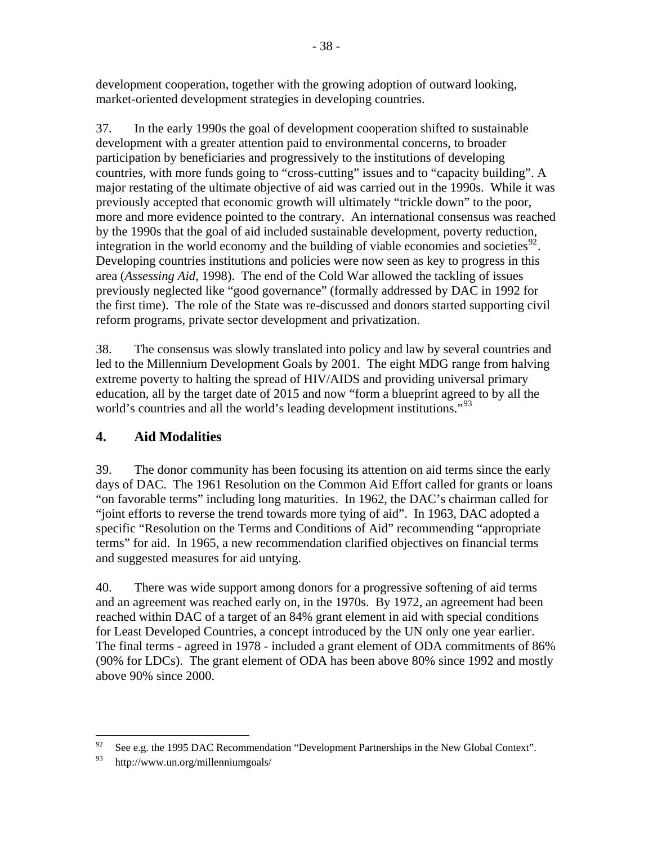<span id="page-43-0"></span>development cooperation, together with the growing adoption of outward looking, market-oriented development strategies in developing countries.

37. In the early 1990s the goal of development cooperation shifted to sustainable development with a greater attention paid to environmental concerns, to broader participation by beneficiaries and progressively to the institutions of developing countries, with more funds going to "cross-cutting" issues and to "capacity building". A major restating of the ultimate objective of aid was carried out in the 1990s. While it was previously accepted that economic growth will ultimately "trickle down" to the poor, more and more evidence pointed to the contrary. An international consensus was reached by the 1990s that the goal of aid included sustainable development, poverty reduction, integration in the world economy and the building of viable economies and societies<sup>[92](#page-43-0)</sup>. Developing countries institutions and policies were now seen as key to progress in this area (*Assessing Aid*, 1998). The end of the Cold War allowed the tackling of issues previously neglected like "good governance" (formally addressed by DAC in 1992 for the first time). The role of the State was re-discussed and donors started supporting civil reform programs, private sector development and privatization.

38. The consensus was slowly translated into policy and law by several countries and led to the Millennium Development Goals by 2001. The eight MDG range from halving extreme poverty to halting the spread of HIV/AIDS and providing universal primary education, all by the target date of 2015 and now "form a blueprint agreed to by all the world's countries and all the world's leading development institutions."<sup>[93](#page-43-0)</sup>

## **4. Aid Modalities**

39. The donor community has been focusing its attention on aid terms since the early days of DAC. The 1961 Resolution on the Common Aid Effort called for grants or loans "on favorable terms" including long maturities. In 1962, the DAC's chairman called for "joint efforts to reverse the trend towards more tying of aid". In 1963, DAC adopted a specific "Resolution on the Terms and Conditions of Aid" recommending "appropriate terms" for aid. In 1965, a new recommendation clarified objectives on financial terms and suggested measures for aid untying.

40. There was wide support among donors for a progressive softening of aid terms and an agreement was reached early on, in the 1970s. By 1972, an agreement had been reached within DAC of a target of an 84% grant element in aid with special conditions for Least Developed Countries, a concept introduced by the UN only one year earlier. The final terms - agreed in 1978 - included a grant element of ODA commitments of 86% (90% for LDCs). The grant element of ODA has been above 80% since 1992 and mostly above 90% since 2000.

<sup>92</sup> See e.g. the 1995 DAC Recommendation "Development Partnerships in the New Global Context".

<sup>93</sup> http://www.un.org/millenniumgoals/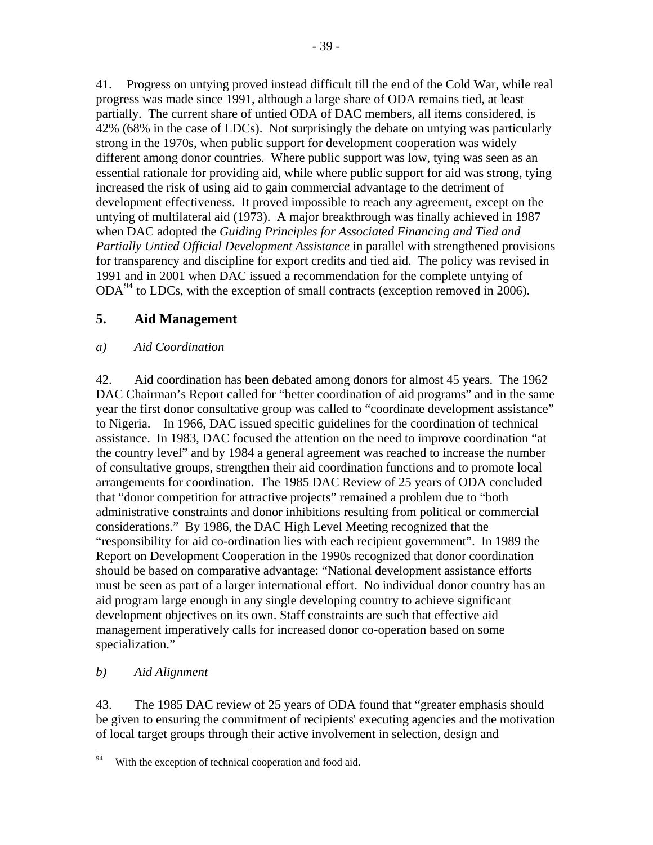<span id="page-44-0"></span>41. Progress on untying proved instead difficult till the end of the Cold War, while real progress was made since 1991, although a large share of ODA remains tied, at least partially. The current share of untied ODA of DAC members, all items considered, is 42% (68% in the case of LDCs). Not surprisingly the debate on untying was particularly strong in the 1970s, when public support for development cooperation was widely different among donor countries. Where public support was low, tying was seen as an essential rationale for providing aid, while where public support for aid was strong, tying increased the risk of using aid to gain commercial advantage to the detriment of development effectiveness. It proved impossible to reach any agreement, except on the untying of multilateral aid (1973). A major breakthrough was finally achieved in 1987 when DAC adopted the *Guiding Principles for Associated Financing and Tied and Partially Untied Official Development Assistance* in parallel with strengthened provisions for transparency and discipline for export credits and tied aid. The policy was revised in 1991 and in 2001 when DAC issued a recommendation for the complete untying of ODA<sup>[94](#page-44-0)</sup> to LDCs, with the exception of small contracts (exception removed in 2006).

## **5. Aid Management**

## *a) Aid Coordination*

42. Aid coordination has been debated among donors for almost 45 years. The 1962 DAC Chairman's Report called for "better coordination of aid programs" and in the same year the first donor consultative group was called to "coordinate development assistance" to Nigeria. In 1966, DAC issued specific guidelines for the coordination of technical assistance. In 1983, DAC focused the attention on the need to improve coordination "at the country level" and by 1984 a general agreement was reached to increase the number of consultative groups, strengthen their aid coordination functions and to promote local arrangements for coordination. The 1985 DAC Review of 25 years of ODA concluded that "donor competition for attractive projects" remained a problem due to "both administrative constraints and donor inhibitions resulting from political or commercial considerations." By 1986, the DAC High Level Meeting recognized that the "responsibility for aid co-ordination lies with each recipient government". In 1989 the Report on Development Cooperation in the 1990s recognized that donor coordination should be based on comparative advantage: "National development assistance efforts must be seen as part of a larger international effort. No individual donor country has an aid program large enough in any single developing country to achieve significant development objectives on its own. Staff constraints are such that effective aid management imperatively calls for increased donor co-operation based on some specialization."

## *b) Aid Alignment*

43. The 1985 DAC review of 25 years of ODA found that "greater emphasis should be given to ensuring the commitment of recipients' executing agencies and the motivation of local target groups through their active involvement in selection, design and

<sup>94</sup> With the exception of technical cooperation and food aid.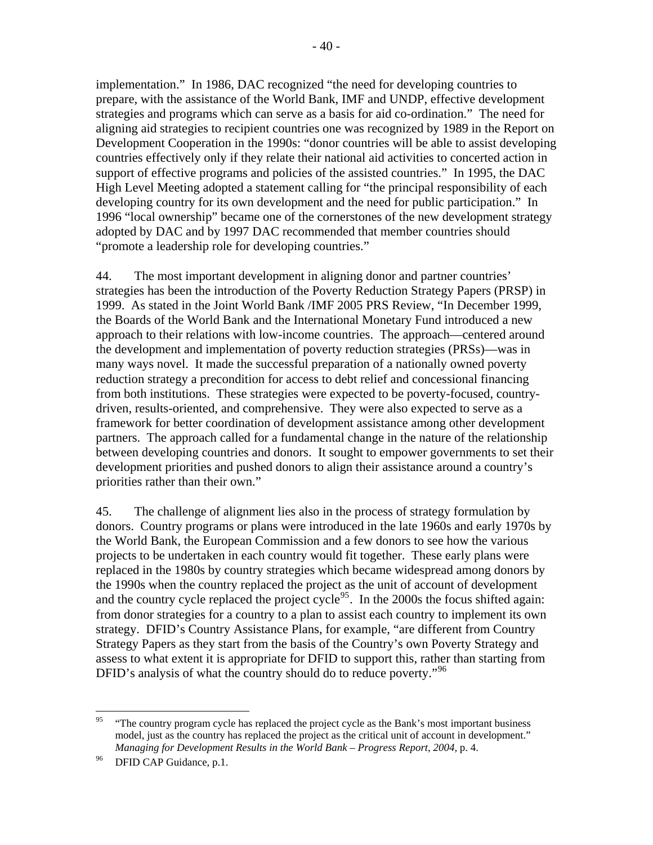<span id="page-45-0"></span>implementation." In 1986, DAC recognized "the need for developing countries to prepare, with the assistance of the World Bank, IMF and UNDP, effective development strategies and programs which can serve as a basis for aid co-ordination." The need for aligning aid strategies to recipient countries one was recognized by 1989 in the Report on Development Cooperation in the 1990s: "donor countries will be able to assist developing countries effectively only if they relate their national aid activities to concerted action in support of effective programs and policies of the assisted countries." In 1995, the DAC High Level Meeting adopted a statement calling for "the principal responsibility of each developing country for its own development and the need for public participation." In 1996 "local ownership" became one of the cornerstones of the new development strategy adopted by DAC and by 1997 DAC recommended that member countries should "promote a leadership role for developing countries."

44. The most important development in aligning donor and partner countries' strategies has been the introduction of the Poverty Reduction Strategy Papers (PRSP) in 1999. As stated in the Joint World Bank /IMF 2005 PRS Review, "In December 1999, the Boards of the World Bank and the International Monetary Fund introduced a new approach to their relations with low-income countries. The approach—centered around the development and implementation of poverty reduction strategies (PRSs)—was in many ways novel. It made the successful preparation of a nationally owned poverty reduction strategy a precondition for access to debt relief and concessional financing from both institutions. These strategies were expected to be poverty-focused, countrydriven, results-oriented, and comprehensive. They were also expected to serve as a framework for better coordination of development assistance among other development partners. The approach called for a fundamental change in the nature of the relationship between developing countries and donors. It sought to empower governments to set their development priorities and pushed donors to align their assistance around a country's priorities rather than their own."

45. The challenge of alignment lies also in the process of strategy formulation by donors. Country programs or plans were introduced in the late 1960s and early 1970s by the World Bank, the European Commission and a few donors to see how the various projects to be undertaken in each country would fit together. These early plans were replaced in the 1980s by country strategies which became widespread among donors by the 1990s when the country replaced the project as the unit of account of development and the country cycle replaced the project cycle<sup>[95](#page-45-0)</sup>. In the 2000s the focus shifted again: from donor strategies for a country to a plan to assist each country to implement its own strategy. DFID's Country Assistance Plans, for example, "are different from Country Strategy Papers as they start from the basis of the Country's own Poverty Strategy and assess to what extent it is appropriate for DFID to support this, rather than starting from DFID's analysis of what the country should do to reduce poverty."<sup>[96](#page-45-0)</sup>

<sup>95</sup> 95 "The country program cycle has replaced the project cycle as the Bank's most important business model, just as the country has replaced the project as the critical unit of account in development." *Managing for Development Results in the World Bank – Progress Report, 2004, p. 4.* DFID CAP Guidance, p.1.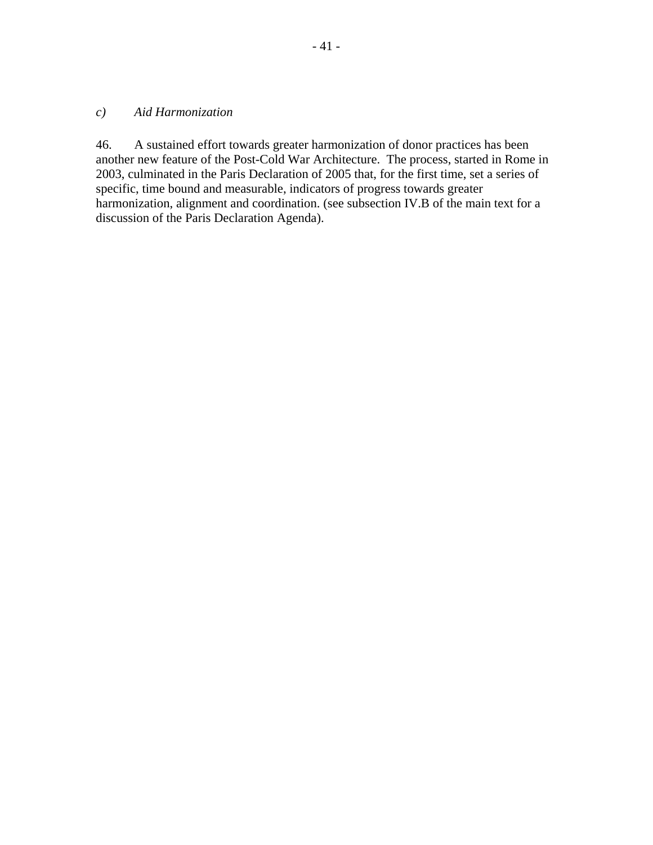#### *c) Aid Harmonization*

46. A sustained effort towards greater harmonization of donor practices has been another new feature of the Post-Cold War Architecture. The process, started in Rome in 2003, culminated in the Paris Declaration of 2005 that, for the first time, set a series of specific, time bound and measurable, indicators of progress towards greater harmonization, alignment and coordination. (see subsection IV.B of the main text for a discussion of the Paris Declaration Agenda).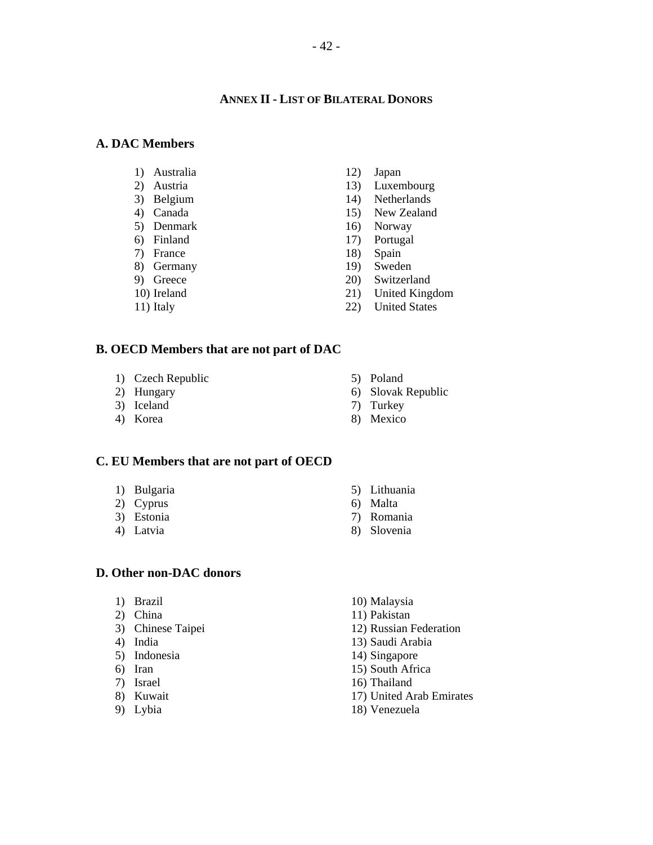#### **ANNEX II - LIST OF BILATERAL DONORS**

#### **A. DAC Members**

- 1) Australia
- 2) Austria
- 3) Belgium
- 4) Canada
- 5) Denmark
- 6) Finland
- 7) France
- 8) Germany
- 9) Greece
- 10) Ireland
- 11) Italy

12) Japan

- 13) Luxembourg
- 14) Netherlands
- 15) New Zealand
- 16) Norway
- 17) Portugal
- 18) Spain
- 19) Sweden
- 20) Switzerland
- 21) United Kingdom
- 22) United States

#### **B. OECD Members that are not part of DAC**

- 1) Czech Republic
- 2) Hungary
- 3) Iceland
- 4) Korea
- 5) Poland
- 6) Slovak Republic
- 7) Turkey
- 8) Mexico

#### **C. EU Members that are not part of OECD**

- 1) Bulgaria
- 2) Cyprus
- 3) Estonia
- 4) Latvia

#### **D. Other non-DAC donors**

- 1) Brazil
- 2) China
- 3) Chinese Taipei
- 4) India
- 5) Indonesia
- 6) Iran
- 7) Israel
- 8) Kuwait
- 9) Lybia
- 5) Lithuania
- 6) Malta
- 7) Romania
- 8) Slovenia
- 10) Malaysia
- 11) Pakistan
- 12) Russian Federation
- 13) Saudi Arabia
- 14) Singapore
- 15) South Africa
- 16) Thailand
- 17) United Arab Emirates
- 18) Venezuela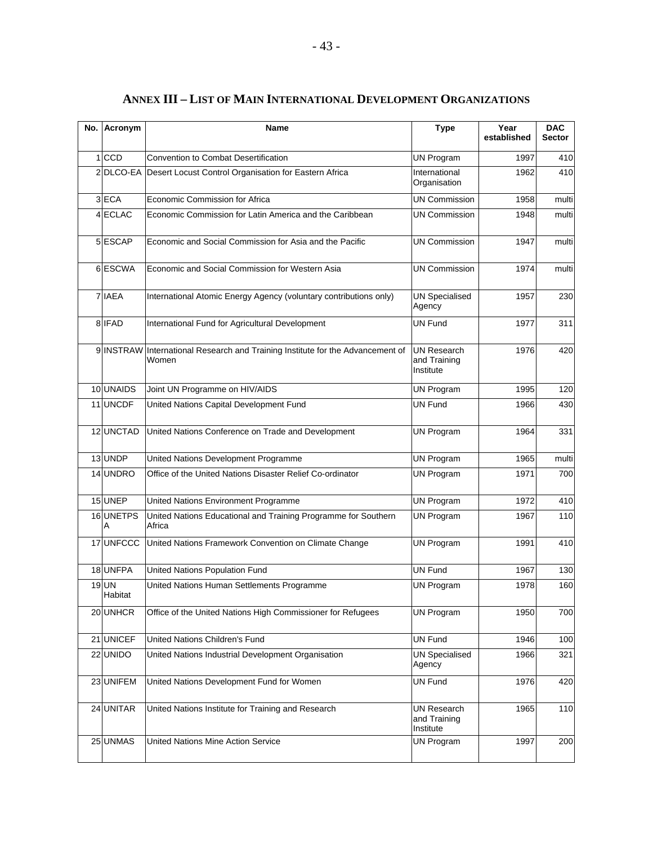| No. Acronym             | Name                                                                                    | <b>Type</b>                                     | Year<br>established | <b>DAC</b><br><b>Sector</b> |
|-------------------------|-----------------------------------------------------------------------------------------|-------------------------------------------------|---------------------|-----------------------------|
| 1 <sub>ICCD</sub>       | <b>Convention to Combat Desertification</b>                                             | <b>UN Program</b>                               | 1997                | 410                         |
|                         | 2 DLCO-EA Desert Locust Control Organisation for Eastern Africa                         | International<br>Organisation                   | 1962                | 410                         |
| 3 ECA                   | Economic Commission for Africa                                                          | <b>UN Commission</b>                            | 1958                | multi                       |
| 4 ECLAC                 | Economic Commission for Latin America and the Caribbean                                 | <b>UN Commission</b>                            | 1948                | multi                       |
| 5 ESCAP                 | Economic and Social Commission for Asia and the Pacific                                 | <b>UN Commission</b>                            | 1947                | multi                       |
| 6 ESCWA                 | Economic and Social Commission for Western Asia                                         | <b>UN Commission</b>                            | 1974                | multi                       |
| 7 IAEA                  | International Atomic Energy Agency (voluntary contributions only)                       | <b>UN Specialised</b><br>Agency                 | 1957                | 230                         |
| 8 IFAD                  | International Fund for Agricultural Development                                         | <b>UN Fund</b>                                  | 1977                | 311                         |
|                         | 9 INSTRAW International Research and Training Institute for the Advancement of<br>Women | <b>UN Research</b><br>and Training<br>Institute | 1976                | 420                         |
| 10 UNAIDS               | Joint UN Programme on HIV/AIDS                                                          | <b>UN Program</b>                               | 1995                | 120                         |
| 11 UNCDF                | United Nations Capital Development Fund                                                 | <b>UN Fund</b>                                  | 1966                | 430                         |
| 12 UNCTAD               | United Nations Conference on Trade and Development                                      | <b>UN Program</b>                               | 1964                | 331                         |
| 13 UNDP                 | United Nations Development Programme                                                    | <b>UN Program</b>                               | 1965                | multi                       |
| 14 UNDRO                | Office of the United Nations Disaster Relief Co-ordinator                               | <b>UN Program</b>                               | 1971                | 700                         |
| 15 UNEP                 | United Nations Environment Programme                                                    | <b>UN Program</b>                               | 1972                | 410                         |
| 16 UNETPS<br>A          | United Nations Educational and Training Programme for Southern<br>Africa                | <b>UN Program</b>                               | 1967                | 110                         |
|                         | 17 UNFCCC United Nations Framework Convention on Climate Change                         | <b>UN Program</b>                               | 1991                | 410                         |
| 18 UNFPA                | United Nations Population Fund                                                          | <b>UN Fund</b>                                  | 1967                | 130                         |
| <b>19 UN</b><br>Habitat | United Nations Human Settlements Programme                                              | <b>UN Program</b>                               | 1978                | 160                         |
| 20 UNHCR                | Office of the United Nations High Commissioner for Refugees                             | <b>UN Program</b>                               | 1950                | 700                         |
| 21 UNICEF               | United Nations Children's Fund                                                          | UN Fund                                         | 1946                | 100                         |
| 22 UNIDO                | United Nations Industrial Development Organisation                                      | <b>UN Specialised</b><br>Agency                 | 1966                | 321                         |
| 23 UNIFEM               | United Nations Development Fund for Women                                               | UN Fund                                         | 1976                | 420                         |
| 24 UNITAR               | United Nations Institute for Training and Research                                      | <b>UN Research</b><br>and Training<br>Institute | 1965                | 110                         |
| 25 UNMAS                | <b>United Nations Mine Action Service</b>                                               | UN Program                                      | 1997                | 200                         |

## **ANNEX III – LIST OF MAIN INTERNATIONAL DEVELOPMENT ORGANIZATIONS**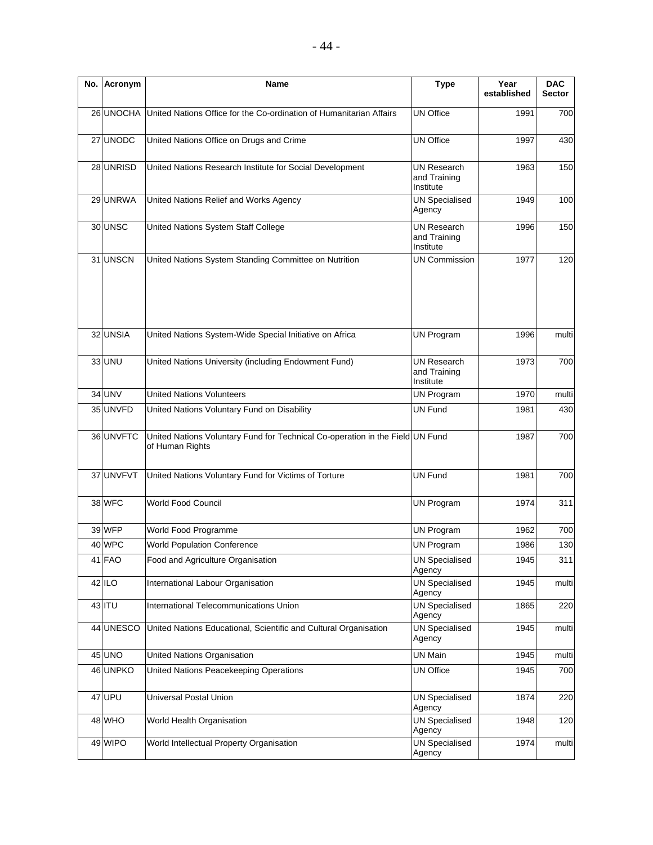| No. | Acronym       | <b>Name</b>                                                                                      | <b>Type</b>                                     | Year<br>established | <b>DAC</b><br><b>Sector</b> |
|-----|---------------|--------------------------------------------------------------------------------------------------|-------------------------------------------------|---------------------|-----------------------------|
|     | 26 UNOCHA     | United Nations Office for the Co-ordination of Humanitarian Affairs                              | <b>UN Office</b>                                | 1991                | 700                         |
|     | 27 UNODC      | United Nations Office on Drugs and Crime                                                         | <b>UN Office</b>                                | 1997                | 430                         |
|     | 28 UNRISD     | United Nations Research Institute for Social Development                                         | <b>UN Research</b><br>and Training<br>Institute | 1963                | 150                         |
|     | 29 UNRWA      | United Nations Relief and Works Agency                                                           | <b>UN Specialised</b><br>Agency                 | 1949                | 100                         |
|     | 30 UNSC       | United Nations System Staff College                                                              | <b>UN Research</b><br>and Training<br>Institute | 1996                | 150                         |
|     | 31 UNSCN      | United Nations System Standing Committee on Nutrition                                            | <b>UN Commission</b>                            | 1977                | 120                         |
|     | 32 UNSIA      | United Nations System-Wide Special Initiative on Africa                                          | <b>UN Program</b>                               | 1996                | multi                       |
|     | 33 UNU        | United Nations University (including Endowment Fund)                                             | <b>UN Research</b><br>and Training<br>Institute | 1973                | 700                         |
|     | <b>34 UNV</b> | <b>United Nations Volunteers</b>                                                                 | <b>UN Program</b>                               | 1970                | multi                       |
|     | 35 UNVFD      | United Nations Voluntary Fund on Disability                                                      | <b>UN Fund</b>                                  | 1981                | 430                         |
|     | 36 UNVFTC     | United Nations Voluntary Fund for Technical Co-operation in the Field UN Fund<br>of Human Rights |                                                 | 1987                | 700                         |
|     | 37 UNVFVT     | United Nations Voluntary Fund for Victims of Torture                                             | <b>UN Fund</b>                                  | 1981                | 700                         |
|     | 38 WFC        | World Food Council                                                                               | <b>UN Program</b>                               | 1974                | 311                         |
|     | 39 WFP        | World Food Programme                                                                             | <b>UN Program</b>                               | 1962                | 700                         |
|     | 40 WPC        | <b>World Population Conference</b>                                                               | <b>UN Program</b>                               | 1986                | 130                         |
|     | 41 FAO        | Food and Agriculture Organisation                                                                | <b>UN Specialised</b><br>Agency                 | 1945                | 311                         |
|     | $42$ ILO      | International Labour Organisation                                                                | <b>UN Specialised</b><br>Agency                 | 1945                | multi                       |
|     | 43 ITU        | International Telecommunications Union                                                           | <b>UN Specialised</b><br>Agency                 | 1865                | 220                         |
|     | 44 UNESCO     | United Nations Educational, Scientific and Cultural Organisation                                 | <b>UN Specialised</b><br>Agency                 | 1945                | multi                       |
|     | 45 UNO        | United Nations Organisation                                                                      | UN Main                                         | 1945                | multi                       |
|     | 46 UNPKO      | United Nations Peacekeeping Operations                                                           | <b>UN Office</b>                                | 1945                | 700                         |
|     | 47 UPU        | <b>Universal Postal Union</b>                                                                    | <b>UN Specialised</b><br>Agency                 | 1874                | 220                         |
|     | 48 WHO        | World Health Organisation                                                                        | <b>UN Specialised</b><br>Agency                 | 1948                | 120                         |
|     | 49 WIPO       | World Intellectual Property Organisation                                                         | <b>UN Specialised</b><br>Agency                 | 1974                | multi                       |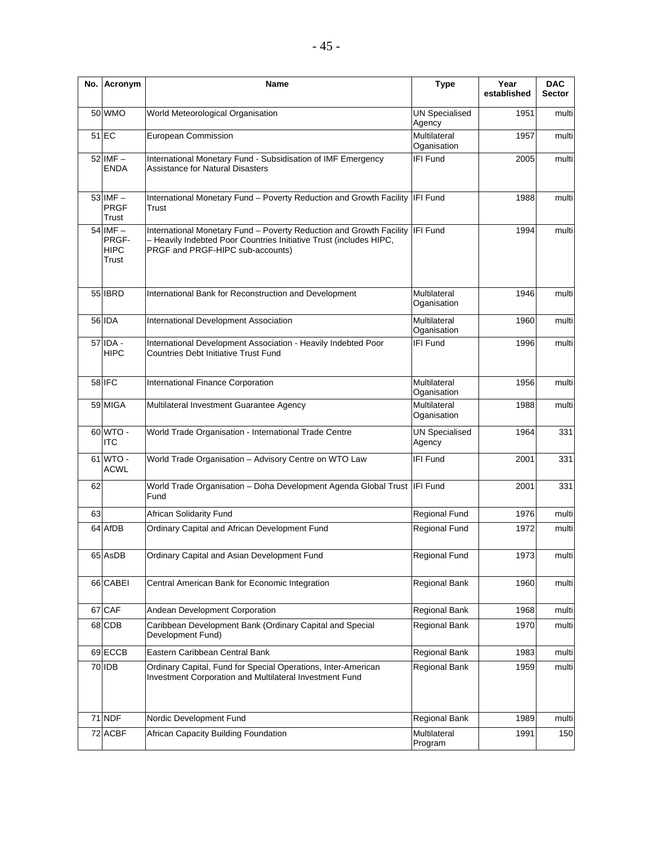| No. | Acronym                                  | <b>Name</b>                                                                                                                                                                            | <b>Type</b>                     | Year<br>established | <b>DAC</b><br><b>Sector</b> |
|-----|------------------------------------------|----------------------------------------------------------------------------------------------------------------------------------------------------------------------------------------|---------------------------------|---------------------|-----------------------------|
|     | 50 WMO                                   | World Meteorological Organisation                                                                                                                                                      | <b>UN Specialised</b><br>Agency | 1951                | multi                       |
|     | $51$ EC                                  | European Commission                                                                                                                                                                    | Multilateral<br>Oganisation     | 1957                | multi                       |
|     | $52$ IMF $-$<br><b>ENDA</b>              | International Monetary Fund - Subsidisation of IMF Emergency<br><b>Assistance for Natural Disasters</b>                                                                                | IFI Fund                        | 2005                | multi                       |
|     | 53 IMF-<br><b>PRGF</b><br>Trust          | International Monetary Fund - Poverty Reduction and Growth Facility   IFI Fund<br>Trust                                                                                                |                                 | 1988                | multi                       |
|     | 54 IMF-<br>PRGF-<br><b>HIPC</b><br>Trust | International Monetary Fund - Poverty Reduction and Growth Facility IFI Fund<br>- Heavily Indebted Poor Countries Initiative Trust (includes HIPC,<br>PRGF and PRGF-HIPC sub-accounts) |                                 | 1994                | multi                       |
|     | 55 IBRD                                  | International Bank for Reconstruction and Development                                                                                                                                  | Multilateral<br>Oganisation     | 1946                | multi                       |
|     | 56 IDA                                   | International Development Association                                                                                                                                                  | Multilateral<br>Oganisation     | 1960                | multi                       |
|     | 57 IDA -<br><b>HIPC</b>                  | International Development Association - Heavily Indebted Poor<br><b>Countries Debt Initiative Trust Fund</b>                                                                           | IFI Fund                        | 1996                | multi                       |
|     | 58 IFC                                   | International Finance Corporation                                                                                                                                                      | Multilateral<br>Oganisation     | 1956                | multi                       |
|     | 59 MIGA                                  | Multilateral Investment Guarantee Agency                                                                                                                                               | Multilateral<br>Oganisation     | 1988                | multi                       |
|     | 60 WTO -<br><b>ITC</b>                   | World Trade Organisation - International Trade Centre                                                                                                                                  | <b>UN Specialised</b><br>Agency | 1964                | 331                         |
|     | 61 WTO -<br><b>ACWL</b>                  | World Trade Organisation - Advisory Centre on WTO Law                                                                                                                                  | <b>IFI Fund</b>                 | 2001                | 331                         |
| 62  |                                          | World Trade Organisation - Doha Development Agenda Global Trust   IFI Fund<br>Fund                                                                                                     |                                 | 2001                | 331                         |
| 63  |                                          | <b>African Solidarity Fund</b>                                                                                                                                                         | Regional Fund                   | 1976                | multi                       |
|     | 64 AfDB                                  | Ordinary Capital and African Development Fund                                                                                                                                          | <b>Regional Fund</b>            | 1972                | multi                       |
|     | 65 AsDB                                  | Ordinary Capital and Asian Development Fund                                                                                                                                            | Regional Fund                   | 1973                | multi                       |
|     | 66 CABEI                                 | Central American Bank for Economic Integration                                                                                                                                         | Regional Bank                   | 1960                | multi                       |
|     | 67 CAF                                   | Andean Development Corporation                                                                                                                                                         | Regional Bank                   | 1968                | multi                       |
|     | 68 CDB                                   | Caribbean Development Bank (Ordinary Capital and Special<br>Development Fund)                                                                                                          | Regional Bank                   | 1970                | multi                       |
|     | 69 ECCB                                  | Eastern Caribbean Central Bank                                                                                                                                                         | Regional Bank                   | 1983                | multi                       |
|     | 70 IDB                                   | Ordinary Capital, Fund for Special Operations, Inter-American<br>Investment Corporation and Multilateral Investment Fund                                                               | Regional Bank                   | 1959                | multi                       |
|     | 71 NDF                                   | Nordic Development Fund                                                                                                                                                                | Regional Bank                   | 1989                | multi                       |
|     | 72 ACBF                                  | African Capacity Building Foundation                                                                                                                                                   | Multilateral<br>Program         | 1991                | 150                         |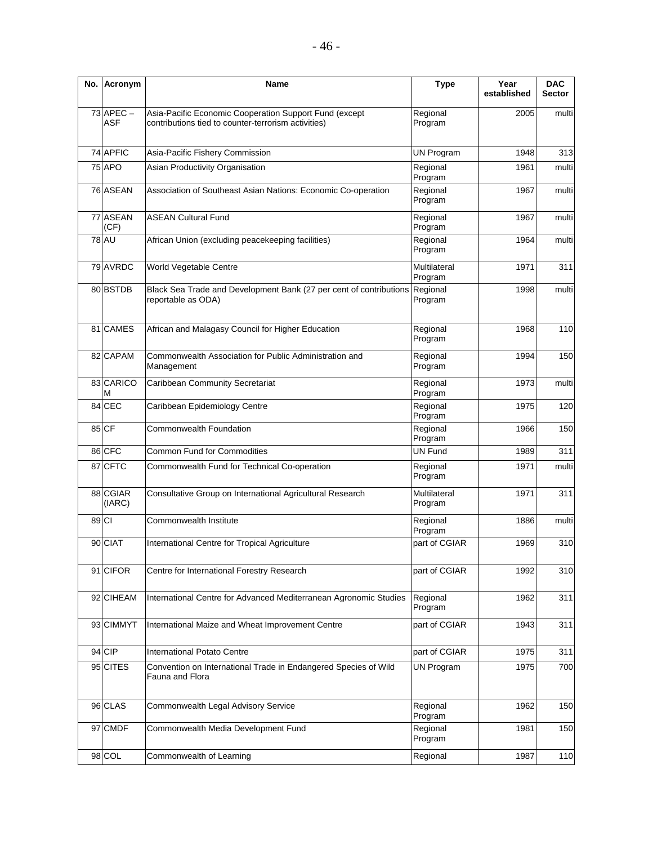| No.   | Acronym                     | Name                                                                                                            | <b>Type</b>             | Year<br>established | <b>DAC</b><br><b>Sector</b> |
|-------|-----------------------------|-----------------------------------------------------------------------------------------------------------------|-------------------------|---------------------|-----------------------------|
|       | $73$ APEC $-$<br><b>ASF</b> | Asia-Pacific Economic Cooperation Support Fund (except<br>contributions tied to counter-terrorism activities)   | Regional<br>Program     | 2005                | multi                       |
|       | 74 APFIC                    | Asia-Pacific Fishery Commission                                                                                 | <b>UN Program</b>       | 1948                | 313                         |
|       | <b>75 APO</b>               | Asian Productivity Organisation                                                                                 | Regional<br>Program     | 1961                | multi                       |
|       | 76 ASEAN                    | Association of Southeast Asian Nations: Economic Co-operation                                                   | Regional<br>Program     | 1967                | multi                       |
|       | 77 ASEAN<br>(CF)            | <b>ASEAN Cultural Fund</b>                                                                                      | Regional<br>Program     | 1967                | multi                       |
|       | <b>78 AU</b>                | African Union (excluding peacekeeping facilities)                                                               | Regional<br>Program     | 1964                | multi                       |
|       | 79 AVRDC                    | World Vegetable Centre                                                                                          | Multilateral<br>Program | 1971                | 311                         |
|       | 80 BSTDB                    | Black Sea Trade and Development Bank (27 per cent of contributions<br>Regional<br>reportable as ODA)<br>Program |                         | 1998                | multi                       |
|       | 81 CAMES                    | African and Malagasy Council for Higher Education                                                               | Regional<br>Program     | 1968                | 110                         |
|       | 82 CAPAM                    | Commonwealth Association for Public Administration and<br>Management                                            | Regional<br>Program     | 1994                | 150                         |
|       | 83 CARICO<br>М              | Caribbean Community Secretariat                                                                                 | Regional<br>Program     | 1973                | multi                       |
|       | 84 CEC                      | Caribbean Epidemiology Centre                                                                                   | Regional<br>Program     | 1975                | 120                         |
|       | 85 CF                       | Commonwealth Foundation                                                                                         | Regional<br>Program     | 1966                | 150                         |
|       | 86 CFC                      | <b>Common Fund for Commodities</b>                                                                              | <b>UN Fund</b>          | 1989                | 311                         |
|       | 87 CFTC                     | Commonwealth Fund for Technical Co-operation                                                                    | Regional<br>Program     | 1971                | multi                       |
|       | 88 CGIAR<br>(IARC)          | Consultative Group on International Agricultural Research                                                       | Multilateral<br>Program | 1971                | 311                         |
| 89 CI |                             | Commonwealth Institute                                                                                          | Regional<br>Program     | 1886                | multi                       |
|       | 90 CIAT                     | International Centre for Tropical Agriculture                                                                   | part of CGIAR           | 1969                | 310                         |
|       | 91 CIFOR                    | Centre for International Forestry Research                                                                      | part of CGIAR           | 1992                | 310                         |
|       | 92 CIHEAM                   | International Centre for Advanced Mediterranean Agronomic Studies                                               | Regional<br>Program     | 1962                | 311                         |
|       | 93 CIMMYT                   | International Maize and Wheat Improvement Centre                                                                | part of CGIAR           | 1943                | 311                         |
|       | 94 CIP                      | <b>International Potato Centre</b>                                                                              | part of CGIAR           | 1975                | 311                         |
|       | 95 CITES                    | Convention on International Trade in Endangered Species of Wild<br>Fauna and Flora                              | <b>UN Program</b>       | 1975                | 700                         |
|       | 96 CLAS                     | Commonwealth Legal Advisory Service                                                                             | Regional<br>Program     | 1962                | 150                         |
|       | 97 CMDF                     | Commonwealth Media Development Fund                                                                             | Regional<br>Program     | 1981                | 150                         |
|       | 98 COL                      | Commonwealth of Learning                                                                                        | Regional                | 1987                | 110                         |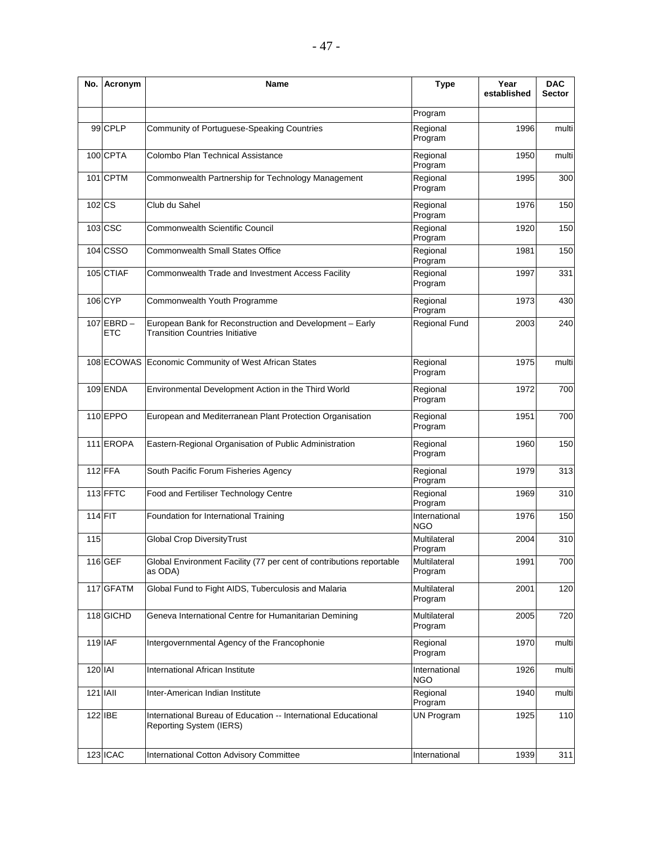| No.      | Acronym                    | <b>Name</b>                                                                                        | <b>Type</b>                 | Year<br>established | <b>DAC</b><br><b>Sector</b> |
|----------|----------------------------|----------------------------------------------------------------------------------------------------|-----------------------------|---------------------|-----------------------------|
|          |                            |                                                                                                    | Program                     |                     |                             |
|          | 99 CPLP                    | Community of Portuguese-Speaking Countries                                                         | Regional<br>Program         | 1996                | multi                       |
|          | 100 CPTA                   | Colombo Plan Technical Assistance                                                                  | Regional<br>Program         | 1950                | multi                       |
|          | 101 CPTM                   | Commonwealth Partnership for Technology Management                                                 | Regional<br>Program         | 1995                | 300                         |
| 102 CS   |                            | Club du Sahel                                                                                      | Regional<br>Program         | 1976                | 150                         |
|          | 103 CSC                    | Commonwealth Scientific Council                                                                    | Regional<br>Program         | 1920                | 150                         |
|          | 104 CSSO                   | <b>Commonwealth Small States Office</b>                                                            | Regional<br>Program         | 1981                | 150                         |
|          | 105 CTIAF                  | Commonwealth Trade and Investment Access Facility                                                  | Regional<br>Program         | 1997                | 331                         |
|          | 106 CYP                    | Commonwealth Youth Programme                                                                       | Regional<br>Program         | 1973                | 430                         |
|          | $107$ EBRD -<br><b>ETC</b> | European Bank for Reconstruction and Development - Early<br><b>Transition Countries Initiative</b> | Regional Fund               | 2003                | 240                         |
|          |                            | 108 ECOWAS Economic Community of West African States                                               | Regional<br>Program         | 1975                | multi                       |
|          | 109 ENDA                   | Environmental Development Action in the Third World                                                | Regional<br>Program         | 1972                | 700                         |
|          | 110 EPPO                   | European and Mediterranean Plant Protection Organisation                                           | Regional<br>Program         | 1951                | 700                         |
|          | 111 EROPA                  | Eastern-Regional Organisation of Public Administration                                             | Regional<br>Program         | 1960                | 150                         |
|          | 112 FFA                    | South Pacific Forum Fisheries Agency                                                               | Regional<br>Program         | 1979                | 313                         |
|          | 113 FFTC                   | Food and Fertiliser Technology Centre                                                              | Regional<br>Program         | 1969                | 310                         |
| 114 FIT  |                            | Foundation for International Training                                                              | International<br><b>NGO</b> | 1976                | 150                         |
| 115      |                            | <b>Global Crop DiversityTrust</b>                                                                  | Multilateral<br>Program     | 2004                | 310                         |
|          | 116 GEF                    | Global Environment Facility (77 per cent of contributions reportable<br>as ODA)                    | Multilateral<br>Program     | 1991                | 700                         |
|          | 117 GFATM                  | Global Fund to Fight AIDS, Tuberculosis and Malaria                                                | Multilateral<br>Program     | 2001                | 120                         |
|          | 118 GICHD                  | Geneva International Centre for Humanitarian Demining                                              | Multilateral<br>Program     | 2005                | 720                         |
|          | 119 IAF                    | Intergovernmental Agency of the Francophonie                                                       | Regional<br>Program         | 1970                | multi                       |
| 120 IAI  |                            | International African Institute                                                                    | International<br>NGO        | 1926                | multi                       |
| 121 IAII |                            | Inter-American Indian Institute                                                                    | Regional<br>Program         | 1940                | multi                       |
|          | 122 IBE                    | International Bureau of Education -- International Educational<br>Reporting System (IERS)          | <b>UN Program</b>           | 1925                | 110                         |
|          | 123 ICAC                   | International Cotton Advisory Committee                                                            | International               | 1939                | 311                         |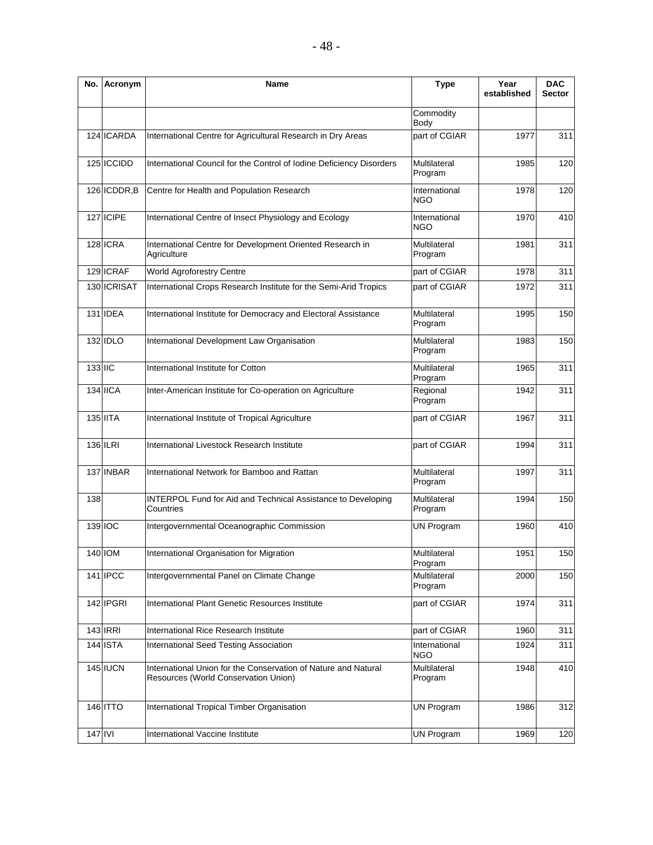| No.                          | Acronym         | Name                                                                                                   | <b>Type</b>                 | Year<br>established | <b>DAC</b><br><b>Sector</b> |
|------------------------------|-----------------|--------------------------------------------------------------------------------------------------------|-----------------------------|---------------------|-----------------------------|
|                              |                 |                                                                                                        | Commodity<br>Body           |                     |                             |
|                              | 124 ICARDA      | International Centre for Agricultural Research in Dry Areas                                            | part of CGIAR               | 1977                | 311                         |
|                              | 125 ICCIDD      | International Council for the Control of Iodine Deficiency Disorders                                   | Multilateral<br>Program     | 1985                | 120                         |
|                              | 126 ICDDR, B    | Centre for Health and Population Research                                                              | International<br><b>NGO</b> | 1978                | 120                         |
|                              | 127 ICIPE       | International Centre of Insect Physiology and Ecology                                                  | International<br>NGO        | 1970                | 410                         |
|                              | 128 ICRA        | International Centre for Development Oriented Research in<br>Agriculture                               | Multilateral<br>Program     | 1981                | 311                         |
|                              | 129 ICRAF       | World Agroforestry Centre                                                                              | part of CGIAR               | 1978                | 311                         |
|                              | 130 ICRISAT     | International Crops Research Institute for the Semi-Arid Tropics                                       | part of CGIAR               | 1972                | 311                         |
|                              | 131 <b>IDEA</b> | International Institute for Democracy and Electoral Assistance                                         | Multilateral<br>Program     | 1995                | 150                         |
|                              | 132 IDLO        | International Development Law Organisation                                                             | Multilateral<br>Program     | 1983                | 150                         |
| $133$ $\overline{\text{HC}}$ |                 | International Institute for Cotton                                                                     | Multilateral<br>Program     | 1965                | 311                         |
|                              | <b>134 IICA</b> | Inter-American Institute for Co-operation on Agriculture                                               | Regional<br>Program         | 1942                | 311                         |
|                              | 135 IITA        | International Institute of Tropical Agriculture                                                        | part of CGIAR               | 1967                | 311                         |
|                              | 136 ILRI        | International Livestock Research Institute                                                             | part of CGIAR               | 1994                | 311                         |
|                              | $137$ INBAR     | International Network for Bamboo and Rattan                                                            | Multilateral<br>Program     | 1997                | 311                         |
| 138                          |                 | <b>INTERPOL Fund for Aid and Technical Assistance to Developing</b><br>Countries                       | Multilateral<br>Program     | 1994                | 150                         |
|                              | 139 IOC         | Intergovernmental Oceanographic Commission                                                             | <b>UN Program</b>           | 1960                | 410                         |
|                              | 140 IOM         | International Organisation for Migration                                                               | Multilateral<br>Program     | 1951                | 150                         |
|                              | 141 IPCC        | Intergovernmental Panel on Climate Change                                                              | Multilateral<br>Program     | 2000                | 150                         |
|                              | 142 IPGRI       | International Plant Genetic Resources Institute                                                        | part of CGIAR               | 1974                | 311                         |
|                              | <b>143 IRRI</b> | International Rice Research Institute                                                                  | part of CGIAR               | 1960                | 311                         |
|                              | <b>144 ISTA</b> | International Seed Testing Association                                                                 | International<br>NGO        | 1924                | 311                         |
|                              | <b>145 IUCN</b> | International Union for the Conservation of Nature and Natural<br>Resources (World Conservation Union) | Multilateral<br>Program     | 1948                | 410                         |
|                              | <b>146 ITTO</b> | International Tropical Timber Organisation                                                             | UN Program                  | 1986                | 312                         |
| 147 IVI                      |                 | International Vaccine Institute                                                                        | <b>UN Program</b>           | 1969                | 120                         |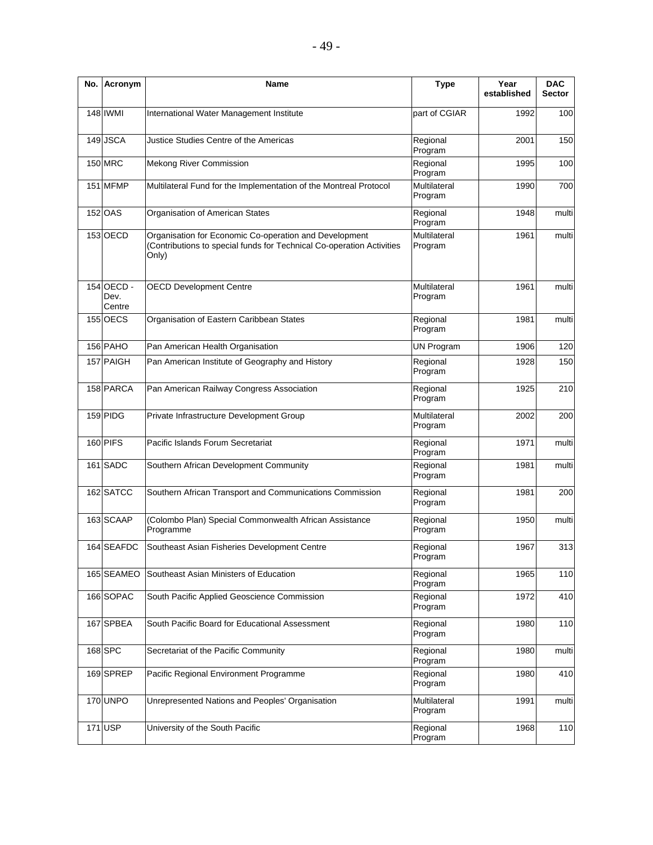| No. | Acronym                      | Name                                                                                                                                    | <b>Type</b>             | Year<br>established | <b>DAC</b><br><b>Sector</b> |
|-----|------------------------------|-----------------------------------------------------------------------------------------------------------------------------------------|-------------------------|---------------------|-----------------------------|
|     | 148 IWMI                     | International Water Management Institute                                                                                                | part of CGIAR           | 1992                | 100                         |
|     | 149 JSCA                     | Justice Studies Centre of the Americas                                                                                                  | Regional<br>Program     | 2001                | 150                         |
|     | <b>150 MRC</b>               | <b>Mekong River Commission</b>                                                                                                          | Regional<br>Program     | 1995                | 100                         |
|     | 151 MFMP                     | Multilateral Fund for the Implementation of the Montreal Protocol                                                                       | Multilateral<br>Program | 1990                | 700                         |
|     | 152 OAS                      | Organisation of American States                                                                                                         | Regional<br>Program     | 1948                | multi                       |
|     | 153 OECD                     | Organisation for Economic Co-operation and Development<br>Contributions to special funds for Technical Co-operation Activities<br>Only) | Multilateral<br>Program | 1961                | multi                       |
|     | 154 OECD -<br>Dev.<br>Centre | <b>OECD Development Centre</b>                                                                                                          | Multilateral<br>Program | 1961                | multi                       |
|     | 155 OECS                     | Organisation of Eastern Caribbean States                                                                                                | Regional<br>Program     | 1981                | multi                       |
|     | 156 PAHO                     | Pan American Health Organisation                                                                                                        | <b>UN Program</b>       | 1906                | 120                         |
|     | 157 PAIGH                    | Pan American Institute of Geography and History                                                                                         | Regional<br>Program     | 1928                | 150                         |
|     | 158 PARCA                    | Pan American Railway Congress Association                                                                                               | Regional<br>Program     | 1925                | 210                         |
|     | 159 PIDG                     | Private Infrastructure Development Group                                                                                                | Multilateral<br>Program | 2002                | 200                         |
|     | 160 PIFS                     | Pacific Islands Forum Secretariat                                                                                                       | Regional<br>Program     | 1971                | multi                       |
|     | 161 SADC                     | Southern African Development Community                                                                                                  | Regional<br>Program     | 1981                | multi                       |
|     | 162 SATCC                    | Southern African Transport and Communications Commission                                                                                | Regional<br>Program     | 1981                | 200                         |
|     | 163 SCAAP                    | (Colombo Plan) Special Commonwealth African Assistance<br>Programme                                                                     | Regional<br>Program     | 1950                | multi                       |
|     | 164 SEAFDC                   | Southeast Asian Fisheries Development Centre                                                                                            | Regional<br>Program     | 1967                | 313                         |
|     | 165 SEAMEO                   | Southeast Asian Ministers of Education                                                                                                  | Regional<br>Program     | 1965                | 110                         |
|     | 166 SOPAC                    | South Pacific Applied Geoscience Commission                                                                                             | Regional<br>Program     | 1972                | 410                         |
|     | 167 SPBEA                    | South Pacific Board for Educational Assessment                                                                                          | Regional<br>Program     | 1980                | 110                         |
|     | 168 SPC                      | Secretariat of the Pacific Community                                                                                                    | Regional<br>Program     | 1980                | multi                       |
|     | 169 SPREP                    | Pacific Regional Environment Programme                                                                                                  | Regional<br>Program     | 1980                | 410                         |
|     | 170 UNPO                     | Unrepresented Nations and Peoples' Organisation                                                                                         | Multilateral<br>Program | 1991                | multi                       |
|     | 171 USP                      | University of the South Pacific                                                                                                         | Regional<br>Program     | 1968                | 110                         |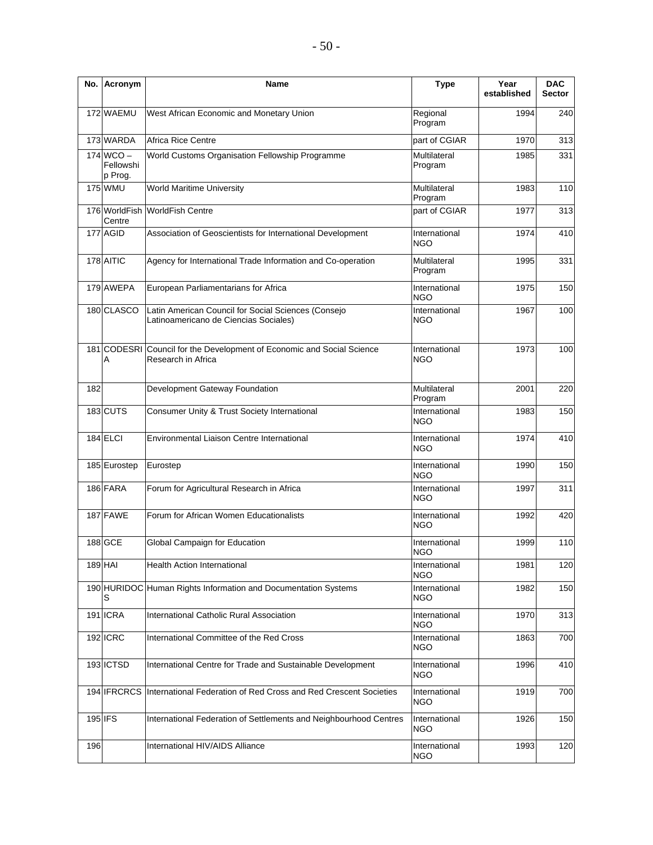| No.     | Acronym                             | Name                                                                                         | <b>Type</b>                 | Year<br>established | <b>DAC</b><br><b>Sector</b> |  |
|---------|-------------------------------------|----------------------------------------------------------------------------------------------|-----------------------------|---------------------|-----------------------------|--|
|         | 172 WAEMU                           | West African Economic and Monetary Union                                                     | Regional<br>Program         | 1994                | 240                         |  |
|         | 173 WARDA                           | Africa Rice Centre                                                                           | part of CGIAR               | 1970                | 313                         |  |
|         | $174$ WCO -<br>Fellowshi<br>p Prog. | World Customs Organisation Fellowship Programme                                              | Multilateral<br>Program     | 1985                | 331                         |  |
|         | <b>175 WMU</b>                      | <b>World Maritime University</b>                                                             | Multilateral<br>Program     | 1983                | 110                         |  |
|         | 176 WorldFish<br>Centre             | <b>WorldFish Centre</b>                                                                      | part of CGIAR               | 1977                | 313                         |  |
|         | 177 AGID                            | Association of Geoscientists for International Development                                   | International<br><b>NGO</b> | 1974                | 410                         |  |
|         | 178 AITIC                           | Multilateral<br>Agency for International Trade Information and Co-operation<br>Program       |                             | 1995                | 331                         |  |
|         | 179 AWEPA                           | European Parliamentarians for Africa                                                         | International<br>NGO        | 1975                | 150                         |  |
|         | 180 CLASCO                          | Latin American Council for Social Sciences (Consejo<br>Latinoamericano de Ciencias Sociales) | International<br><b>NGO</b> | 1967                | 100                         |  |
|         | Α                                   | 181 CODESRI Council for the Development of Economic and Social Science<br>Research in Africa | International<br><b>NGO</b> | 1973                | 100                         |  |
| 182     |                                     | Development Gateway Foundation                                                               | Multilateral<br>Program     | 2001                | 220                         |  |
|         | 183 CUTS                            | Consumer Unity & Trust Society International                                                 | International<br><b>NGO</b> | 1983                | 150                         |  |
|         | 184 ELCI                            | Environmental Liaison Centre International                                                   | International<br><b>NGO</b> | 1974                | 410                         |  |
|         | 185 Eurostep                        | Eurostep                                                                                     | International<br><b>NGO</b> | 1990                | 150                         |  |
|         | 186 FARA                            | Forum for Agricultural Research in Africa                                                    | International<br><b>NGO</b> | 1997                | 311                         |  |
|         | 187 FAWE                            | Forum for African Women Educationalists                                                      | International<br><b>NGO</b> | 1992                | 420                         |  |
|         | 188 GCE                             | Global Campaign for Education                                                                | International<br><b>NGO</b> | 1999                | 110                         |  |
| 189 HAI |                                     | <b>Health Action International</b>                                                           | International<br><b>NGO</b> | 1981                | 120                         |  |
|         | S                                   | 190 HURIDOC Human Rights Information and Documentation Systems                               | International<br>NGO        | 1982                | 150                         |  |
|         | <b>191 ICRA</b>                     | International Catholic Rural Association                                                     | International<br>NGO        | 1970                | 313                         |  |
|         | <b>192 ICRC</b>                     | International Committee of the Red Cross                                                     | International<br><b>NGO</b> | 1863                | 700                         |  |
|         | 193 ICTSD                           | International Centre for Trade and Sustainable Development                                   | International<br>NGO        | 1996                | 410                         |  |
|         |                                     | 194 IFRCRCS International Federation of Red Cross and Red Crescent Societies                 | International<br><b>NGO</b> | 1919                | 700                         |  |
| 195 IFS |                                     | International Federation of Settlements and Neighbourhood Centres                            | International<br><b>NGO</b> | 1926                | 150                         |  |
| 196     |                                     | International HIV/AIDS Alliance                                                              | International<br><b>NGO</b> | 1993                | 120                         |  |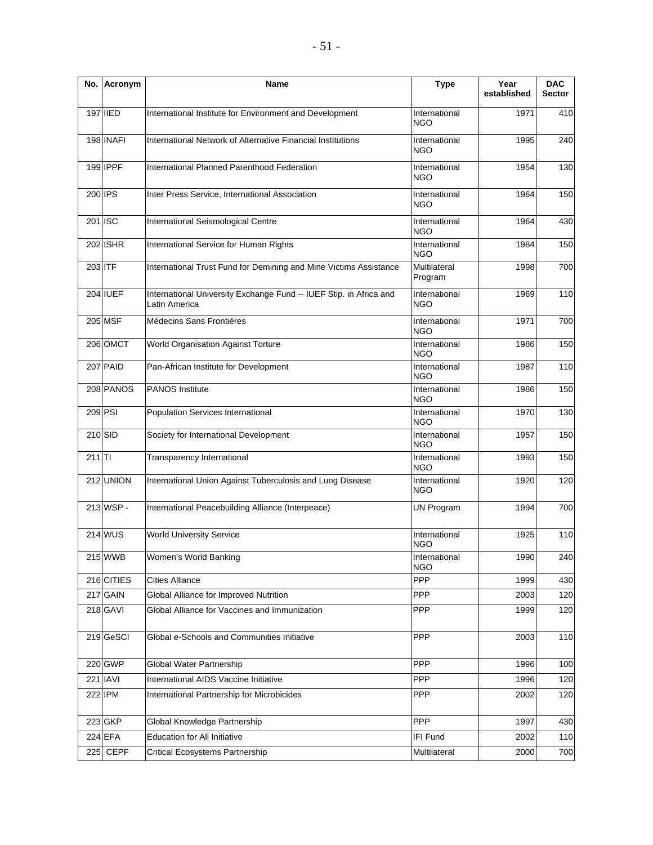| No.      | Acronym        | Name                                                                                | <b>Type</b>                 | Year<br>established | <b>DAC</b><br><b>Sector</b> |
|----------|----------------|-------------------------------------------------------------------------------------|-----------------------------|---------------------|-----------------------------|
|          | 197 IIED       | International Institute for Environment and Development                             | International<br><b>NGO</b> | 1971                | 410                         |
|          | 198 INAFI      | International Network of Alternative Financial Institutions                         | International<br><b>NGO</b> | 1995                | 240                         |
|          | 199 IPPF       | International Planned Parenthood Federation                                         | International<br><b>NGO</b> | 1954                | 130                         |
|          | 200 IPS        | Inter Press Service, International Association                                      | International<br><b>NGO</b> | 1964                | 150                         |
| 201 ISC  |                | International Seismological Centre                                                  | International<br><b>NGO</b> | 1964                | 430                         |
|          | 202 ISHR       | International Service for Human Rights                                              | International<br><b>NGO</b> | 1984                | 150                         |
| 203 ITF  |                | International Trust Fund for Demining and Mine Victims Assistance                   | Multilateral<br>Program     | 1998                | 700                         |
|          | 204 IUEF       | International University Exchange Fund -- IUEF Stip. in Africa and<br>Latin America | International<br><b>NGO</b> | 1969                | 110                         |
|          | 205 MSF        | Médecins Sans Frontières                                                            | International<br><b>NGO</b> | 1971                | 700                         |
|          | 206 OMCT       | World Organisation Against Torture                                                  | International<br><b>NGO</b> | 1986                | 150                         |
|          | 207 PAID       | Pan-African Institute for Development                                               | International<br><b>NGO</b> | 1987                | 110                         |
|          | 208 PANOS      | <b>PANOS Institute</b>                                                              | International<br><b>NGO</b> | 1986                | 150                         |
|          | 209 PSI        | Population Services International                                                   | International<br><b>NGO</b> | 1970                | 130                         |
|          | 210 SID        | Society for International Development                                               | International<br><b>NGO</b> | 1957                | 150                         |
| $211$ TI |                | Transparency International                                                          | International<br><b>NGO</b> | 1993                | 150                         |
|          | 212 UNION      | International Union Against Tuberculosis and Lung Disease                           | International<br>NGO        | 1920                | 120                         |
|          | 213 WSP -      | International Peacebuilding Alliance (Interpeace)                                   | <b>UN Program</b>           | 1994                | 700                         |
|          | <b>214 WUS</b> | <b>World University Service</b>                                                     | International<br><b>NGO</b> | 1925                | 110                         |
|          | 215 WWB        | Women's World Banking                                                               | International<br><b>NGO</b> | 1990                | 240                         |
|          | 216 CITIES     | <b>Cities Alliance</b>                                                              | PPP                         | 1999                | 430                         |
|          | 217 GAIN       | Global Alliance for Improved Nutrition                                              | PPP                         | 2003                | 120                         |
|          | 218 GAVI       | Global Alliance for Vaccines and Immunization                                       | PPP                         | 1999                | 120                         |
|          | 219 GeSCI      | Global e-Schools and Communities Initiative                                         | <b>PPP</b>                  | 2003                | 110                         |
|          | 220 GWP        | Global Water Partnership                                                            | <b>PPP</b>                  | 1996                | 100                         |
|          | 221 IAVI       | International AIDS Vaccine Initiative                                               | PPP                         | 1996                | 120                         |
|          | 222 IPM        | International Partnership for Microbicides                                          | PPP                         | 2002                | 120                         |
|          | 223 GKP        | Global Knowledge Partnership                                                        | PPP                         | 1997                | 430                         |
|          | 224 EFA        | <b>Education for All Initiative</b>                                                 | IFI Fund                    | 2002                | 110                         |
| 225      | <b>CEPF</b>    | Critical Ecosystems Partnership                                                     | Multilateral                | 2000                | 700                         |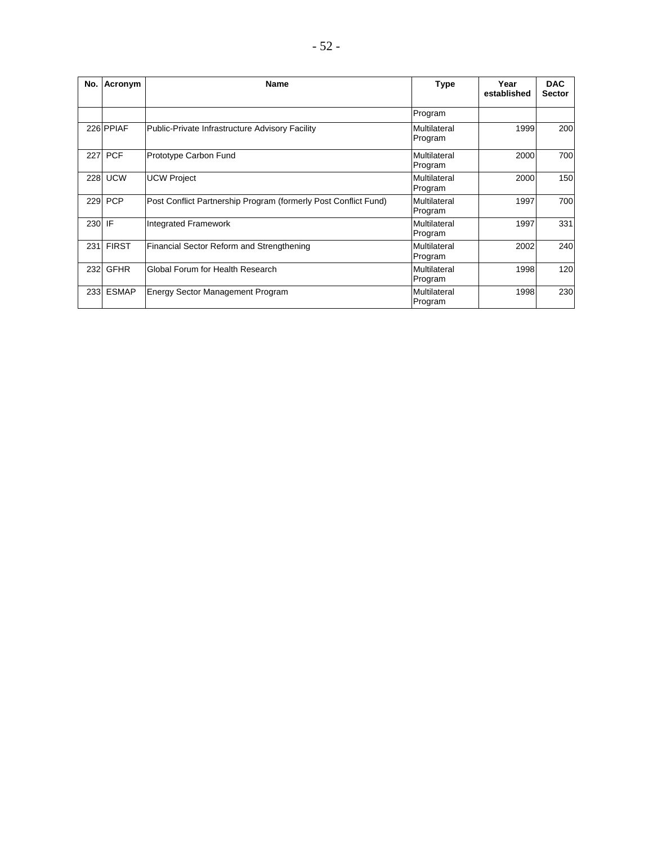| No.    | Acronym      | <b>Name</b>                                                     | <b>Type</b>             | Year<br>established | <b>DAC</b><br><b>Sector</b> |
|--------|--------------|-----------------------------------------------------------------|-------------------------|---------------------|-----------------------------|
|        |              |                                                                 | Program                 |                     |                             |
|        | 226 PPIAF    | Public-Private Infrastructure Advisory Facility                 | Multilateral<br>Program | 1999                | 200                         |
| 227    | <b>PCF</b>   | Prototype Carbon Fund                                           | Multilateral<br>Program | 2000                | 700                         |
| 228    | <b>UCW</b>   | <b>UCW Project</b>                                              | Multilateral<br>Program | 2000                | 150                         |
| 229    | <b>PCP</b>   | Post Conflict Partnership Program (formerly Post Conflict Fund) | Multilateral<br>Program | 1997                | 700                         |
| 230 IF |              | <b>Integrated Framework</b>                                     | Multilateral<br>Program | 1997                | 331                         |
| 231    | <b>FIRST</b> | Financial Sector Reform and Strengthening                       | Multilateral<br>Program | 2002                | 240                         |
| 232    | <b>GFHR</b>  | Global Forum for Health Research                                | Multilateral<br>Program | 1998                | 120                         |
| 233    | <b>ESMAP</b> | <b>Energy Sector Management Program</b>                         | Multilateral<br>Program | 1998                | 230                         |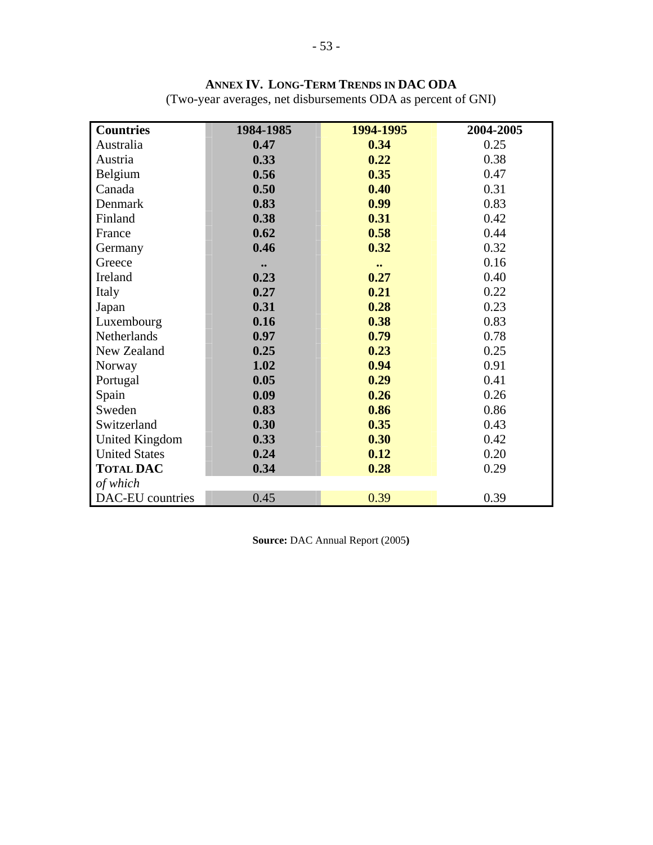| <b>Countries</b>      | 1984-1985        | 1994-1995        | 2004-2005 |
|-----------------------|------------------|------------------|-----------|
| Australia             | 0.47             | 0.34             | 0.25      |
| Austria               | 0.33             | 0.22             | 0.38      |
| Belgium               | 0.56             | 0.35             | 0.47      |
| Canada                | 0.50             | 0.40             | 0.31      |
| Denmark               | 0.83             | 0.99             | 0.83      |
| Finland               | 0.38             | 0.31             | 0.42      |
| France                | 0.62             | 0.58             | 0.44      |
| Germany               | 0.46             | 0.32             | 0.32      |
| Greece                | $\bullet\bullet$ | $\bullet\bullet$ | 0.16      |
| Ireland               | 0.23             | 0.27             | 0.40      |
| Italy                 | 0.27             | 0.21             | 0.22      |
| Japan                 | 0.31             | 0.28             | 0.23      |
| Luxembourg            | 0.16             | 0.38             | 0.83      |
| Netherlands           | 0.97             | 0.79             | 0.78      |
| New Zealand           | 0.25             | 0.23             | 0.25      |
| Norway                | 1.02             | 0.94             | 0.91      |
| Portugal              | 0.05             | 0.29             | 0.41      |
| Spain                 | 0.09             | 0.26             | 0.26      |
| Sweden                | 0.83             | 0.86             | 0.86      |
| Switzerland           | 0.30             | 0.35             | 0.43      |
| <b>United Kingdom</b> | 0.33             | 0.30             | 0.42      |
| <b>United States</b>  | 0.24             | 0.12             | 0.20      |
| <b>TOTAL DAC</b>      | 0.34             | 0.28             | 0.29      |
| of which              |                  |                  |           |
| DAC-EU countries      | 0.45             | 0.39             | 0.39      |

**ANNEX IV. LONG-TERM TRENDS IN DAC ODA**

(Two-year averages, net disbursements ODA as percent of GNI)

**Source:** DAC Annual Report (2005**)**